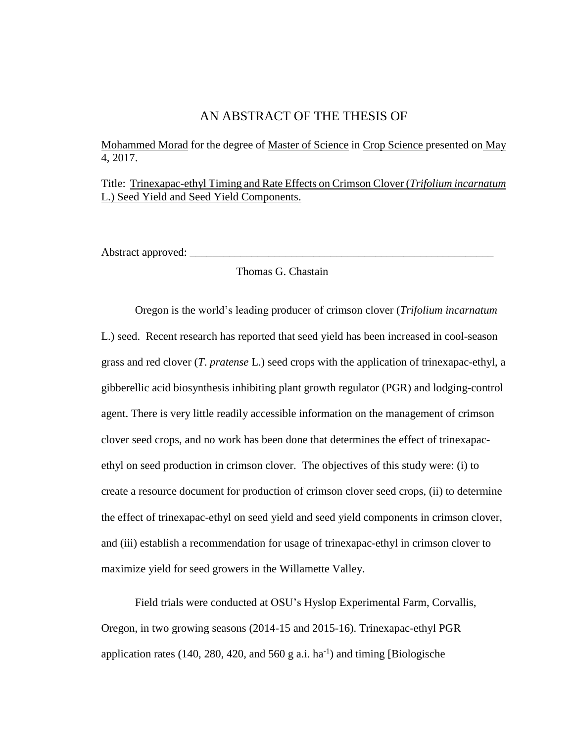## AN ABSTRACT OF THE THESIS OF

Mohammed Morad for the degree of Master of Science in Crop Science presented on May 4, 2017.

Title: Trinexapac-ethyl Timing and Rate Effects on Crimson Clover (*Trifolium incarnatum* L.) Seed Yield and Seed Yield Components.

Abstract approved:

Thomas G. Chastain

Oregon is the world's leading producer of crimson clover (*Trifolium incarnatum* L.) seed. Recent research has reported that seed yield has been increased in cool-season grass and red clover (*T*. *pratense* L.) seed crops with the application of trinexapac-ethyl, a gibberellic acid biosynthesis inhibiting plant growth regulator (PGR) and lodging-control agent. There is very little readily accessible information on the management of crimson clover seed crops, and no work has been done that determines the effect of trinexapacethyl on seed production in crimson clover. The objectives of this study were: (i) to create a resource document for production of crimson clover seed crops, (ii) to determine the effect of trinexapac-ethyl on seed yield and seed yield components in crimson clover, and (iii) establish a recommendation for usage of trinexapac-ethyl in crimson clover to maximize yield for seed growers in the Willamette Valley.

Field trials were conducted at OSU's Hyslop Experimental Farm, Corvallis, Oregon, in two growing seasons (2014-15 and 2015-16). Trinexapac-ethyl PGR application rates  $(140, 280, 420, \text{ and } 560 \text{ g a.i.} \text{ ha}^{-1})$  and timing [Biologische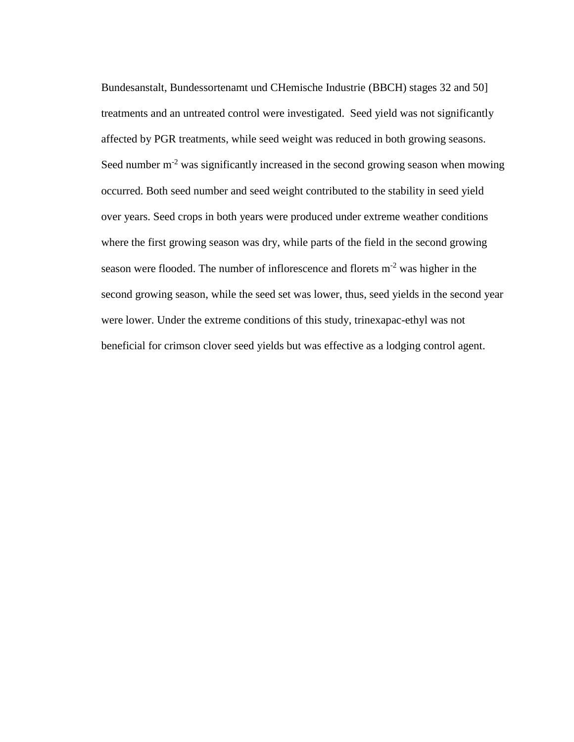Bundesanstalt, Bundessortenamt und CHemische Industrie (BBCH) stages 32 and 50] treatments and an untreated control were investigated. Seed yield was not significantly affected by PGR treatments, while seed weight was reduced in both growing seasons. Seed number  $m<sup>2</sup>$  was significantly increased in the second growing season when mowing occurred. Both seed number and seed weight contributed to the stability in seed yield over years. Seed crops in both years were produced under extreme weather conditions where the first growing season was dry, while parts of the field in the second growing season were flooded. The number of inflorescence and florets  $m<sup>-2</sup>$  was higher in the second growing season, while the seed set was lower, thus, seed yields in the second year were lower. Under the extreme conditions of this study, trinexapac-ethyl was not beneficial for crimson clover seed yields but was effective as a lodging control agent.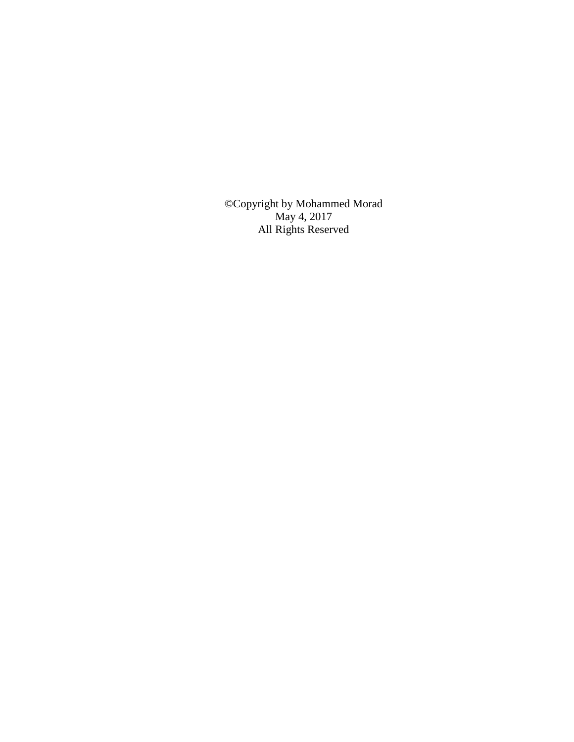©Copyright by Mohammed Morad May 4, 2017 All Rights Reserved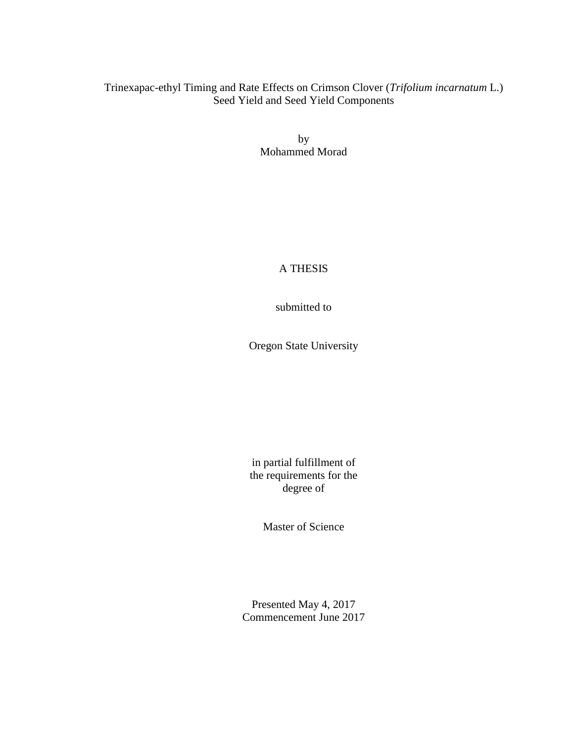## Trinexapac-ethyl Timing and Rate Effects on Crimson Clover (*Trifolium incarnatum* L.) Seed Yield and Seed Yield Components

by Mohammed Morad

## A THESIS

submitted to

Oregon State University

in partial fulfillment of the requirements for the degree of

Master of Science

Presented May 4, 2017 Commencement June 2017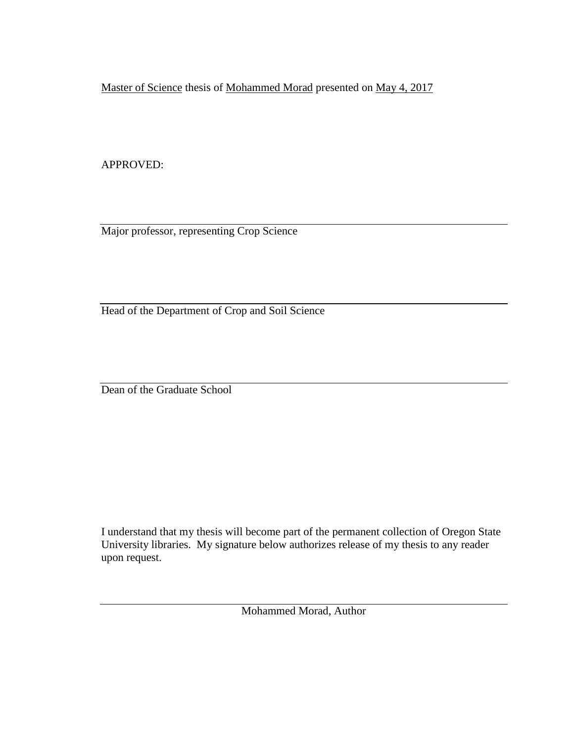Master of Science thesis of Mohammed Morad presented on May 4, 2017

APPROVED:

Major professor, representing Crop Science

Head of the Department of Crop and Soil Science

Dean of the Graduate School

I understand that my thesis will become part of the permanent collection of Oregon State University libraries. My signature below authorizes release of my thesis to any reader upon request.

Mohammed Morad, Author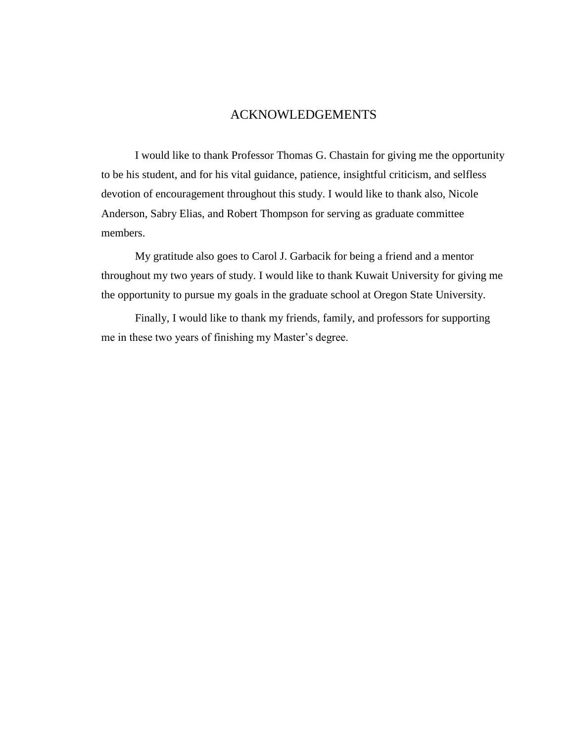## ACKNOWLEDGEMENTS

I would like to thank Professor Thomas G. Chastain for giving me the opportunity to be his student, and for his vital guidance, patience, insightful criticism, and selfless devotion of encouragement throughout this study. I would like to thank also, Nicole Anderson, Sabry Elias, and Robert Thompson for serving as graduate committee members.

My gratitude also goes to Carol J. Garbacik for being a friend and a mentor throughout my two years of study. I would like to thank Kuwait University for giving me the opportunity to pursue my goals in the graduate school at Oregon State University.

Finally, I would like to thank my friends, family, and professors for supporting me in these two years of finishing my Master's degree.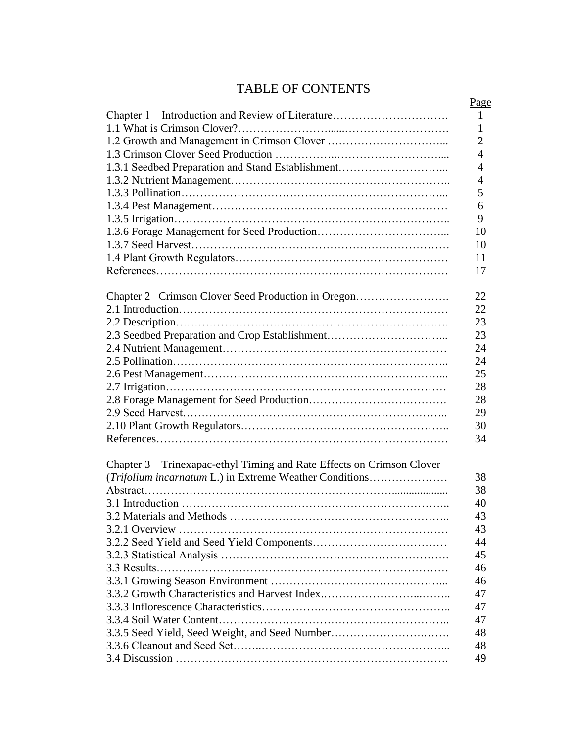# TABLE OF CONTENTS

|                                                                      | Page           |
|----------------------------------------------------------------------|----------------|
| Chapter 1                                                            | $\mathbf{1}$   |
|                                                                      | 1              |
|                                                                      | $\overline{2}$ |
|                                                                      | $\overline{4}$ |
| 1.3.1 Seedbed Preparation and Stand Establishment                    | $\overline{4}$ |
|                                                                      | $\overline{4}$ |
|                                                                      |                |
|                                                                      | 5              |
|                                                                      | 6              |
|                                                                      | 9              |
|                                                                      | 10             |
|                                                                      | 10             |
|                                                                      | 11             |
|                                                                      | 17             |
|                                                                      |                |
| Chapter 2 Crimson Clover Seed Production in Oregon                   | 22             |
|                                                                      | 22             |
|                                                                      | 23             |
| 2.3 Seedbed Preparation and Crop Establishment                       | 23             |
|                                                                      | 24             |
|                                                                      | 24             |
|                                                                      | 25             |
|                                                                      | 28             |
|                                                                      | 28             |
|                                                                      | 29             |
|                                                                      | 30             |
|                                                                      | 34             |
|                                                                      |                |
|                                                                      |                |
| Chapter 3 Trinexapac-ethyl Timing and Rate Effects on Crimson Clover | 38             |
| (Trifolium incarnatum L.) in Extreme Weather Conditions              |                |
|                                                                      | 38             |
|                                                                      | 40             |
|                                                                      | 43             |
|                                                                      | 43             |
|                                                                      | 44             |
|                                                                      | 45             |
|                                                                      | 46             |
|                                                                      | 46             |
| 3.3.2 Growth Characteristics and Harvest Index                       | 47             |
|                                                                      | 47             |
|                                                                      | 47             |
| 3.3.5 Seed Yield, Seed Weight, and Seed Number                       | 48             |
|                                                                      | 48             |
|                                                                      | 49             |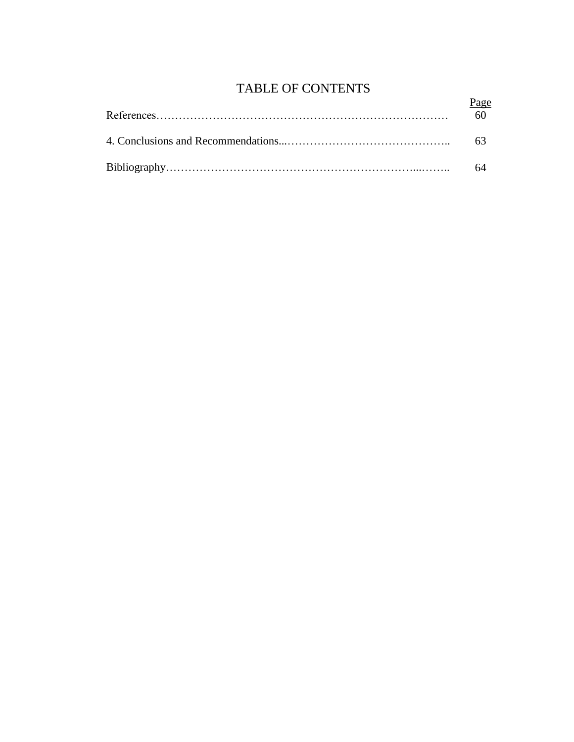# TABLE OF CONTENTS

|  | Page<br>60 |  |
|--|------------|--|
|  |            |  |
|  |            |  |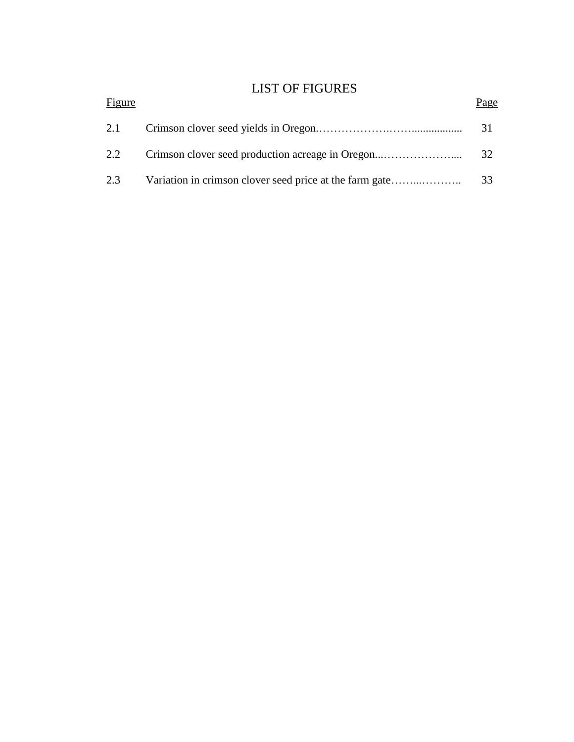# LIST OF FIGURES

| Figure | Page |
|--------|------|
| 2.1    | 31   |
| 2.2    | 32   |
| 2.3    | 33   |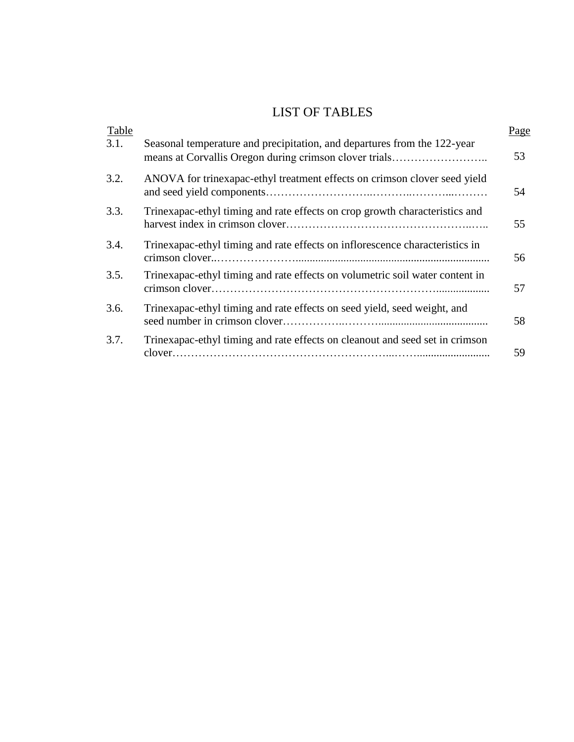# LIST OF TABLES

| Table |                                                                              | Page |
|-------|------------------------------------------------------------------------------|------|
| 3.1.  | Seasonal temperature and precipitation, and departures from the 122-year     | 53   |
| 3.2.  | ANOVA for trinexapac-ethyl treatment effects on crimson clover seed yield    | 54   |
| 3.3.  | Trinexapac-ethyl timing and rate effects on crop growth characteristics and  | 55   |
| 3.4.  | Trinexapac-ethyl timing and rate effects on inflorescence characteristics in | 56   |
| 3.5.  | Trinexapac-ethyl timing and rate effects on volumetric soil water content in | 57   |
| 3.6.  | Trinexapac-ethyl timing and rate effects on seed yield, seed weight, and     | 58   |
| 3.7.  | Trinexapac-ethyl timing and rate effects on cleanout and seed set in crimson | 59   |
|       |                                                                              |      |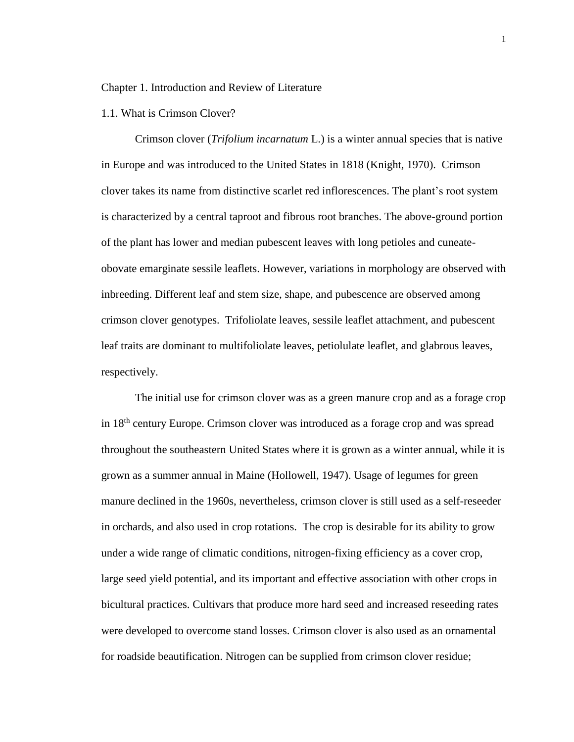#### Chapter 1. Introduction and Review of Literature

#### 1.1. What is Crimson Clover?

Crimson clover (*Trifolium incarnatum* L.) is a winter annual species that is native in Europe and was introduced to the United States in 1818 (Knight, 1970). Crimson clover takes its name from distinctive scarlet red inflorescences. The plant's root system is characterized by a central taproot and fibrous root branches. The above-ground portion of the plant has lower and median pubescent leaves with long petioles and cuneateobovate emarginate sessile leaflets. However, variations in morphology are observed with inbreeding. Different leaf and stem size, shape, and pubescence are observed among crimson clover genotypes. Trifoliolate leaves, sessile leaflet attachment, and pubescent leaf traits are dominant to multifoliolate leaves, petiolulate leaflet, and glabrous leaves, respectively.

The initial use for crimson clover was as a green manure crop and as a forage crop in 18th century Europe. Crimson clover was introduced as a forage crop and was spread throughout the southeastern United States where it is grown as a winter annual, while it is grown as a summer annual in Maine (Hollowell, 1947). Usage of legumes for green manure declined in the 1960s, nevertheless, crimson clover is still used as a self-reseeder in orchards, and also used in crop rotations. The crop is desirable for its ability to grow under a wide range of climatic conditions, nitrogen-fixing efficiency as a cover crop, large seed yield potential, and its important and effective association with other crops in bicultural practices. Cultivars that produce more hard seed and increased reseeding rates were developed to overcome stand losses. Crimson clover is also used as an ornamental for roadside beautification. Nitrogen can be supplied from crimson clover residue;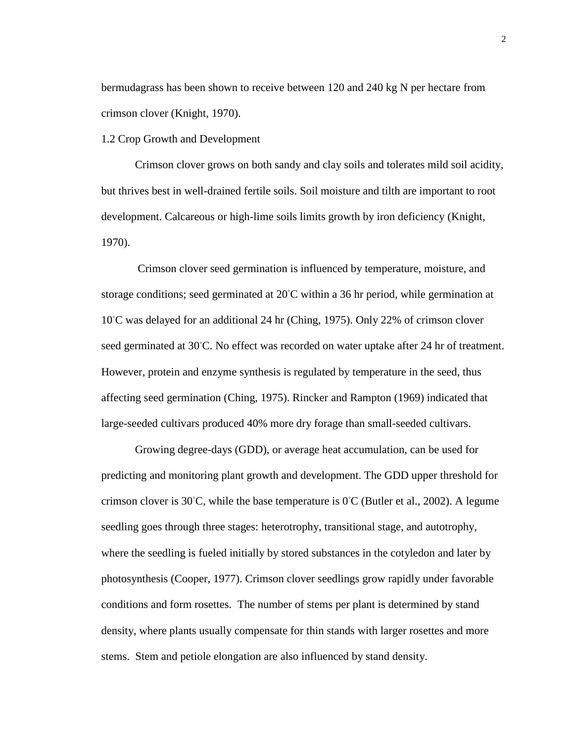bermudagrass has been shown to receive between 120 and 240 kg N per hectare from crimson clover (Knight, 1970).

1.2 Crop Growth and Development

Crimson clover grows on both sandy and clay soils and tolerates mild soil acidity, but thrives best in well-drained fertile soils. Soil moisture and tilth are important to root development. Calcareous or high-lime soils limits growth by iron deficiency (Knight, 1970).

Crimson clover seed germination is influenced by temperature, moisture, and storage conditions; seed germinated at 20℃ within a 36 hr period, while germination at 10◦C was delayed for an additional 24 hr (Ching, 1975). Only 22% of crimson clover seed germinated at 30℃. No effect was recorded on water uptake after 24 hr of treatment. However, protein and enzyme synthesis is regulated by temperature in the seed, thus affecting seed germination (Ching, 1975). Rincker and Rampton (1969) indicated that large-seeded cultivars produced 40% more dry forage than small-seeded cultivars.

Growing degree-days (GDD), or average heat accumulation, can be used for predicting and monitoring plant growth and development. The GDD upper threshold for crimson clover is 30°C, while the base temperature is 0°C (Butler et al., 2002). A legume seedling goes through three stages: heterotrophy, transitional stage, and autotrophy, where the seedling is fueled initially by stored substances in the cotyledon and later by photosynthesis (Cooper, 1977). Crimson clover seedlings grow rapidly under favorable conditions and form rosettes. The number of stems per plant is determined by stand density, where plants usually compensate for thin stands with larger rosettes and more stems. Stem and petiole elongation are also influenced by stand density.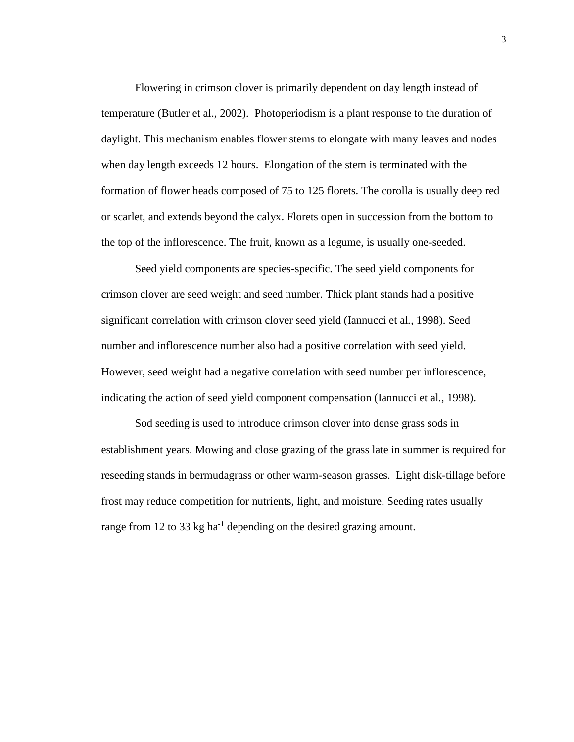Flowering in crimson clover is primarily dependent on day length instead of temperature (Butler et al., 2002). Photoperiodism is a plant response to the duration of daylight. This mechanism enables flower stems to elongate with many leaves and nodes when day length exceeds 12 hours. Elongation of the stem is terminated with the formation of flower heads composed of 75 to 125 florets. The corolla is usually deep red or scarlet, and extends beyond the calyx. Florets open in succession from the bottom to the top of the inflorescence. The fruit, known as a legume, is usually one-seeded.

Seed yield components are species-specific. The seed yield components for crimson clover are seed weight and seed number. Thick plant stands had a positive significant correlation with crimson clover seed yield (Iannucci et al*.*, 1998). Seed number and inflorescence number also had a positive correlation with seed yield. However, seed weight had a negative correlation with seed number per inflorescence, indicating the action of seed yield component compensation (Iannucci et al*.*, 1998).

Sod seeding is used to introduce crimson clover into dense grass sods in establishment years. Mowing and close grazing of the grass late in summer is required for reseeding stands in bermudagrass or other warm-season grasses. Light disk-tillage before frost may reduce competition for nutrients, light, and moisture. Seeding rates usually range from 12 to 33 kg ha<sup>-1</sup> depending on the desired grazing amount.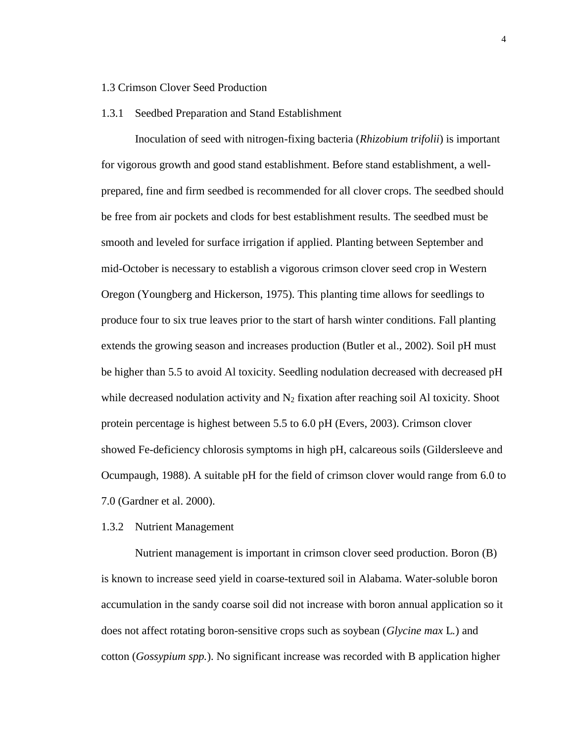### 1.3 Crimson Clover Seed Production

#### 1.3.1 Seedbed Preparation and Stand Establishment

Inoculation of seed with nitrogen-fixing bacteria (*Rhizobium trifolii*) is important for vigorous growth and good stand establishment. Before stand establishment, a wellprepared, fine and firm seedbed is recommended for all clover crops. The seedbed should be free from air pockets and clods for best establishment results. The seedbed must be smooth and leveled for surface irrigation if applied. Planting between September and mid-October is necessary to establish a vigorous crimson clover seed crop in Western Oregon (Youngberg and Hickerson, 1975). This planting time allows for seedlings to produce four to six true leaves prior to the start of harsh winter conditions. Fall planting extends the growing season and increases production (Butler et al., 2002). Soil pH must be higher than 5.5 to avoid Al toxicity. Seedling nodulation decreased with decreased pH while decreased nodulation activity and  $N_2$  fixation after reaching soil Al toxicity. Shoot protein percentage is highest between 5.5 to 6.0 pH (Evers, 2003). Crimson clover showed Fe-deficiency chlorosis symptoms in high pH, calcareous soils (Gildersleeve and Ocumpaugh, 1988). A suitable pH for the field of crimson clover would range from 6.0 to 7.0 (Gardner et al. 2000).

#### 1.3.2 Nutrient Management

Nutrient management is important in crimson clover seed production. Boron (B) is known to increase seed yield in coarse-textured soil in Alabama. Water-soluble boron accumulation in the sandy coarse soil did not increase with boron annual application so it does not affect rotating boron-sensitive crops such as soybean (*Glycine max* L*.*) and cotton (*Gossypium spp.*). No significant increase was recorded with B application higher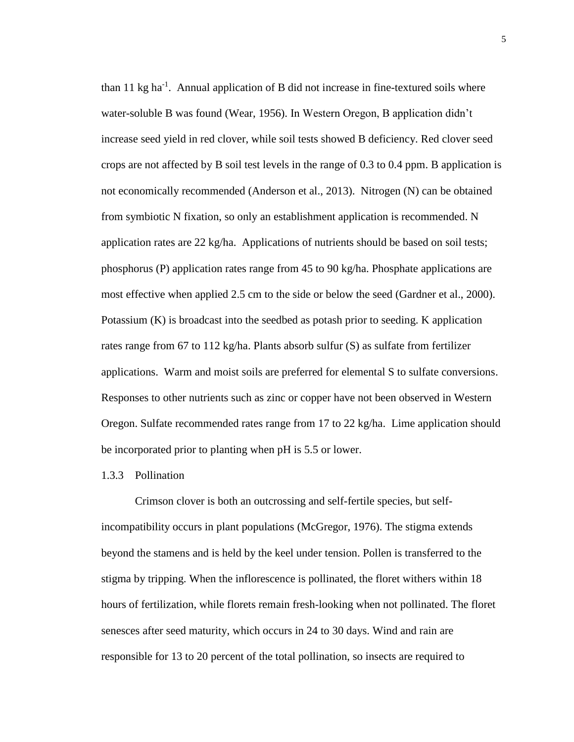than 11 kg ha<sup>-1</sup>. Annual application of B did not increase in fine-textured soils where water-soluble B was found (Wear, 1956). In Western Oregon, B application didn't increase seed yield in red clover, while soil tests showed B deficiency. Red clover seed crops are not affected by B soil test levels in the range of 0.3 to 0.4 ppm. B application is not economically recommended (Anderson et al., 2013). Nitrogen (N) can be obtained from symbiotic N fixation, so only an establishment application is recommended. N application rates are 22 kg/ha. Applications of nutrients should be based on soil tests; phosphorus (P) application rates range from 45 to 90 kg/ha. Phosphate applications are most effective when applied 2.5 cm to the side or below the seed (Gardner et al., 2000). Potassium (K) is broadcast into the seedbed as potash prior to seeding. K application rates range from 67 to 112 kg/ha. Plants absorb sulfur (S) as sulfate from fertilizer applications. Warm and moist soils are preferred for elemental S to sulfate conversions. Responses to other nutrients such as zinc or copper have not been observed in Western Oregon. Sulfate recommended rates range from 17 to 22 kg/ha. Lime application should be incorporated prior to planting when pH is 5.5 or lower.

#### 1.3.3 Pollination

Crimson clover is both an outcrossing and self-fertile species, but selfincompatibility occurs in plant populations (McGregor, 1976). The stigma extends beyond the stamens and is held by the keel under tension. Pollen is transferred to the stigma by tripping. When the inflorescence is pollinated, the floret withers within 18 hours of fertilization, while florets remain fresh-looking when not pollinated. The floret senesces after seed maturity, which occurs in 24 to 30 days. Wind and rain are responsible for 13 to 20 percent of the total pollination, so insects are required to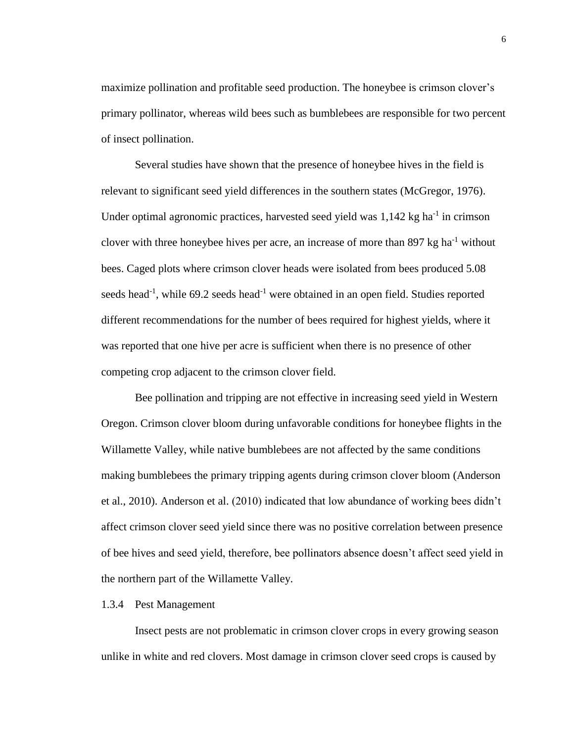maximize pollination and profitable seed production. The honeybee is crimson clover's primary pollinator, whereas wild bees such as bumblebees are responsible for two percent of insect pollination.

Several studies have shown that the presence of honeybee hives in the field is relevant to significant seed yield differences in the southern states (McGregor, 1976). Under optimal agronomic practices, harvested seed yield was 1,142 kg ha<sup>-1</sup> in crimson clover with three honeybee hives per acre, an increase of more than  $897 \text{ kg ha}^{-1}$  without bees. Caged plots where crimson clover heads were isolated from bees produced 5.08 seeds head<sup>-1</sup>, while 69.2 seeds head<sup>-1</sup> were obtained in an open field. Studies reported different recommendations for the number of bees required for highest yields, where it was reported that one hive per acre is sufficient when there is no presence of other competing crop adjacent to the crimson clover field.

Bee pollination and tripping are not effective in increasing seed yield in Western Oregon. Crimson clover bloom during unfavorable conditions for honeybee flights in the Willamette Valley, while native bumblebees are not affected by the same conditions making bumblebees the primary tripping agents during crimson clover bloom (Anderson et al., 2010). Anderson et al. (2010) indicated that low abundance of working bees didn't affect crimson clover seed yield since there was no positive correlation between presence of bee hives and seed yield, therefore, bee pollinators absence doesn't affect seed yield in the northern part of the Willamette Valley.

#### 1.3.4 Pest Management

Insect pests are not problematic in crimson clover crops in every growing season unlike in white and red clovers. Most damage in crimson clover seed crops is caused by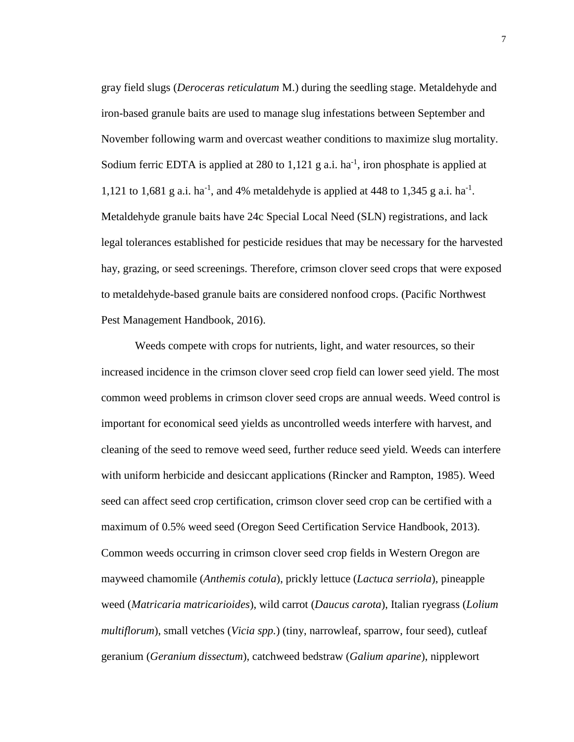gray field slugs (*Deroceras reticulatum* M.) during the seedling stage. Metaldehyde and iron-based granule baits are used to manage slug infestations between September and November following warm and overcast weather conditions to maximize slug mortality. Sodium ferric EDTA is applied at 280 to  $1,121$  g a.i. ha<sup>-1</sup>, iron phosphate is applied at 1,121 to 1,681 g a.i. ha<sup>-1</sup>, and 4% metaldehyde is applied at 448 to 1,345 g a.i. ha<sup>-1</sup>. Metaldehyde granule baits have 24c Special Local Need (SLN) registrations, and lack legal tolerances established for pesticide residues that may be necessary for the harvested hay, grazing, or seed screenings. Therefore, crimson clover seed crops that were exposed to metaldehyde-based granule baits are considered nonfood crops. (Pacific Northwest Pest Management Handbook, 2016).

Weeds compete with crops for nutrients, light, and water resources, so their increased incidence in the crimson clover seed crop field can lower seed yield. The most common weed problems in crimson clover seed crops are annual weeds. Weed control is important for economical seed yields as uncontrolled weeds interfere with harvest, and cleaning of the seed to remove weed seed, further reduce seed yield. Weeds can interfere with uniform herbicide and desiccant applications (Rincker and Rampton, 1985). Weed seed can affect seed crop certification, crimson clover seed crop can be certified with a maximum of 0.5% weed seed (Oregon Seed Certification Service Handbook, 2013). Common weeds occurring in crimson clover seed crop fields in Western Oregon are mayweed chamomile (*Anthemis cotula*), prickly lettuce (*Lactuca serriola*), pineapple weed (*Matricaria matricarioides*), wild carrot (*Daucus carota*), Italian ryegrass (*Lolium multiflorum*), small vetches (*Vicia spp.*) (tiny, narrowleaf, sparrow, four seed), cutleaf geranium (*Geranium dissectum*), catchweed bedstraw (*Galium aparine*), nipplewort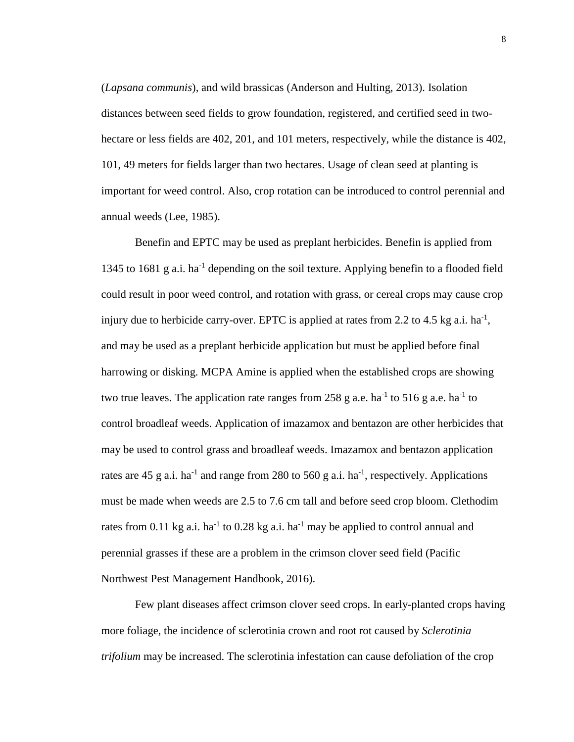(*Lapsana communis*), and wild brassicas (Anderson and Hulting, 2013). Isolation distances between seed fields to grow foundation, registered, and certified seed in twohectare or less fields are 402, 201, and 101 meters, respectively, while the distance is 402, 101, 49 meters for fields larger than two hectares. Usage of clean seed at planting is important for weed control. Also, crop rotation can be introduced to control perennial and annual weeds (Lee, 1985).

Benefin and EPTC may be used as preplant herbicides. Benefin is applied from 1345 to 1681 g a.i. ha<sup>-1</sup> depending on the soil texture. Applying benefin to a flooded field could result in poor weed control, and rotation with grass, or cereal crops may cause crop injury due to herbicide carry-over. EPTC is applied at rates from 2.2 to 4.5 kg a.i.  $ha^{-1}$ , and may be used as a preplant herbicide application but must be applied before final harrowing or disking. MCPA Amine is applied when the established crops are showing two true leaves. The application rate ranges from 258 g a.e. ha<sup>-1</sup> to 516 g a.e. ha<sup>-1</sup> to control broadleaf weeds. Application of imazamox and bentazon are other herbicides that may be used to control grass and broadleaf weeds. Imazamox and bentazon application rates are 45 g a.i. ha<sup>-1</sup> and range from 280 to 560 g a.i. ha<sup>-1</sup>, respectively. Applications must be made when weeds are 2.5 to 7.6 cm tall and before seed crop bloom. Clethodim rates from 0.11 kg a.i. ha<sup>-1</sup> to 0.28 kg a.i. ha<sup>-1</sup> may be applied to control annual and perennial grasses if these are a problem in the crimson clover seed field (Pacific Northwest Pest Management Handbook, 2016).

Few plant diseases affect crimson clover seed crops. In early-planted crops having more foliage, the incidence of sclerotinia crown and root rot caused by *Sclerotinia trifolium* may be increased. The sclerotinia infestation can cause defoliation of the crop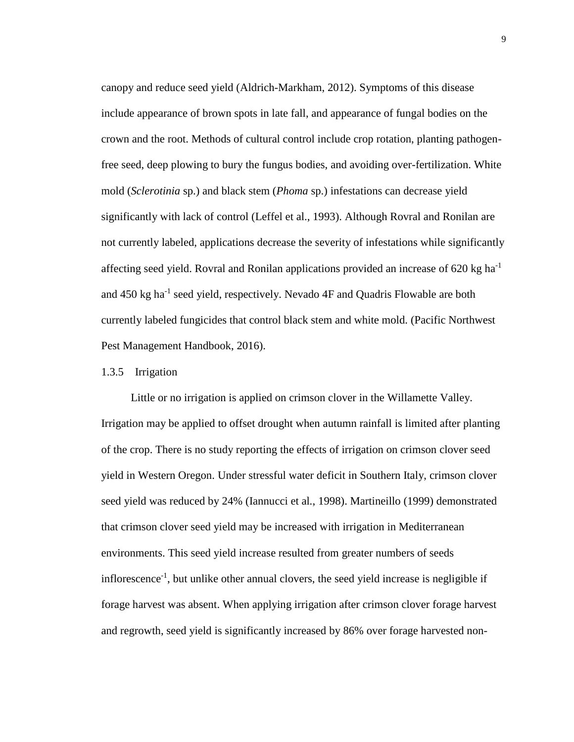canopy and reduce seed yield (Aldrich-Markham, 2012). Symptoms of this disease include appearance of brown spots in late fall, and appearance of fungal bodies on the crown and the root. Methods of cultural control include crop rotation, planting pathogenfree seed, deep plowing to bury the fungus bodies, and avoiding over-fertilization. White mold (*Sclerotinia* sp.) and black stem (*Phoma* sp.) infestations can decrease yield significantly with lack of control (Leffel et al., 1993). Although Rovral and Ronilan are not currently labeled, applications decrease the severity of infestations while significantly affecting seed yield. Rovral and Ronilan applications provided an increase of 620 kg ha<sup>-1</sup> and 450 kg ha<sup>-1</sup> seed yield, respectively. Nevado 4F and Quadris Flowable are both currently labeled fungicides that control black stem and white mold. (Pacific Northwest Pest Management Handbook, 2016).

#### 1.3.5 Irrigation

Little or no irrigation is applied on crimson clover in the Willamette Valley. Irrigation may be applied to offset drought when autumn rainfall is limited after planting of the crop. There is no study reporting the effects of irrigation on crimson clover seed yield in Western Oregon. Under stressful water deficit in Southern Italy, crimson clover seed yield was reduced by 24% (Iannucci et al*.*, 1998). Martineillo (1999) demonstrated that crimson clover seed yield may be increased with irrigation in Mediterranean environments. This seed yield increase resulted from greater numbers of seeds inflorescence<sup>-1</sup>, but unlike other annual clovers, the seed yield increase is negligible if forage harvest was absent. When applying irrigation after crimson clover forage harvest and regrowth, seed yield is significantly increased by 86% over forage harvested non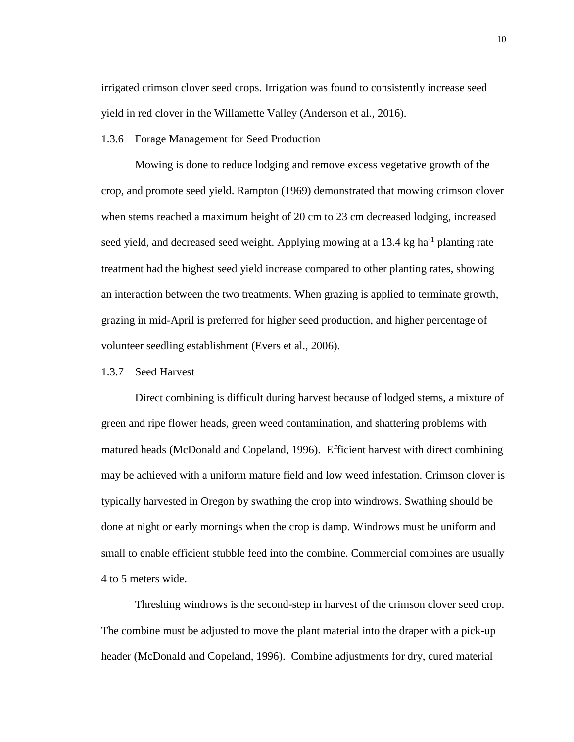irrigated crimson clover seed crops. Irrigation was found to consistently increase seed yield in red clover in the Willamette Valley (Anderson et al., 2016).

1.3.6 Forage Management for Seed Production

Mowing is done to reduce lodging and remove excess vegetative growth of the crop, and promote seed yield. Rampton (1969) demonstrated that mowing crimson clover when stems reached a maximum height of 20 cm to 23 cm decreased lodging, increased seed yield, and decreased seed weight. Applying mowing at a 13.4 kg ha<sup>-1</sup> planting rate treatment had the highest seed yield increase compared to other planting rates, showing an interaction between the two treatments. When grazing is applied to terminate growth, grazing in mid-April is preferred for higher seed production, and higher percentage of volunteer seedling establishment (Evers et al., 2006).

#### 1.3.7 Seed Harvest

Direct combining is difficult during harvest because of lodged stems, a mixture of green and ripe flower heads, green weed contamination, and shattering problems with matured heads (McDonald and Copeland, 1996). Efficient harvest with direct combining may be achieved with a uniform mature field and low weed infestation. Crimson clover is typically harvested in Oregon by swathing the crop into windrows. Swathing should be done at night or early mornings when the crop is damp. Windrows must be uniform and small to enable efficient stubble feed into the combine. Commercial combines are usually 4 to 5 meters wide.

Threshing windrows is the second-step in harvest of the crimson clover seed crop. The combine must be adjusted to move the plant material into the draper with a pick-up header (McDonald and Copeland, 1996). Combine adjustments for dry, cured material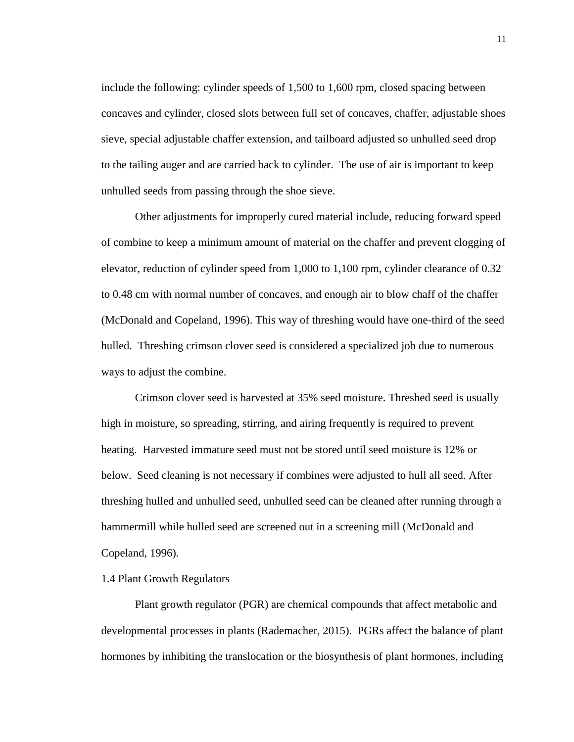include the following: cylinder speeds of 1,500 to 1,600 rpm, closed spacing between concaves and cylinder, closed slots between full set of concaves, chaffer, adjustable shoes sieve, special adjustable chaffer extension, and tailboard adjusted so unhulled seed drop to the tailing auger and are carried back to cylinder. The use of air is important to keep unhulled seeds from passing through the shoe sieve.

Other adjustments for improperly cured material include, reducing forward speed of combine to keep a minimum amount of material on the chaffer and prevent clogging of elevator, reduction of cylinder speed from 1,000 to 1,100 rpm, cylinder clearance of 0.32 to 0.48 cm with normal number of concaves, and enough air to blow chaff of the chaffer (McDonald and Copeland, 1996). This way of threshing would have one-third of the seed hulled. Threshing crimson clover seed is considered a specialized job due to numerous ways to adjust the combine.

Crimson clover seed is harvested at 35% seed moisture. Threshed seed is usually high in moisture, so spreading, stirring, and airing frequently is required to prevent heating. Harvested immature seed must not be stored until seed moisture is 12% or below. Seed cleaning is not necessary if combines were adjusted to hull all seed. After threshing hulled and unhulled seed, unhulled seed can be cleaned after running through a hammermill while hulled seed are screened out in a screening mill (McDonald and Copeland, 1996).

#### 1.4 Plant Growth Regulators

Plant growth regulator (PGR) are chemical compounds that affect metabolic and developmental processes in plants (Rademacher, 2015). PGRs affect the balance of plant hormones by inhibiting the translocation or the biosynthesis of plant hormones, including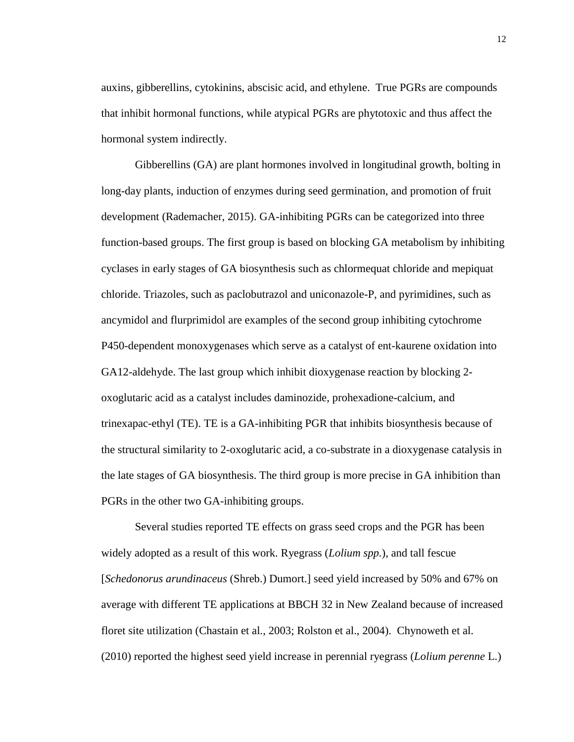auxins, gibberellins, cytokinins, abscisic acid, and ethylene. True PGRs are compounds that inhibit hormonal functions, while atypical PGRs are phytotoxic and thus affect the hormonal system indirectly.

Gibberellins (GA) are plant hormones involved in longitudinal growth, bolting in long-day plants, induction of enzymes during seed germination, and promotion of fruit development (Rademacher, 2015). GA-inhibiting PGRs can be categorized into three function-based groups. The first group is based on blocking GA metabolism by inhibiting cyclases in early stages of GA biosynthesis such as chlormequat chloride and mepiquat chloride. Triazoles, such as paclobutrazol and uniconazole-P, and pyrimidines, such as ancymidol and flurprimidol are examples of the second group inhibiting cytochrome P450-dependent monoxygenases which serve as a catalyst of ent-kaurene oxidation into GA12-aldehyde. The last group which inhibit dioxygenase reaction by blocking 2 oxoglutaric acid as a catalyst includes daminozide, prohexadione-calcium, and trinexapac-ethyl (TE). TE is a GA-inhibiting PGR that inhibits biosynthesis because of the structural similarity to 2-oxoglutaric acid, a co-substrate in a dioxygenase catalysis in the late stages of GA biosynthesis. The third group is more precise in GA inhibition than PGRs in the other two GA-inhibiting groups.

Several studies reported TE effects on grass seed crops and the PGR has been widely adopted as a result of this work. Ryegrass (*Lolium spp.*), and tall fescue [*Schedonorus arundinaceus* (Shreb.) Dumort.] seed yield increased by 50% and 67% on average with different TE applications at BBCH 32 in New Zealand because of increased floret site utilization (Chastain et al*.*, 2003; Rolston et al., 2004). Chynoweth et al. (2010) reported the highest seed yield increase in perennial ryegrass (*Lolium perenne* L.)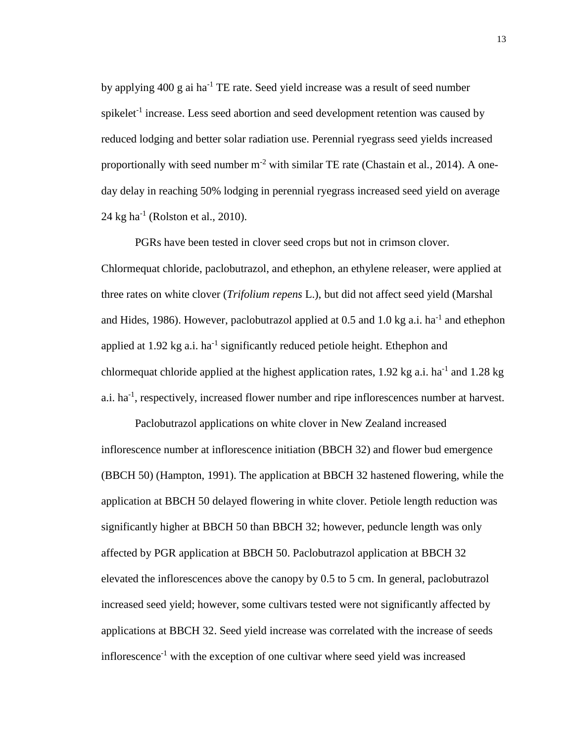by applying  $400 \text{ g}$  ai ha<sup>-1</sup> TE rate. Seed yield increase was a result of seed number spikelet<sup>-1</sup> increase. Less seed abortion and seed development retention was caused by reduced lodging and better solar radiation use. Perennial ryegrass seed yields increased proportionally with seed number m-2 with similar TE rate (Chastain et al*.,* 2014). A oneday delay in reaching 50% lodging in perennial ryegrass increased seed yield on average  $24$  kg ha<sup>-1</sup> (Rolston et al., 2010).

PGRs have been tested in clover seed crops but not in crimson clover. Chlormequat chloride, paclobutrazol, and ethephon, an ethylene releaser, were applied at three rates on white clover (*Trifolium repens* L.), but did not affect seed yield (Marshal and Hides, 1986). However, paclobutrazol applied at 0.5 and 1.0 kg a.i. ha<sup>-1</sup> and ethephon applied at 1.92 kg a.i. ha<sup>-1</sup> significantly reduced petiole height. Ethephon and chlormequat chloride applied at the highest application rates, 1.92 kg a.i. ha<sup>-1</sup> and 1.28 kg a.i.  $ha^{-1}$ , respectively, increased flower number and ripe inflorescences number at harvest.

Paclobutrazol applications on white clover in New Zealand increased inflorescence number at inflorescence initiation (BBCH 32) and flower bud emergence (BBCH 50) (Hampton, 1991). The application at BBCH 32 hastened flowering, while the application at BBCH 50 delayed flowering in white clover. Petiole length reduction was significantly higher at BBCH 50 than BBCH 32; however, peduncle length was only affected by PGR application at BBCH 50. Paclobutrazol application at BBCH 32 elevated the inflorescences above the canopy by 0.5 to 5 cm. In general, paclobutrazol increased seed yield; however, some cultivars tested were not significantly affected by applications at BBCH 32. Seed yield increase was correlated with the increase of seeds inflorescence<sup>-1</sup> with the exception of one cultivar where seed yield was increased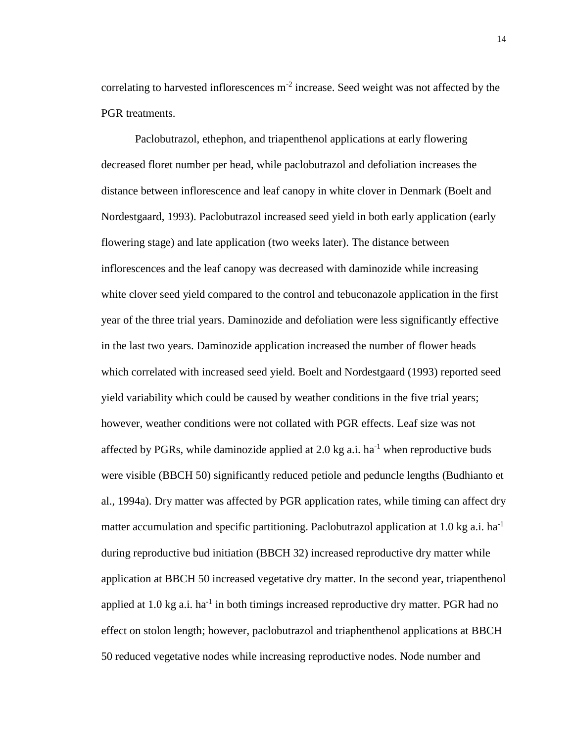correlating to harvested inflorescences  $m<sup>-2</sup>$  increase. Seed weight was not affected by the PGR treatments.

Paclobutrazol, ethephon, and triapenthenol applications at early flowering decreased floret number per head, while paclobutrazol and defoliation increases the distance between inflorescence and leaf canopy in white clover in Denmark (Boelt and Nordestgaard, 1993). Paclobutrazol increased seed yield in both early application (early flowering stage) and late application (two weeks later). The distance between inflorescences and the leaf canopy was decreased with daminozide while increasing white clover seed yield compared to the control and tebuconazole application in the first year of the three trial years. Daminozide and defoliation were less significantly effective in the last two years. Daminozide application increased the number of flower heads which correlated with increased seed yield. Boelt and Nordestgaard (1993) reported seed yield variability which could be caused by weather conditions in the five trial years; however, weather conditions were not collated with PGR effects. Leaf size was not affected by PGRs, while daminozide applied at 2.0 kg a.i.  $ha^{-1}$  when reproductive buds were visible (BBCH 50) significantly reduced petiole and peduncle lengths (Budhianto et al., 1994a). Dry matter was affected by PGR application rates, while timing can affect dry matter accumulation and specific partitioning. Paclobutrazol application at 1.0 kg a.i. ha<sup>-1</sup> during reproductive bud initiation (BBCH 32) increased reproductive dry matter while application at BBCH 50 increased vegetative dry matter. In the second year, triapenthenol applied at  $1.0$  kg a.i. ha<sup>-1</sup> in both timings increased reproductive dry matter. PGR had no effect on stolon length; however, paclobutrazol and triaphenthenol applications at BBCH 50 reduced vegetative nodes while increasing reproductive nodes. Node number and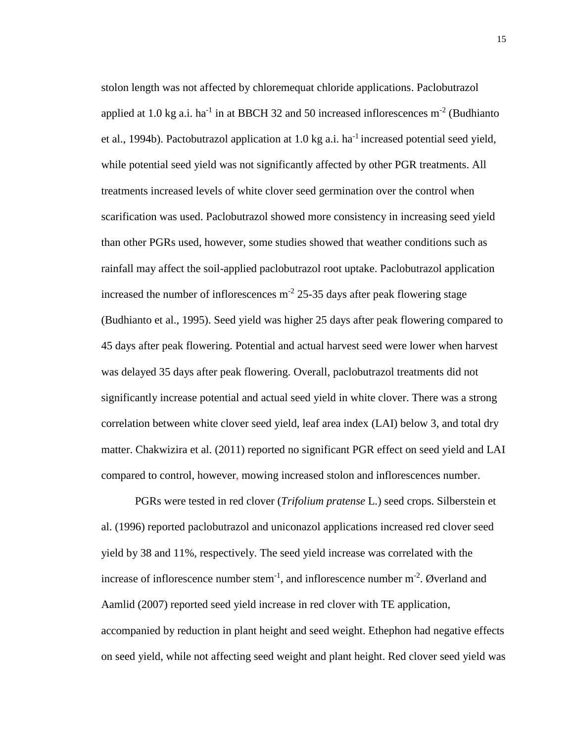stolon length was not affected by chloremequat chloride applications. Paclobutrazol applied at 1.0 kg a.i. ha<sup>-1</sup> in at BBCH 32 and 50 increased inflorescences  $m^{-2}$  (Budhianto et al., 1994b). Pactobutrazol application at 1.0 kg a.i. ha<sup>-1</sup> increased potential seed yield, while potential seed yield was not significantly affected by other PGR treatments. All treatments increased levels of white clover seed germination over the control when scarification was used. Paclobutrazol showed more consistency in increasing seed yield than other PGRs used, however, some studies showed that weather conditions such as rainfall may affect the soil-applied paclobutrazol root uptake. Paclobutrazol application increased the number of inflorescences  $m<sup>-2</sup>$  25-35 days after peak flowering stage (Budhianto et al., 1995). Seed yield was higher 25 days after peak flowering compared to 45 days after peak flowering. Potential and actual harvest seed were lower when harvest was delayed 35 days after peak flowering. Overall, paclobutrazol treatments did not significantly increase potential and actual seed yield in white clover. There was a strong correlation between white clover seed yield, leaf area index (LAI) below 3, and total dry matter. Chakwizira et al. (2011) reported no significant PGR effect on seed yield and LAI compared to control, however, mowing increased stolon and inflorescences number.

PGRs were tested in red clover (*Trifolium pratense* L.) seed crops. Silberstein et al. (1996) reported paclobutrazol and uniconazol applications increased red clover seed yield by 38 and 11%, respectively. The seed yield increase was correlated with the increase of inflorescence number stem<sup>-1</sup>, and inflorescence number  $m<sup>-2</sup>$ . Øverland and Aamlid (2007) reported seed yield increase in red clover with TE application, accompanied by reduction in plant height and seed weight. Ethephon had negative effects on seed yield, while not affecting seed weight and plant height. Red clover seed yield was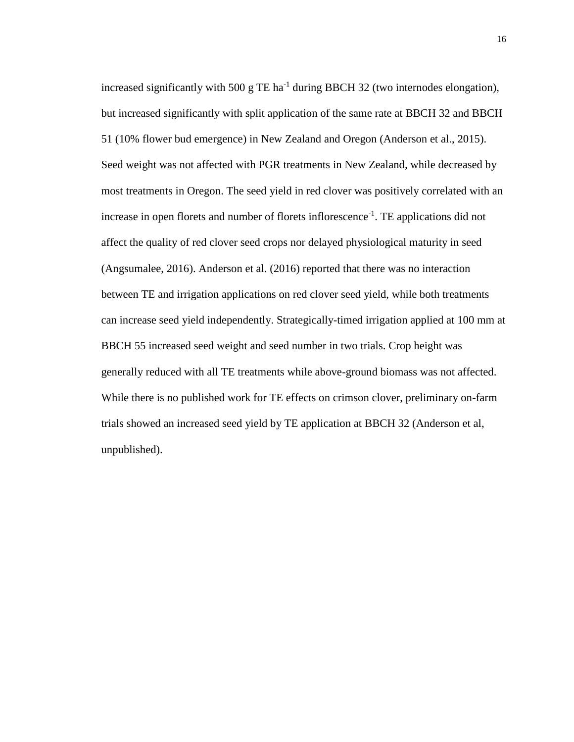increased significantly with 500 g TE ha<sup>-1</sup> during BBCH 32 (two internodes elongation), but increased significantly with split application of the same rate at BBCH 32 and BBCH 51 (10% flower bud emergence) in New Zealand and Oregon (Anderson et al., 2015). Seed weight was not affected with PGR treatments in New Zealand, while decreased by most treatments in Oregon. The seed yield in red clover was positively correlated with an increase in open florets and number of florets inflorescence<sup>-1</sup>. TE applications did not affect the quality of red clover seed crops nor delayed physiological maturity in seed (Angsumalee, 2016). Anderson et al. (2016) reported that there was no interaction between TE and irrigation applications on red clover seed yield, while both treatments can increase seed yield independently. Strategically-timed irrigation applied at 100 mm at BBCH 55 increased seed weight and seed number in two trials. Crop height was generally reduced with all TE treatments while above-ground biomass was not affected. While there is no published work for TE effects on crimson clover, preliminary on-farm trials showed an increased seed yield by TE application at BBCH 32 (Anderson et al, unpublished).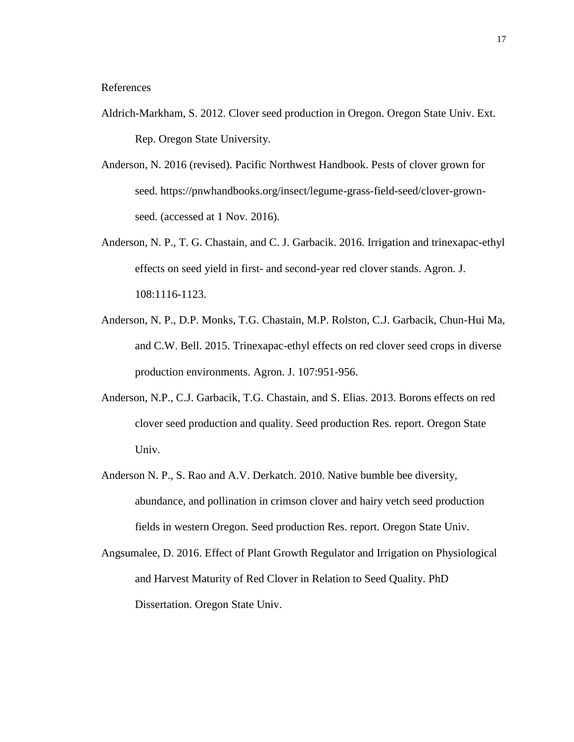#### References

- Aldrich-Markham, S. 2012. Clover seed production in Oregon. Oregon State Univ. Ext. Rep. Oregon State University.
- Anderson, N. 2016 (revised). Pacific Northwest Handbook. Pests of clover grown for seed. [https://pnwhandbooks.org/insect/legume-grass-field-seed/clover-grown](https://pnwhandbooks.org/insect/legume-grass-field-seed/clover-grown-seed)[seed.](https://pnwhandbooks.org/insect/legume-grass-field-seed/clover-grown-seed) (accessed at 1 Nov. 2016).
- Anderson, N. P., T. G. Chastain, and C. J. Garbacik. 2016. Irrigation and trinexapac-ethyl effects on seed yield in first- and second-year red clover stands. Agron. J. 108:1116-1123.
- Anderson, N. P., D.P. Monks, T.G. Chastain, M.P. Rolston, C.J. Garbacik, Chun-Hui Ma, and C.W. Bell. 2015. Trinexapac-ethyl effects on red clover seed crops in diverse production environments. Agron. J. 107:951-956.
- Anderson, N.P., C.J. Garbacik, T.G. Chastain, and S. Elias. 2013. Borons effects on red clover seed production and quality. Seed production Res. report. Oregon State Univ.
- Anderson N. P., S. Rao and A.V. Derkatch. 2010. Native bumble bee diversity, abundance, and pollination in crimson clover and hairy vetch seed production fields in western Oregon. Seed production Res. report. Oregon State Univ.
- Angsumalee, D. 2016. Effect of Plant Growth Regulator and Irrigation on Physiological and Harvest Maturity of Red Clover in Relation to Seed Quality. PhD Dissertation. Oregon State Univ.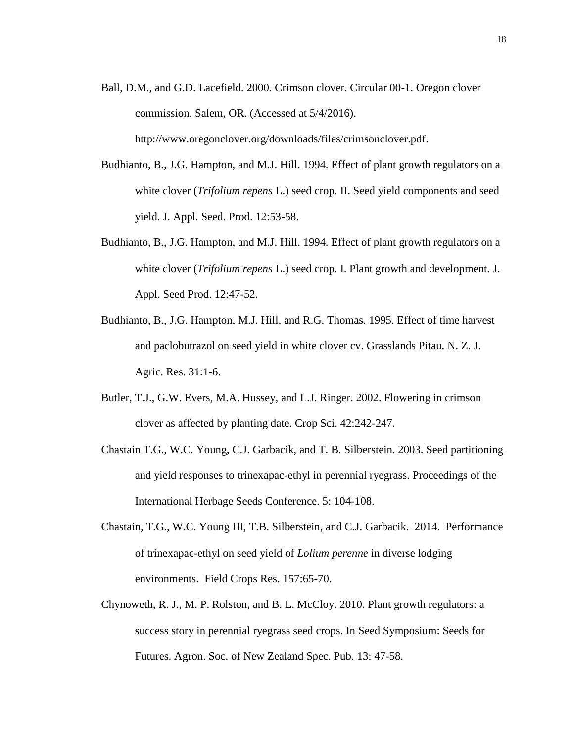- Ball, D.M., and G.D. Lacefield. 2000. Crimson clover. Circular 00-1. Oregon clover commission. Salem, OR. (Accessed at 5/4/2016). [http://www.oregonclover.org/downloads/files/crimsonclover.pdf.](http://www.oregonclover.org/downloads/files/crimsonclover.pdf)
- Budhianto, B., J.G. Hampton, and M.J. Hill. 1994. Effect of plant growth regulators on a white clover (*Trifolium repens* L.) seed crop. II. Seed yield components and seed yield. J. Appl. Seed. Prod. 12:53-58.
- Budhianto, B., J.G. Hampton, and M.J. Hill. 1994. Effect of plant growth regulators on a white clover (*Trifolium repens* L.) seed crop. I. Plant growth and development. J. Appl. Seed Prod. 12:47-52.
- Budhianto, B., J.G. Hampton, M.J. Hill, and R.G. Thomas. 1995. Effect of time harvest and paclobutrazol on seed yield in white clover cv. Grasslands Pitau. N. Z. J. Agric. Res. 31:1-6.
- Butler, T.J., G.W. Evers, M.A. Hussey, and L.J. Ringer. 2002. Flowering in crimson clover as affected by planting date. Crop Sci. 42:242-247.
- Chastain T.G., W.C. Young, C.J. Garbacik, and T. B. Silberstein. 2003. Seed partitioning and yield responses to trinexapac-ethyl in perennial ryegrass. Proceedings of the International Herbage Seeds Conference. 5: 104-108.
- Chastain, T.G., W.C. Young III, T.B. Silberstein, and C.J. Garbacik. 2014. Performance of trinexapac-ethyl on seed yield of *Lolium perenne* in diverse lodging environments. Field Crops Res. 157:65-70.
- Chynoweth, R. J., M. P. Rolston, and B. L. McCloy. 2010. Plant growth regulators: a success story in perennial ryegrass seed crops. In Seed Symposium: Seeds for Futures. Agron. Soc. of New Zealand Spec. Pub. 13: 47-58.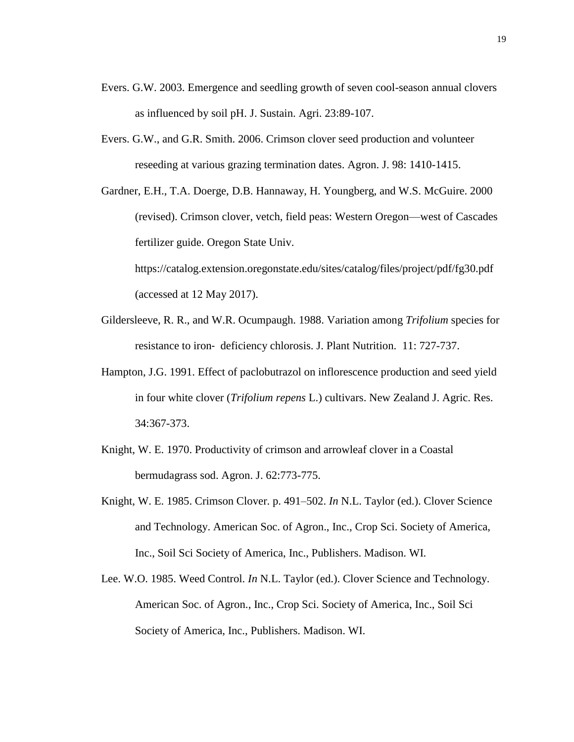- Evers. G.W. 2003. Emergence and seedling growth of seven cool-season annual clovers as influenced by soil pH. J. Sustain. Agri. 23:89-107.
- Evers. G.W., and G.R. Smith. 2006. Crimson clover seed production and volunteer reseeding at various grazing termination dates. Agron. J. 98: 1410-1415.

Gardner, E.H., T.A. Doerge, D.B. Hannaway, H. Youngberg, and W.S. McGuire. 2000 (revised). Crimson clover, vetch, field peas: Western Oregon—west of Cascades fertilizer guide. Oregon State Univ. <https://catalog.extension.oregonstate.edu/sites/catalog/files/project/pdf/fg30.pdf>

(accessed at 12 May 2017).

- Gildersleeve, R. R., and W.R. Ocumpaugh. 1988. Variation among *Trifolium* species for resistance to iron‐ deficiency chlorosis. J. Plant Nutrition. 11: 727-737.
- Hampton, J.G. 1991. Effect of paclobutrazol on inflorescence production and seed yield in four white clover (*Trifolium repens* L.) cultivars. New Zealand J. Agric. Res. 34:367-373.
- Knight, W. E. 1970. Productivity of crimson and arrowleaf clover in a Coastal bermudagrass sod. Agron. J. 62:773-775.
- Knight, W. E. 1985. Crimson Clover. p. 491–502. *In* N.L. Taylor (ed.). Clover Science and Technology. American Soc. of Agron., Inc., Crop Sci. Society of America, Inc., Soil Sci Society of America, Inc., Publishers. Madison. WI.
- Lee. W.O. 1985. Weed Control. *In* N.L. Taylor (ed.). Clover Science and Technology. American Soc. of Agron., Inc., Crop Sci. Society of America, Inc., Soil Sci Society of America, Inc., Publishers. Madison. WI.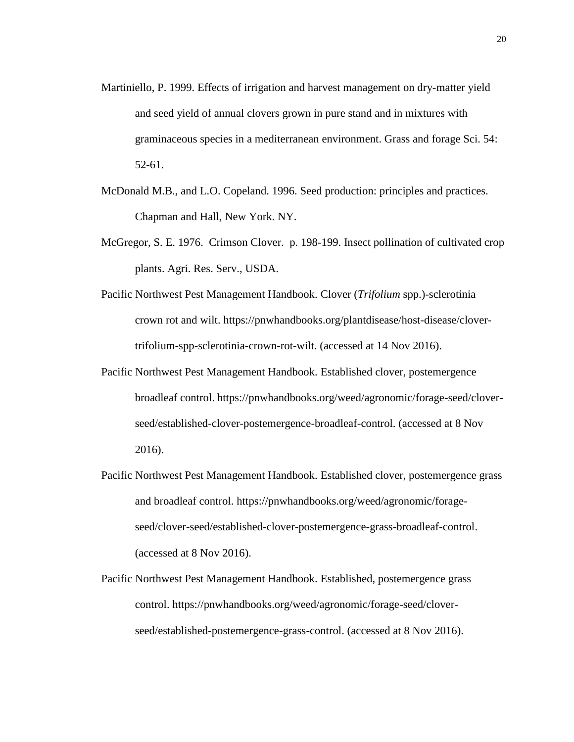- Martiniello, P. 1999. Effects of irrigation and harvest management on dry-matter yield and seed yield of annual clovers grown in pure stand and in mixtures with graminaceous species in a mediterranean environment. Grass and forage Sci. 54: 52-61.
- McDonald M.B., and L.O. Copeland. 1996. Seed production: principles and practices. Chapman and Hall, New York. NY.
- McGregor, S. E. 1976. Crimson Clover. p. 198-199. Insect pollination of cultivated crop plants. Agri. Res. Serv., USDA.
- Pacific Northwest Pest Management Handbook. Clover (*Trifolium* spp.)-sclerotinia crown rot and wilt. [https://pnwhandbooks.org/plantdisease/host-disease/clover](https://pnwhandbooks.org/plantdisease/host-disease/clover-trifolium-spp-sclerotinia-crown-rot-wilt)[trifolium-spp-sclerotinia-crown-rot-wilt.](https://pnwhandbooks.org/plantdisease/host-disease/clover-trifolium-spp-sclerotinia-crown-rot-wilt) (accessed at 14 Nov 2016).
- Pacific Northwest Pest Management Handbook. Established clover, postemergence broadleaf control. [https://pnwhandbooks.org/weed/agronomic/forage-seed/clover](https://pnwhandbooks.org/weed/agronomic/forage-seed/clover-seed/established-clover-postemergence-broadleaf-control)[seed/established-clover-postemergence-broadleaf-control.](https://pnwhandbooks.org/weed/agronomic/forage-seed/clover-seed/established-clover-postemergence-broadleaf-control) (accessed at 8 Nov 2016).
- Pacific Northwest Pest Management Handbook. Established clover, postemergence grass and broadleaf control. [https://pnwhandbooks.org/weed/agronomic/forage](https://pnwhandbooks.org/weed/agronomic/forage-seed/clover-seed/established-clover-postemergence-grass-broadleaf-control)[seed/clover-seed/established-clover-postemergence-grass-broadleaf-control.](https://pnwhandbooks.org/weed/agronomic/forage-seed/clover-seed/established-clover-postemergence-grass-broadleaf-control) (accessed at 8 Nov 2016).
- Pacific Northwest Pest Management Handbook. Established, postemergence grass control. [https://pnwhandbooks.org/weed/agronomic/forage-seed/clover](https://pnwhandbooks.org/weed/agronomic/forage-seed/clover-seed/established-postemergence-grass-control)[seed/established-postemergence-grass-control.](https://pnwhandbooks.org/weed/agronomic/forage-seed/clover-seed/established-postemergence-grass-control) (accessed at 8 Nov 2016).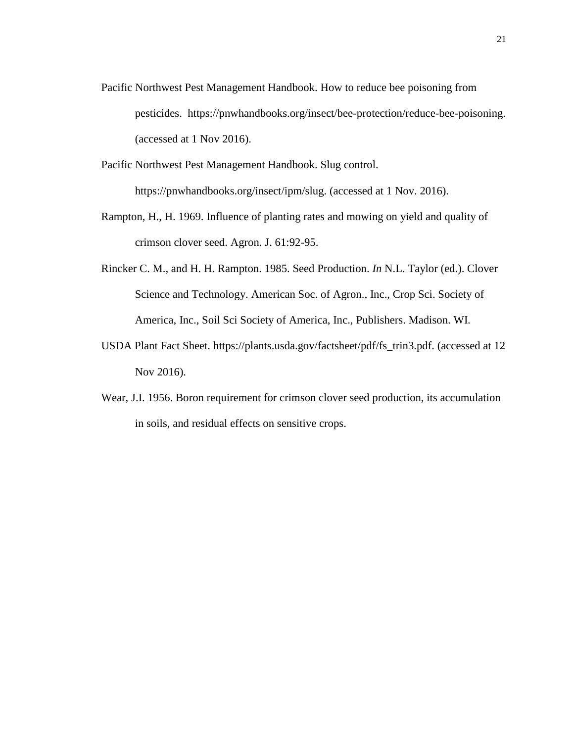- Pacific Northwest Pest Management Handbook. How to reduce bee poisoning from pesticides. [https://pnwhandbooks.org/insect/bee-protection/reduce-bee-poisoning.](https://pnwhandbooks.org/insect/bee-protection/reduce-bee-poisoning) (accessed at 1 Nov 2016).
- Pacific Northwest Pest Management Handbook. Slug control. [https://pnwhandbooks.org/insect/ipm/slug.](https://pnwhandbooks.org/insect/ipm/slug) (accessed at 1 Nov. 2016).
- Rampton, H., H. 1969. Influence of planting rates and mowing on yield and quality of crimson clover seed. Agron. J. 61:92-95.
- Rincker C. M., and H. H. Rampton. 1985. Seed Production. *In* N.L. Taylor (ed.). Clover Science and Technology. American Soc. of Agron., Inc., Crop Sci. Society of America, Inc., Soil Sci Society of America, Inc., Publishers. Madison. WI.
- USDA Plant Fact Sheet. [https://plants.usda.gov/factsheet/pdf/fs\\_trin3.pdf.](https://plants.usda.gov/factsheet/pdf/fs_trin3.pdf) (accessed at 12 Nov 2016).
- Wear, J.I. 1956. Boron requirement for crimson clover seed production, its accumulation in soils, and residual effects on sensitive crops.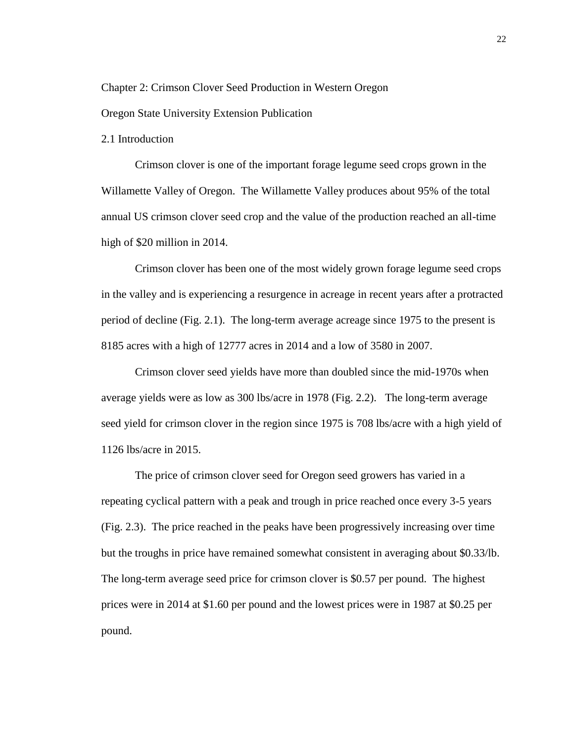Chapter 2: Crimson Clover Seed Production in Western Oregon

Oregon State University Extension Publication

2.1 Introduction

Crimson clover is one of the important forage legume seed crops grown in the Willamette Valley of Oregon. The Willamette Valley produces about 95% of the total annual US crimson clover seed crop and the value of the production reached an all-time high of \$20 million in 2014.

Crimson clover has been one of the most widely grown forage legume seed crops in the valley and is experiencing a resurgence in acreage in recent years after a protracted period of decline (Fig. 2.1). The long-term average acreage since 1975 to the present is 8185 acres with a high of 12777 acres in 2014 and a low of 3580 in 2007.

Crimson clover seed yields have more than doubled since the mid-1970s when average yields were as low as 300 lbs/acre in 1978 (Fig. 2.2). The long-term average seed yield for crimson clover in the region since 1975 is 708 lbs/acre with a high yield of 1126 lbs/acre in 2015.

The price of crimson clover seed for Oregon seed growers has varied in a repeating cyclical pattern with a peak and trough in price reached once every 3-5 years (Fig. 2.3). The price reached in the peaks have been progressively increasing over time but the troughs in price have remained somewhat consistent in averaging about \$0.33/lb. The long-term average seed price for crimson clover is \$0.57 per pound. The highest prices were in 2014 at \$1.60 per pound and the lowest prices were in 1987 at \$0.25 per pound.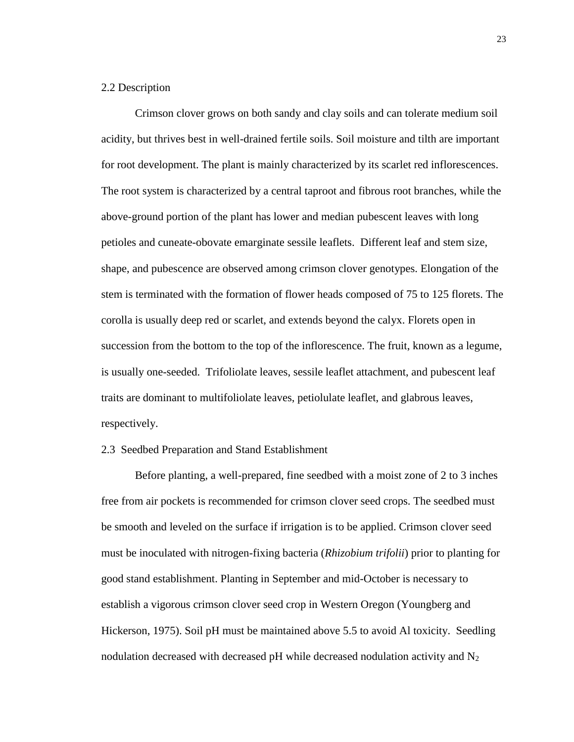#### 2.2 Description

Crimson clover grows on both sandy and clay soils and can tolerate medium soil acidity, but thrives best in well-drained fertile soils. Soil moisture and tilth are important for root development. The plant is mainly characterized by its scarlet red inflorescences. The root system is characterized by a central taproot and fibrous root branches, while the above-ground portion of the plant has lower and median pubescent leaves with long petioles and cuneate-obovate emarginate sessile leaflets. Different leaf and stem size, shape, and pubescence are observed among crimson clover genotypes. Elongation of the stem is terminated with the formation of flower heads composed of 75 to 125 florets. The corolla is usually deep red or scarlet, and extends beyond the calyx. Florets open in succession from the bottom to the top of the inflorescence. The fruit, known as a legume, is usually one-seeded. Trifoliolate leaves, sessile leaflet attachment, and pubescent leaf traits are dominant to multifoliolate leaves, petiolulate leaflet, and glabrous leaves, respectively.

#### 2.3 Seedbed Preparation and Stand Establishment

Before planting, a well-prepared, fine seedbed with a moist zone of 2 to 3 inches free from air pockets is recommended for crimson clover seed crops. The seedbed must be smooth and leveled on the surface if irrigation is to be applied. Crimson clover seed must be inoculated with nitrogen-fixing bacteria (*Rhizobium trifolii*) prior to planting for good stand establishment. Planting in September and mid-October is necessary to establish a vigorous crimson clover seed crop in Western Oregon (Youngberg and Hickerson, 1975). Soil pH must be maintained above 5.5 to avoid Al toxicity. Seedling nodulation decreased with decreased pH while decreased nodulation activity and  $N_2$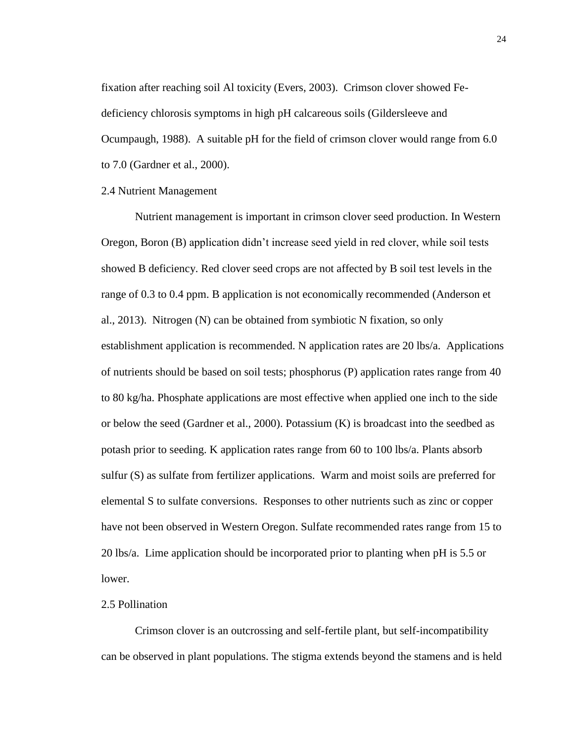fixation after reaching soil Al toxicity (Evers, 2003). Crimson clover showed Fedeficiency chlorosis symptoms in high pH calcareous soils (Gildersleeve and Ocumpaugh, 1988). A suitable pH for the field of crimson clover would range from 6.0 to 7.0 (Gardner et al., 2000).

#### 2.4 Nutrient Management

Nutrient management is important in crimson clover seed production. In Western Oregon, Boron (B) application didn't increase seed yield in red clover, while soil tests showed B deficiency. Red clover seed crops are not affected by B soil test levels in the range of 0.3 to 0.4 ppm. B application is not economically recommended (Anderson et al., 2013). Nitrogen (N) can be obtained from symbiotic N fixation, so only establishment application is recommended. N application rates are 20 lbs/a. Applications of nutrients should be based on soil tests; phosphorus (P) application rates range from 40 to 80 kg/ha. Phosphate applications are most effective when applied one inch to the side or below the seed (Gardner et al., 2000). Potassium (K) is broadcast into the seedbed as potash prior to seeding. K application rates range from 60 to 100 lbs/a. Plants absorb sulfur (S) as sulfate from fertilizer applications. Warm and moist soils are preferred for elemental S to sulfate conversions. Responses to other nutrients such as zinc or copper have not been observed in Western Oregon. Sulfate recommended rates range from 15 to 20 lbs/a. Lime application should be incorporated prior to planting when pH is 5.5 or lower.

#### 2.5 Pollination

Crimson clover is an outcrossing and self-fertile plant, but self-incompatibility can be observed in plant populations. The stigma extends beyond the stamens and is held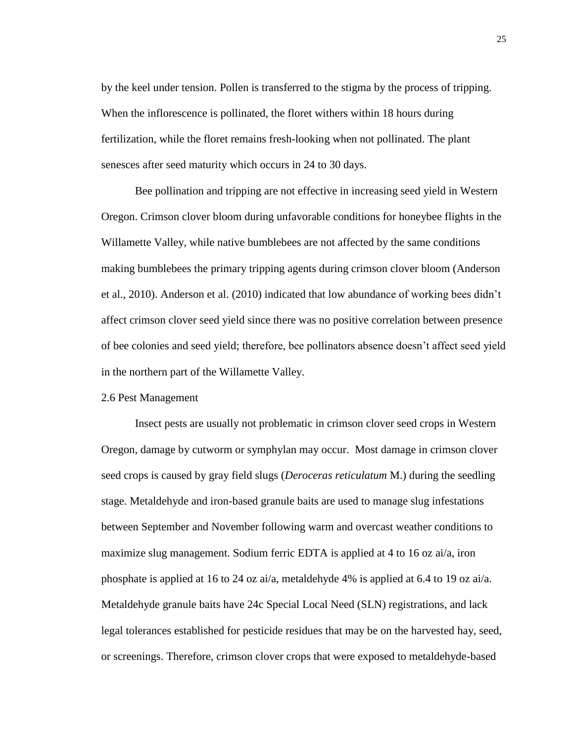by the keel under tension. Pollen is transferred to the stigma by the process of tripping. When the inflorescence is pollinated, the floret withers within 18 hours during fertilization, while the floret remains fresh-looking when not pollinated. The plant senesces after seed maturity which occurs in 24 to 30 days.

Bee pollination and tripping are not effective in increasing seed yield in Western Oregon. Crimson clover bloom during unfavorable conditions for honeybee flights in the Willamette Valley, while native bumblebees are not affected by the same conditions making bumblebees the primary tripping agents during crimson clover bloom (Anderson et al., 2010). Anderson et al. (2010) indicated that low abundance of working bees didn't affect crimson clover seed yield since there was no positive correlation between presence of bee colonies and seed yield; therefore, bee pollinators absence doesn't affect seed yield in the northern part of the Willamette Valley.

#### 2.6 Pest Management

Insect pests are usually not problematic in crimson clover seed crops in Western Oregon, damage by cutworm or symphylan may occur. Most damage in crimson clover seed crops is caused by gray field slugs (*Deroceras reticulatum* M.) during the seedling stage. Metaldehyde and iron-based granule baits are used to manage slug infestations between September and November following warm and overcast weather conditions to maximize slug management. Sodium ferric EDTA is applied at 4 to 16 oz ai/a, iron phosphate is applied at 16 to 24 oz ai/a, metaldehyde 4% is applied at 6.4 to 19 oz ai/a. Metaldehyde granule baits have 24c Special Local Need (SLN) registrations, and lack legal tolerances established for pesticide residues that may be on the harvested hay, seed, or screenings. Therefore, crimson clover crops that were exposed to metaldehyde-based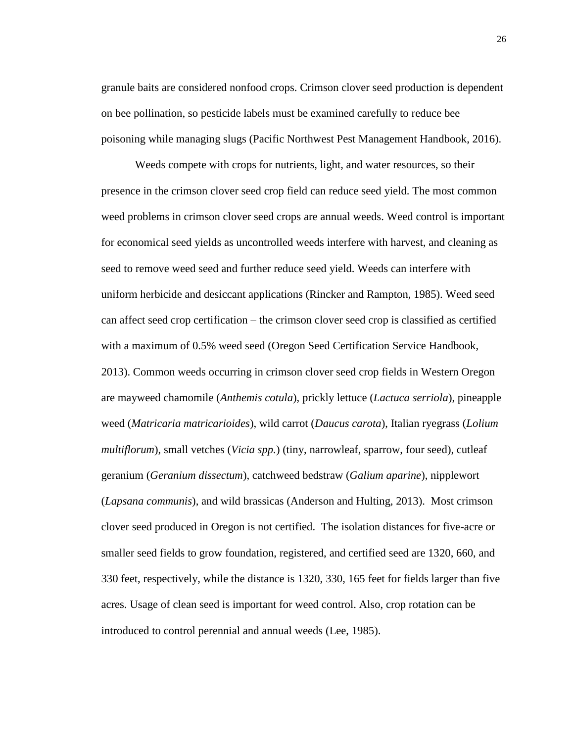granule baits are considered nonfood crops. Crimson clover seed production is dependent on bee pollination, so pesticide labels must be examined carefully to reduce bee poisoning while managing slugs (Pacific Northwest Pest Management Handbook, 2016).

Weeds compete with crops for nutrients, light, and water resources, so their presence in the crimson clover seed crop field can reduce seed yield. The most common weed problems in crimson clover seed crops are annual weeds. Weed control is important for economical seed yields as uncontrolled weeds interfere with harvest, and cleaning as seed to remove weed seed and further reduce seed yield. Weeds can interfere with uniform herbicide and desiccant applications (Rincker and Rampton, 1985). Weed seed can affect seed crop certification – the crimson clover seed crop is classified as certified with a maximum of 0.5% weed seed (Oregon Seed Certification Service Handbook, 2013). Common weeds occurring in crimson clover seed crop fields in Western Oregon are mayweed chamomile (*Anthemis cotula*), prickly lettuce (*Lactuca serriola*), pineapple weed (*Matricaria matricarioides*), wild carrot (*Daucus carota*), Italian ryegrass (*Lolium multiflorum*), small vetches (*Vicia spp.*) (tiny, narrowleaf, sparrow, four seed), cutleaf geranium (*Geranium dissectum*), catchweed bedstraw (*Galium aparine*), nipplewort (*Lapsana communis*), and wild brassicas (Anderson and Hulting, 2013). Most crimson clover seed produced in Oregon is not certified. The isolation distances for five-acre or smaller seed fields to grow foundation, registered, and certified seed are 1320, 660, and 330 feet, respectively, while the distance is 1320, 330, 165 feet for fields larger than five acres. Usage of clean seed is important for weed control. Also, crop rotation can be introduced to control perennial and annual weeds (Lee, 1985).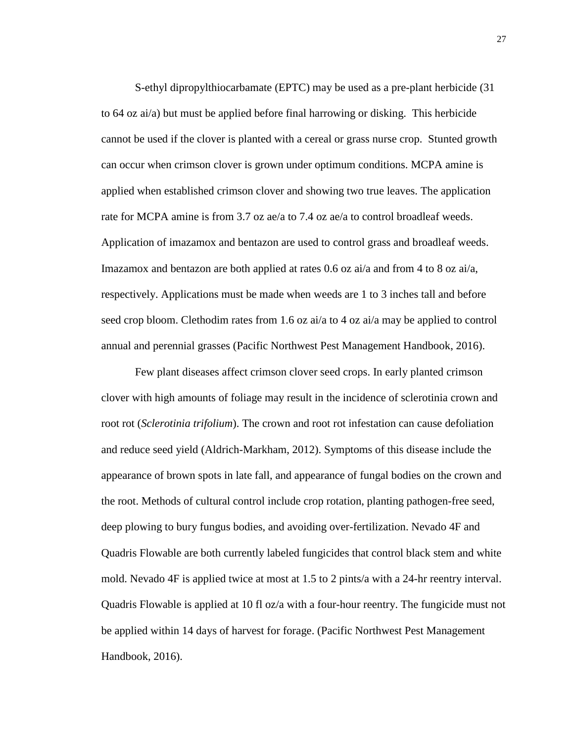S-ethyl dipropylthiocarbamate (EPTC) may be used as a pre-plant herbicide (31 to 64 oz ai/a) but must be applied before final harrowing or disking. This herbicide cannot be used if the clover is planted with a cereal or grass nurse crop. Stunted growth can occur when crimson clover is grown under optimum conditions. MCPA amine is applied when established crimson clover and showing two true leaves. The application rate for MCPA amine is from 3.7 oz ae/a to 7.4 oz ae/a to control broadleaf weeds. Application of imazamox and bentazon are used to control grass and broadleaf weeds. Imazamox and bentazon are both applied at rates 0.6 oz ai/a and from 4 to 8 oz ai/a, respectively. Applications must be made when weeds are 1 to 3 inches tall and before seed crop bloom. Clethodim rates from 1.6 oz ai/a to 4 oz ai/a may be applied to control annual and perennial grasses (Pacific Northwest Pest Management Handbook, 2016).

Few plant diseases affect crimson clover seed crops. In early planted crimson clover with high amounts of foliage may result in the incidence of sclerotinia crown and root rot (*Sclerotinia trifolium*). The crown and root rot infestation can cause defoliation and reduce seed yield (Aldrich-Markham, 2012). Symptoms of this disease include the appearance of brown spots in late fall, and appearance of fungal bodies on the crown and the root. Methods of cultural control include crop rotation, planting pathogen-free seed, deep plowing to bury fungus bodies, and avoiding over-fertilization. Nevado 4F and Quadris Flowable are both currently labeled fungicides that control black stem and white mold. Nevado 4F is applied twice at most at 1.5 to 2 pints/a with a 24-hr reentry interval. Quadris Flowable is applied at 10 fl oz/a with a four-hour reentry. The fungicide must not be applied within 14 days of harvest for forage. (Pacific Northwest Pest Management Handbook, 2016).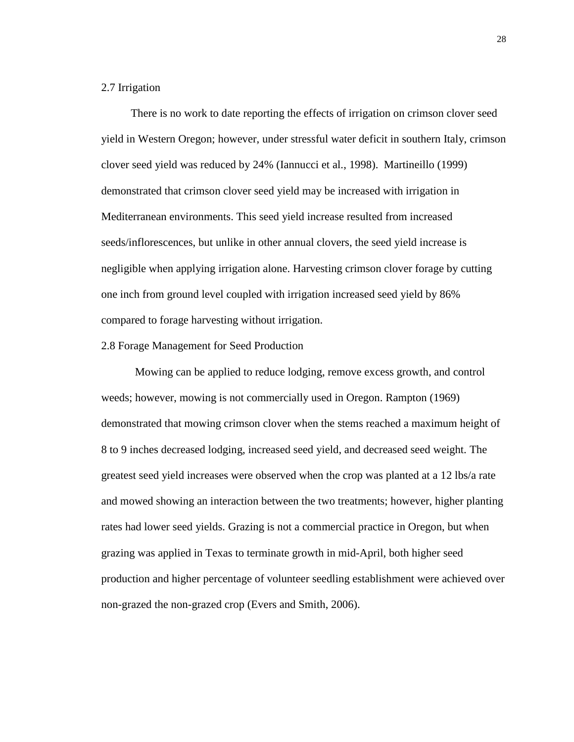## 2.7 Irrigation

There is no work to date reporting the effects of irrigation on crimson clover seed yield in Western Oregon; however, under stressful water deficit in southern Italy, crimson clover seed yield was reduced by 24% (Iannucci et al*.*, 1998). Martineillo (1999) demonstrated that crimson clover seed yield may be increased with irrigation in Mediterranean environments. This seed yield increase resulted from increased seeds/inflorescences, but unlike in other annual clovers, the seed yield increase is negligible when applying irrigation alone. Harvesting crimson clover forage by cutting one inch from ground level coupled with irrigation increased seed yield by 86% compared to forage harvesting without irrigation.

### 2.8 Forage Management for Seed Production

Mowing can be applied to reduce lodging, remove excess growth, and control weeds; however, mowing is not commercially used in Oregon. Rampton (1969) demonstrated that mowing crimson clover when the stems reached a maximum height of 8 to 9 inches decreased lodging, increased seed yield, and decreased seed weight. The greatest seed yield increases were observed when the crop was planted at a 12 lbs/a rate and mowed showing an interaction between the two treatments; however, higher planting rates had lower seed yields. Grazing is not a commercial practice in Oregon, but when grazing was applied in Texas to terminate growth in mid-April, both higher seed production and higher percentage of volunteer seedling establishment were achieved over non-grazed the non-grazed crop (Evers and Smith, 2006).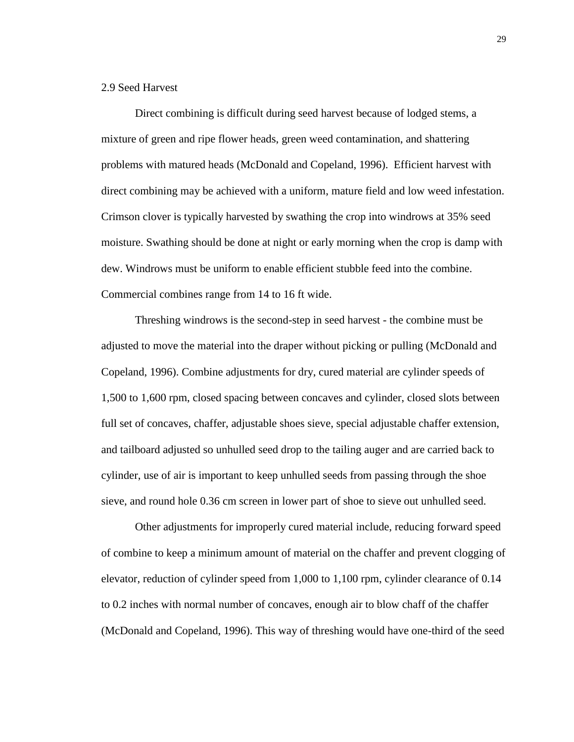# 2.9 Seed Harvest

Direct combining is difficult during seed harvest because of lodged stems, a mixture of green and ripe flower heads, green weed contamination, and shattering problems with matured heads (McDonald and Copeland, 1996). Efficient harvest with direct combining may be achieved with a uniform, mature field and low weed infestation. Crimson clover is typically harvested by swathing the crop into windrows at 35% seed moisture. Swathing should be done at night or early morning when the crop is damp with dew. Windrows must be uniform to enable efficient stubble feed into the combine. Commercial combines range from 14 to 16 ft wide.

Threshing windrows is the second-step in seed harvest - the combine must be adjusted to move the material into the draper without picking or pulling (McDonald and Copeland, 1996). Combine adjustments for dry, cured material are cylinder speeds of 1,500 to 1,600 rpm, closed spacing between concaves and cylinder, closed slots between full set of concaves, chaffer, adjustable shoes sieve, special adjustable chaffer extension, and tailboard adjusted so unhulled seed drop to the tailing auger and are carried back to cylinder, use of air is important to keep unhulled seeds from passing through the shoe sieve, and round hole 0.36 cm screen in lower part of shoe to sieve out unhulled seed.

Other adjustments for improperly cured material include, reducing forward speed of combine to keep a minimum amount of material on the chaffer and prevent clogging of elevator, reduction of cylinder speed from 1,000 to 1,100 rpm, cylinder clearance of 0.14 to 0.2 inches with normal number of concaves, enough air to blow chaff of the chaffer (McDonald and Copeland, 1996). This way of threshing would have one-third of the seed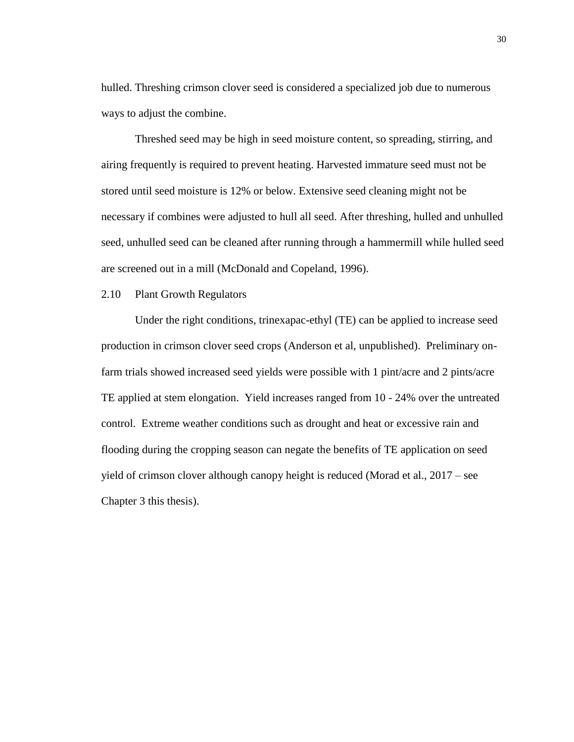hulled. Threshing crimson clover seed is considered a specialized job due to numerous ways to adjust the combine.

Threshed seed may be high in seed moisture content, so spreading, stirring, and airing frequently is required to prevent heating. Harvested immature seed must not be stored until seed moisture is 12% or below. Extensive seed cleaning might not be necessary if combines were adjusted to hull all seed. After threshing, hulled and unhulled seed, unhulled seed can be cleaned after running through a hammermill while hulled seed are screened out in a mill (McDonald and Copeland, 1996).

#### 2.10 Plant Growth Regulators

Under the right conditions, trinexapac-ethyl (TE) can be applied to increase seed production in crimson clover seed crops (Anderson et al, unpublished). Preliminary onfarm trials showed increased seed yields were possible with 1 pint/acre and 2 pints/acre TE applied at stem elongation. Yield increases ranged from 10 - 24% over the untreated control. Extreme weather conditions such as drought and heat or excessive rain and flooding during the cropping season can negate the benefits of TE application on seed yield of crimson clover although canopy height is reduced (Morad et al., 2017 – see Chapter 3 this thesis).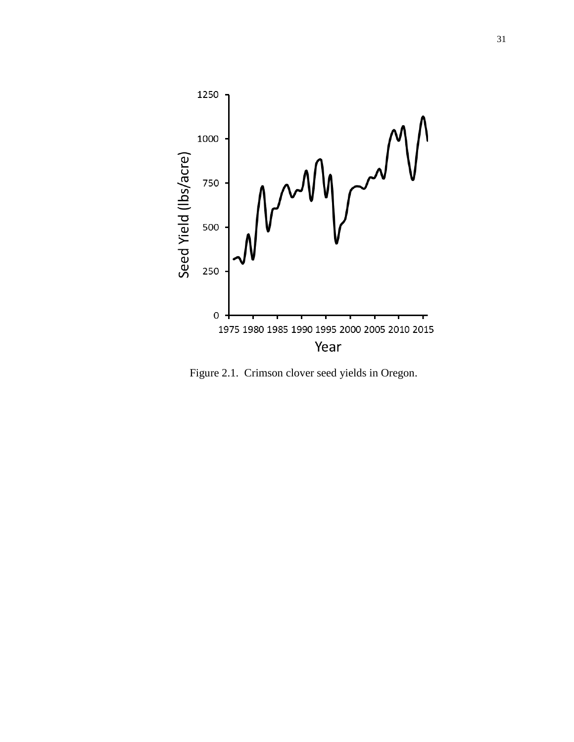

Figure 2.1. Crimson clover seed yields in Oregon.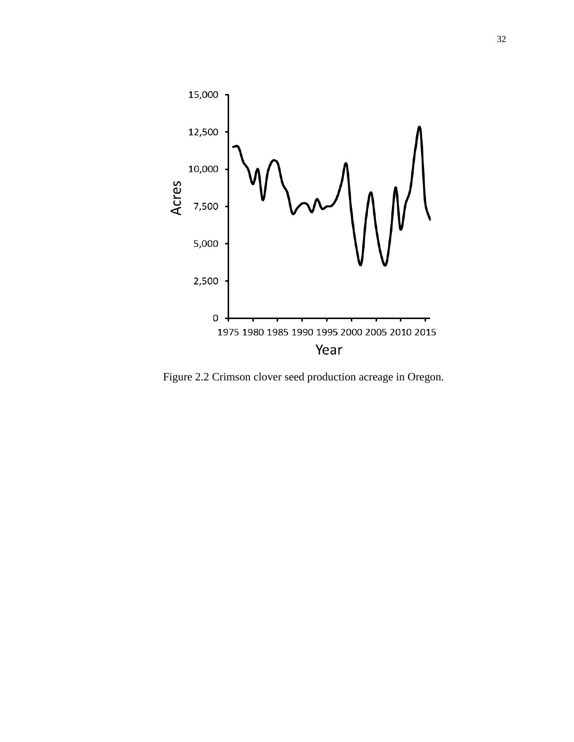

Figure 2.2 Crimson clover seed production acreage in Oregon.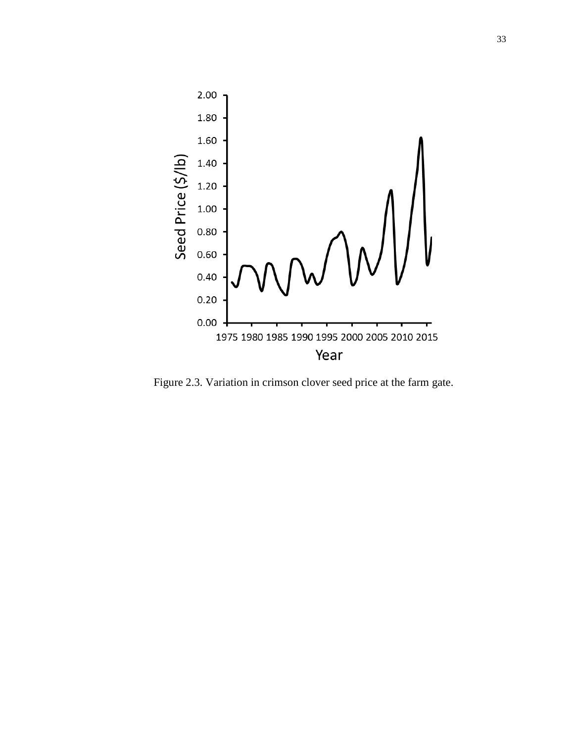

Figure 2.3. Variation in crimson clover seed price at the farm gate.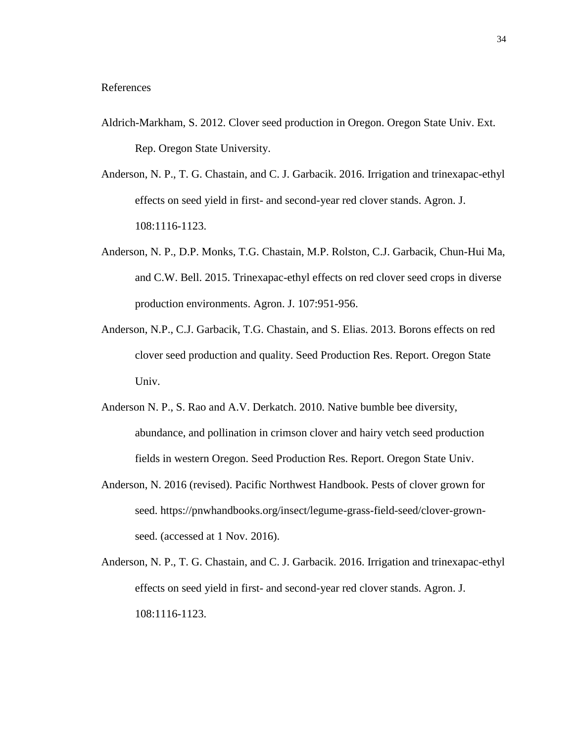- Aldrich-Markham, S. 2012. Clover seed production in Oregon. Oregon State Univ. Ext. Rep. Oregon State University.
- Anderson, N. P., T. G. Chastain, and C. J. Garbacik. 2016. Irrigation and trinexapac-ethyl effects on seed yield in first- and second-year red clover stands. Agron. J. 108:1116-1123.
- Anderson, N. P., D.P. Monks, T.G. Chastain, M.P. Rolston, C.J. Garbacik, Chun-Hui Ma, and C.W. Bell. 2015. Trinexapac-ethyl effects on red clover seed crops in diverse production environments. Agron. J. 107:951-956.
- Anderson, N.P., C.J. Garbacik, T.G. Chastain, and S. Elias. 2013. Borons effects on red clover seed production and quality. Seed Production Res. Report. Oregon State Univ.
- Anderson N. P., S. Rao and A.V. Derkatch. 2010. Native bumble bee diversity, abundance, and pollination in crimson clover and hairy vetch seed production fields in western Oregon. Seed Production Res. Report. Oregon State Univ.
- Anderson, N. 2016 (revised). Pacific Northwest Handbook. Pests of clover grown for seed. [https://pnwhandbooks.org/insect/legume-grass-field-seed/clover-grown](https://pnwhandbooks.org/insect/legume-grass-field-seed/clover-grown-seed)[seed.](https://pnwhandbooks.org/insect/legume-grass-field-seed/clover-grown-seed) (accessed at 1 Nov. 2016).
- Anderson, N. P., T. G. Chastain, and C. J. Garbacik. 2016. Irrigation and trinexapac-ethyl effects on seed yield in first- and second-year red clover stands. Agron. J. 108:1116-1123.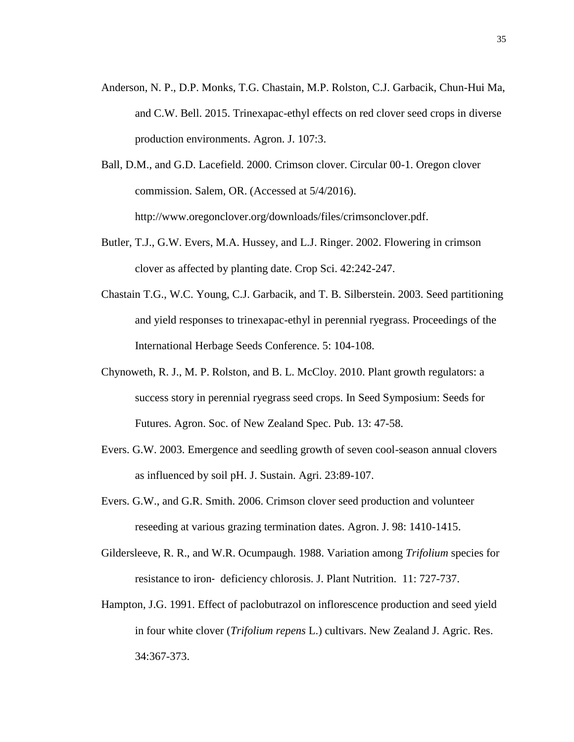- Anderson, N. P., D.P. Monks, T.G. Chastain, M.P. Rolston, C.J. Garbacik, Chun-Hui Ma, and C.W. Bell. 2015. Trinexapac-ethyl effects on red clover seed crops in diverse production environments. Agron. J. 107:3.
- Ball, D.M., and G.D. Lacefield. 2000. Crimson clover. Circular 00-1. Oregon clover commission. Salem, OR. (Accessed at 5/4/2016). [http://www.oregonclover.org/downloads/files/crimsonclover.pdf.](http://www.oregonclover.org/downloads/files/crimsonclover.pdf)
- Butler, T.J., G.W. Evers, M.A. Hussey, and L.J. Ringer. 2002. Flowering in crimson clover as affected by planting date. Crop Sci. 42:242-247.
- Chastain T.G., W.C. Young, C.J. Garbacik, and T. B. Silberstein. 2003. Seed partitioning and yield responses to trinexapac-ethyl in perennial ryegrass. Proceedings of the International Herbage Seeds Conference. 5: 104-108.
- Chynoweth, R. J., M. P. Rolston, and B. L. McCloy. 2010. Plant growth regulators: a success story in perennial ryegrass seed crops. In Seed Symposium: Seeds for Futures. Agron. Soc. of New Zealand Spec. Pub. 13: 47-58.
- Evers. G.W. 2003. Emergence and seedling growth of seven cool-season annual clovers as influenced by soil pH. J. Sustain. Agri. 23:89-107.
- Evers. G.W., and G.R. Smith. 2006. Crimson clover seed production and volunteer reseeding at various grazing termination dates. Agron. J. 98: 1410-1415.
- Gildersleeve, R. R., and W.R. Ocumpaugh. 1988. Variation among *Trifolium* species for resistance to iron‐ deficiency chlorosis. J. Plant Nutrition. 11: 727-737.
- Hampton, J.G. 1991. Effect of paclobutrazol on inflorescence production and seed yield in four white clover (*Trifolium repens* L.) cultivars. New Zealand J. Agric. Res. 34:367-373.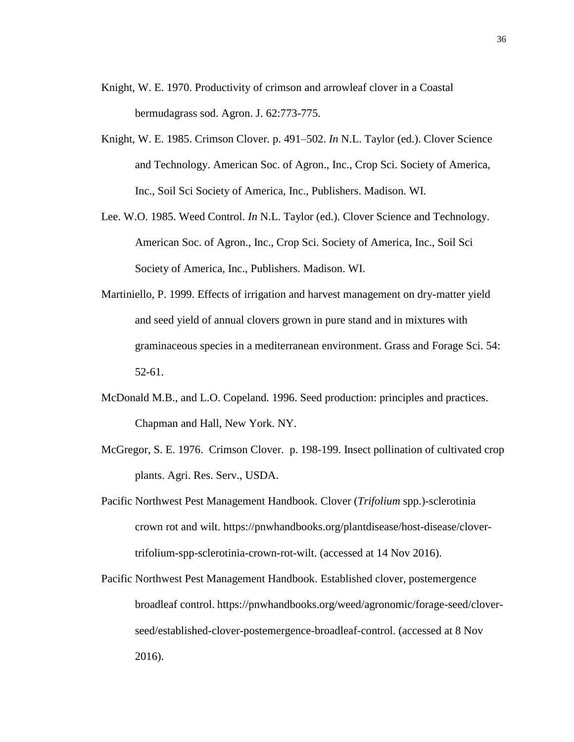- Knight, W. E. 1970. Productivity of crimson and arrowleaf clover in a Coastal bermudagrass sod. Agron. J. 62:773-775.
- Knight, W. E. 1985. Crimson Clover. p. 491–502. *In* N.L. Taylor (ed.). Clover Science and Technology. American Soc. of Agron., Inc., Crop Sci. Society of America, Inc., Soil Sci Society of America, Inc., Publishers. Madison. WI.
- Lee. W.O. 1985. Weed Control. *In* N.L. Taylor (ed.). Clover Science and Technology. American Soc. of Agron., Inc., Crop Sci. Society of America, Inc., Soil Sci Society of America, Inc., Publishers. Madison. WI.
- Martiniello, P. 1999. Effects of irrigation and harvest management on dry-matter yield and seed yield of annual clovers grown in pure stand and in mixtures with graminaceous species in a mediterranean environment. Grass and Forage Sci. 54: 52-61.
- McDonald M.B., and L.O. Copeland. 1996. Seed production: principles and practices. Chapman and Hall, New York. NY.
- McGregor, S. E. 1976. Crimson Clover. p. 198-199. Insect pollination of cultivated crop plants. Agri. Res. Serv., USDA.
- Pacific Northwest Pest Management Handbook. Clover (*Trifolium* spp.)-sclerotinia crown rot and wilt. [https://pnwhandbooks.org/plantdisease/host-disease/clover](https://pnwhandbooks.org/plantdisease/host-disease/clover-trifolium-spp-sclerotinia-crown-rot-wilt)[trifolium-spp-sclerotinia-crown-rot-wilt.](https://pnwhandbooks.org/plantdisease/host-disease/clover-trifolium-spp-sclerotinia-crown-rot-wilt) (accessed at 14 Nov 2016).
- Pacific Northwest Pest Management Handbook. Established clover, postemergence broadleaf control. [https://pnwhandbooks.org/weed/agronomic/forage-seed/clover](https://pnwhandbooks.org/weed/agronomic/forage-seed/clover-seed/established-clover-postemergence-broadleaf-control)[seed/established-clover-postemergence-broadleaf-control.](https://pnwhandbooks.org/weed/agronomic/forage-seed/clover-seed/established-clover-postemergence-broadleaf-control) (accessed at 8 Nov 2016).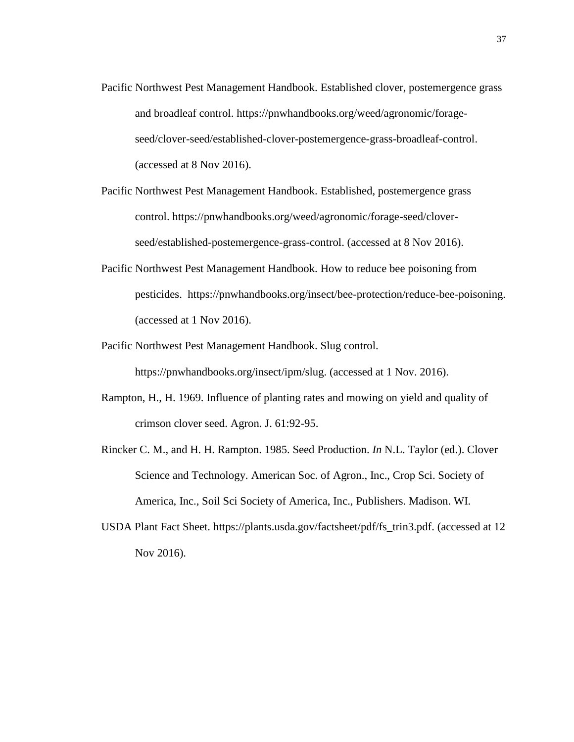- Pacific Northwest Pest Management Handbook. Established clover, postemergence grass and broadleaf control. [https://pnwhandbooks.org/weed/agronomic/forage](https://pnwhandbooks.org/weed/agronomic/forage-seed/clover-seed/established-clover-postemergence-grass-broadleaf-control)[seed/clover-seed/established-clover-postemergence-grass-broadleaf-control.](https://pnwhandbooks.org/weed/agronomic/forage-seed/clover-seed/established-clover-postemergence-grass-broadleaf-control) (accessed at 8 Nov 2016).
- Pacific Northwest Pest Management Handbook. Established, postemergence grass control. [https://pnwhandbooks.org/weed/agronomic/forage-seed/clover](https://pnwhandbooks.org/weed/agronomic/forage-seed/clover-seed/established-postemergence-grass-control)[seed/established-postemergence-grass-control.](https://pnwhandbooks.org/weed/agronomic/forage-seed/clover-seed/established-postemergence-grass-control) (accessed at 8 Nov 2016).
- Pacific Northwest Pest Management Handbook. How to reduce bee poisoning from pesticides. [https://pnwhandbooks.org/insect/bee-protection/reduce-bee-poisoning.](https://pnwhandbooks.org/insect/bee-protection/reduce-bee-poisoning) (accessed at 1 Nov 2016).
- Pacific Northwest Pest Management Handbook. Slug control. [https://pnwhandbooks.org/insect/ipm/slug.](https://pnwhandbooks.org/insect/ipm/slug) (accessed at 1 Nov. 2016).
- Rampton, H., H. 1969. Influence of planting rates and mowing on yield and quality of crimson clover seed. Agron. J. 61:92-95.
- Rincker C. M., and H. H. Rampton. 1985. Seed Production. *In* N.L. Taylor (ed.). Clover Science and Technology. American Soc. of Agron., Inc., Crop Sci. Society of America, Inc., Soil Sci Society of America, Inc., Publishers. Madison. WI.
- USDA Plant Fact Sheet. [https://plants.usda.gov/factsheet/pdf/fs\\_trin3.pdf.](https://plants.usda.gov/factsheet/pdf/fs_trin3.pdf) (accessed at 12 Nov 2016).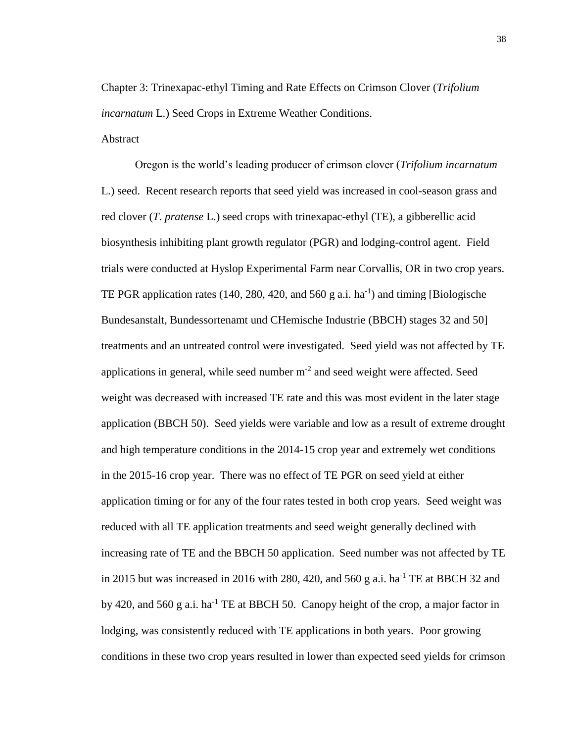Chapter 3: Trinexapac-ethyl Timing and Rate Effects on Crimson Clover (*Trifolium incarnatum* L.) Seed Crops in Extreme Weather Conditions.

Abstract

Oregon is the world's leading producer of crimson clover (*Trifolium incarnatum* L.) seed. Recent research reports that seed yield was increased in cool-season grass and red clover (*T*. *pratense* L.) seed crops with trinexapac-ethyl (TE), a gibberellic acid biosynthesis inhibiting plant growth regulator (PGR) and lodging-control agent. Field trials were conducted at Hyslop Experimental Farm near Corvallis, OR in two crop years. TE PGR application rates  $(140, 280, 420,$  and  $560$  g a.i. ha<sup>-1</sup>) and timing [Biologische Bundesanstalt, Bundessortenamt und CHemische Industrie (BBCH) stages 32 and 50] treatments and an untreated control were investigated. Seed yield was not affected by TE applications in general, while seed number  $m<sup>-2</sup>$  and seed weight were affected. Seed weight was decreased with increased TE rate and this was most evident in the later stage application (BBCH 50). Seed yields were variable and low as a result of extreme drought and high temperature conditions in the 2014-15 crop year and extremely wet conditions in the 2015-16 crop year. There was no effect of TE PGR on seed yield at either application timing or for any of the four rates tested in both crop years. Seed weight was reduced with all TE application treatments and seed weight generally declined with increasing rate of TE and the BBCH 50 application. Seed number was not affected by TE in 2015 but was increased in 2016 with 280, 420, and 560 g a.i.  $ha^{-1}$  TE at BBCH 32 and by 420, and 560 g a.i. ha<sup>-1</sup> TE at BBCH 50. Canopy height of the crop, a major factor in lodging, was consistently reduced with TE applications in both years. Poor growing conditions in these two crop years resulted in lower than expected seed yields for crimson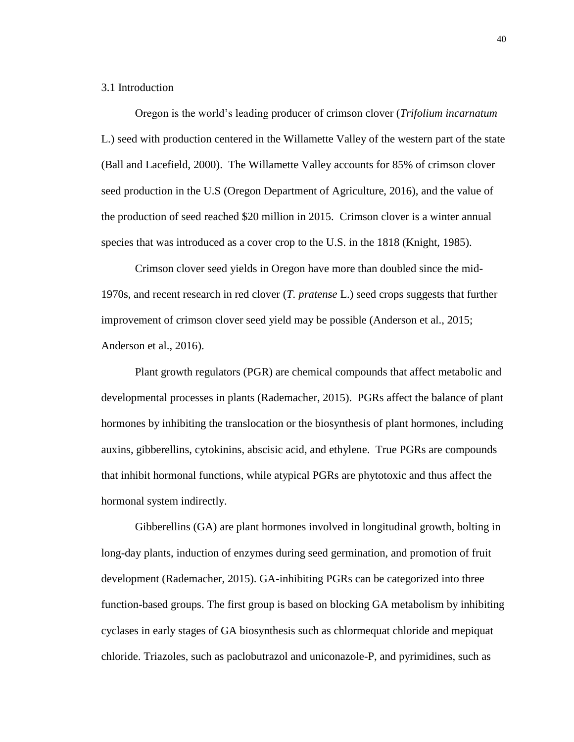# 3.1 Introduction

Oregon is the world's leading producer of crimson clover (*Trifolium incarnatum* L.) seed with production centered in the Willamette Valley of the western part of the state (Ball and Lacefield, 2000). The Willamette Valley accounts for 85% of crimson clover seed production in the U.S (Oregon Department of Agriculture, 2016), and the value of the production of seed reached \$20 million in 2015. Crimson clover is a winter annual species that was introduced as a cover crop to the U.S. in the 1818 (Knight, 1985).

Crimson clover seed yields in Oregon have more than doubled since the mid-1970s, and recent research in red clover (*T. pratense* L.) seed crops suggests that further improvement of crimson clover seed yield may be possible (Anderson et al., 2015; Anderson et al., 2016).

Plant growth regulators (PGR) are chemical compounds that affect metabolic and developmental processes in plants (Rademacher, 2015). PGRs affect the balance of plant hormones by inhibiting the translocation or the biosynthesis of plant hormones, including auxins, gibberellins, cytokinins, abscisic acid, and ethylene. True PGRs are compounds that inhibit hormonal functions, while atypical PGRs are phytotoxic and thus affect the hormonal system indirectly.

Gibberellins (GA) are plant hormones involved in longitudinal growth, bolting in long-day plants, induction of enzymes during seed germination, and promotion of fruit development (Rademacher, 2015). GA-inhibiting PGRs can be categorized into three function-based groups. The first group is based on blocking GA metabolism by inhibiting cyclases in early stages of GA biosynthesis such as chlormequat chloride and mepiquat chloride. Triazoles, such as paclobutrazol and uniconazole-P, and pyrimidines, such as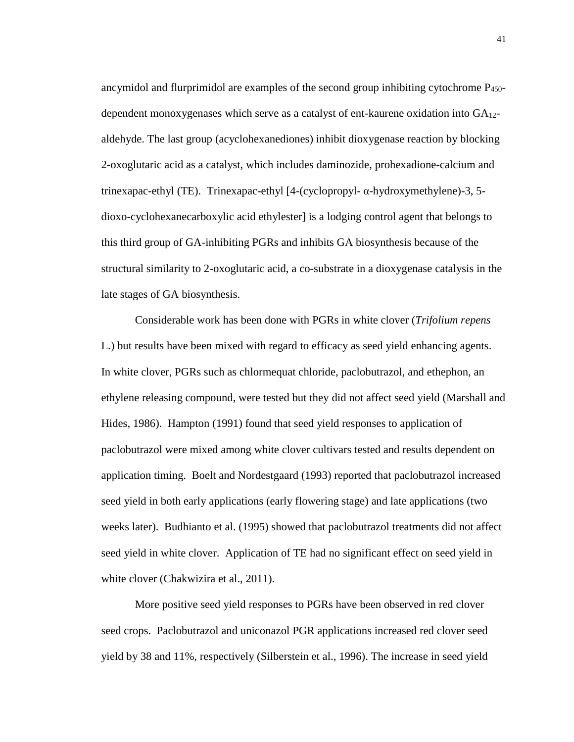ancymidol and flurprimidol are examples of the second group inhibiting cytochrome  $P_{450}$ dependent monoxygenases which serve as a catalyst of ent-kaurene oxidation into GA12 aldehyde. The last group (acyclohexanediones) inhibit dioxygenase reaction by blocking 2-oxoglutaric acid as a catalyst, which includes daminozide, prohexadione-calcium and trinexapac-ethyl (TE). Trinexapac-ethyl [4-(cyclopropyl- α-hydroxymethylene)-3, 5 dioxo-cyclohexanecarboxylic acid ethylester] is a lodging control agent that belongs to this third group of GA-inhibiting PGRs and inhibits GA biosynthesis because of the structural similarity to 2-oxoglutaric acid, a co-substrate in a dioxygenase catalysis in the late stages of GA biosynthesis.

Considerable work has been done with PGRs in white clover (*Trifolium repens*  L.) but results have been mixed with regard to efficacy as seed yield enhancing agents. In white clover, PGRs such as chlormequat chloride, paclobutrazol, and ethephon, an ethylene releasing compound, were tested but they did not affect seed yield (Marshall and Hides, 1986). Hampton (1991) found that seed yield responses to application of paclobutrazol were mixed among white clover cultivars tested and results dependent on application timing. Boelt and Nordestgaard (1993) reported that paclobutrazol increased seed yield in both early applications (early flowering stage) and late applications (two weeks later). Budhianto et al. (1995) showed that paclobutrazol treatments did not affect seed yield in white clover. Application of TE had no significant effect on seed yield in white clover (Chakwizira et al., 2011).

More positive seed yield responses to PGRs have been observed in red clover seed crops. Paclobutrazol and uniconazol PGR applications increased red clover seed yield by 38 and 11%, respectively (Silberstein et al., 1996). The increase in seed yield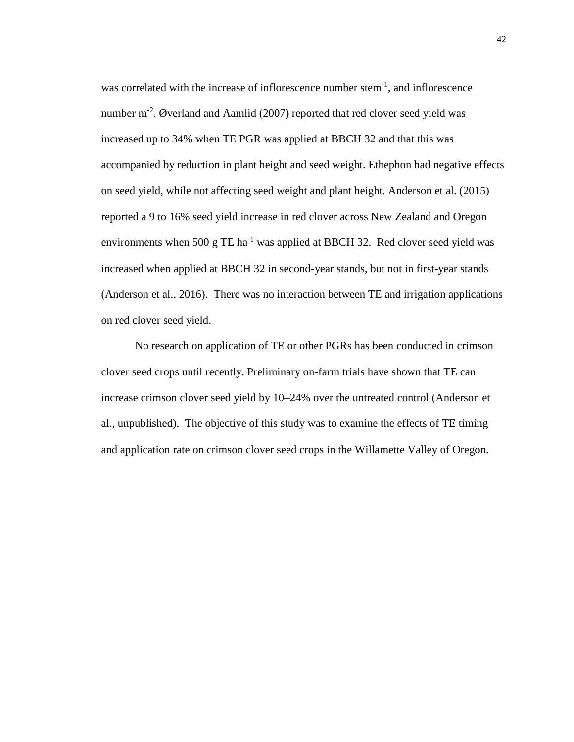was correlated with the increase of inflorescence number stem<sup>-1</sup>, and inflorescence number m<sup>-2</sup>. Øverland and Aamlid (2007) reported that red clover seed yield was increased up to 34% when TE PGR was applied at BBCH 32 and that this was accompanied by reduction in plant height and seed weight. Ethephon had negative effects on seed yield, while not affecting seed weight and plant height. Anderson et al. (2015) reported a 9 to 16% seed yield increase in red clover across New Zealand and Oregon environments when 500 g TE ha<sup>-1</sup> was applied at BBCH 32. Red clover seed yield was increased when applied at BBCH 32 in second-year stands, but not in first-year stands (Anderson et al., 2016). There was no interaction between TE and irrigation applications on red clover seed yield.

No research on application of TE or other PGRs has been conducted in crimson clover seed crops until recently. Preliminary on-farm trials have shown that TE can increase crimson clover seed yield by 10–24% over the untreated control (Anderson et al., unpublished). The objective of this study was to examine the effects of TE timing and application rate on crimson clover seed crops in the Willamette Valley of Oregon.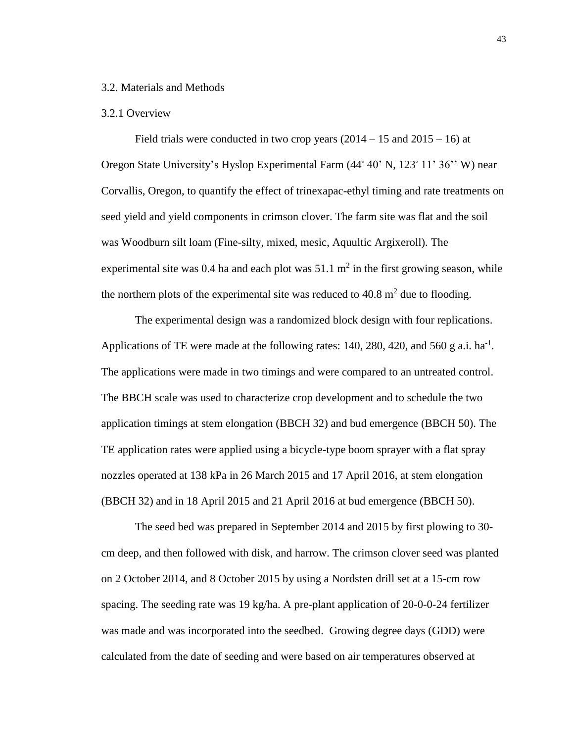## 3.2. Materials and Methods

### 3.2.1 Overview

Field trials were conducted in two crop years  $(2014 - 15 \text{ and } 2015 - 16)$  at Oregon State University's Hyslop Experimental Farm (44◦ 40' N, 123◦ 11' 36'' W) near Corvallis, Oregon, to quantify the effect of trinexapac-ethyl timing and rate treatments on seed yield and yield components in crimson clover. The farm site was flat and the soil was Woodburn silt loam (Fine-silty, mixed, mesic, Aquultic Argixeroll). The experimental site was 0.4 ha and each plot was  $51.1 \text{ m}^2$  in the first growing season, while the northern plots of the experimental site was reduced to  $40.8 \text{ m}^2$  due to flooding.

The experimental design was a randomized block design with four replications. Applications of TE were made at the following rates: 140, 280, 420, and 560 g a.i.  $ha^{-1}$ . The applications were made in two timings and were compared to an untreated control. The BBCH scale was used to characterize crop development and to schedule the two application timings at stem elongation (BBCH 32) and bud emergence (BBCH 50). The TE application rates were applied using a bicycle-type boom sprayer with a flat spray nozzles operated at 138 kPa in 26 March 2015 and 17 April 2016, at stem elongation (BBCH 32) and in 18 April 2015 and 21 April 2016 at bud emergence (BBCH 50).

The seed bed was prepared in September 2014 and 2015 by first plowing to 30 cm deep, and then followed with disk, and harrow. The crimson clover seed was planted on 2 October 2014, and 8 October 2015 by using a Nordsten drill set at a 15-cm row spacing. The seeding rate was 19 kg/ha. A pre-plant application of 20-0-0-24 fertilizer was made and was incorporated into the seedbed. Growing degree days (GDD) were calculated from the date of seeding and were based on air temperatures observed at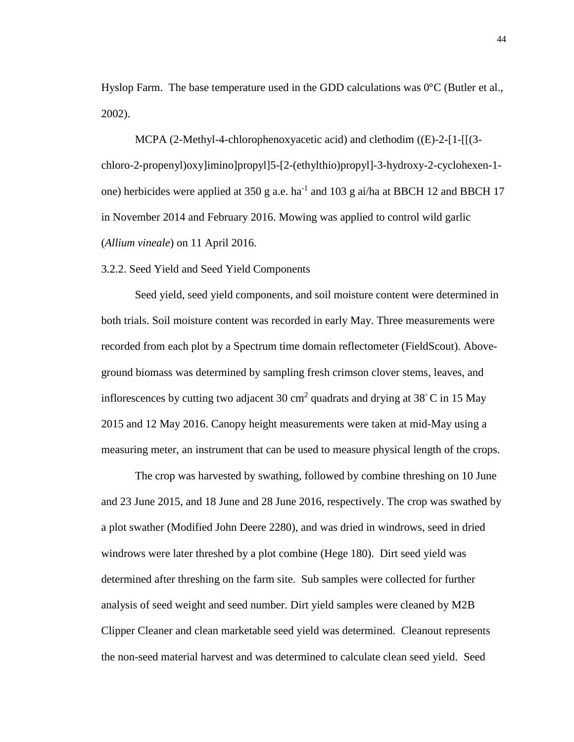Hyslop Farm. The base temperature used in the GDD calculations was 0°C (Butler et al., 2002).

MCPA (2-Methyl-4-chlorophenoxyacetic acid) and clethodim ((E)-2-[1-[[(3 chloro-2-propenyl)oxy]imino]propyl]5-[2-(ethylthio)propyl]-3-hydroxy-2-cyclohexen-1 one) herbicides were applied at  $350$  g a.e. ha<sup>-1</sup> and  $103$  g ai/ha at BBCH 12 and BBCH 17 in November 2014 and February 2016. Mowing was applied to control wild garlic (*Allium vineale*) on 11 April 2016.

3.2.2. Seed Yield and Seed Yield Components

Seed yield, seed yield components, and soil moisture content were determined in both trials. Soil moisture content was recorded in early May. Three measurements were recorded from each plot by a Spectrum time domain reflectometer (FieldScout). Aboveground biomass was determined by sampling fresh crimson clover stems, leaves, and inflorescences by cutting two adjacent 30 cm<sup>2</sup> quadrats and drying at 38 $^{\circ}$ C in 15 May 2015 and 12 May 2016. Canopy height measurements were taken at mid-May using a measuring meter, an instrument that can be used to measure physical length of the crops.

The crop was harvested by swathing, followed by combine threshing on 10 June and 23 June 2015, and 18 June and 28 June 2016, respectively. The crop was swathed by a plot swather (Modified John Deere 2280), and was dried in windrows, seed in dried windrows were later threshed by a plot combine (Hege 180). Dirt seed yield was determined after threshing on the farm site. Sub samples were collected for further analysis of seed weight and seed number. Dirt yield samples were cleaned by M2B Clipper Cleaner and clean marketable seed yield was determined. Cleanout represents the non-seed material harvest and was determined to calculate clean seed yield. Seed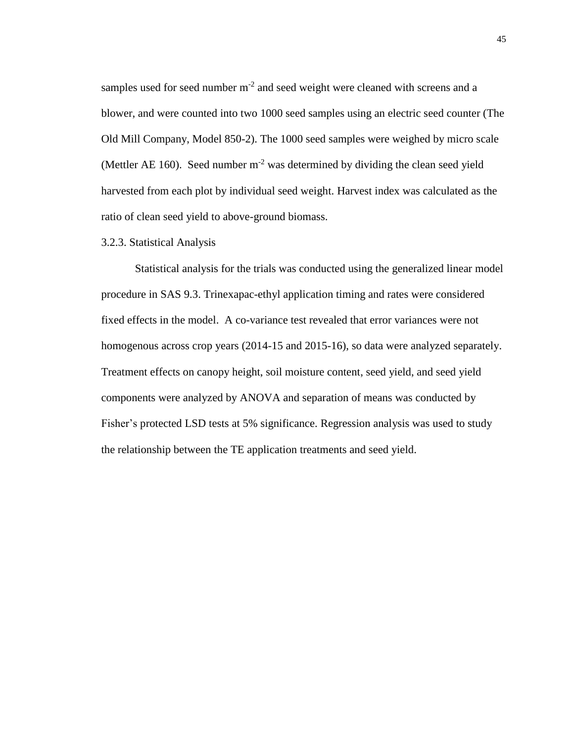samples used for seed number  $m^{-2}$  and seed weight were cleaned with screens and a blower, and were counted into two 1000 seed samples using an electric seed counter (The Old Mill Company, Model 850-2). The 1000 seed samples were weighed by micro scale (Mettler AE 160). Seed number  $m<sup>-2</sup>$  was determined by dividing the clean seed yield harvested from each plot by individual seed weight. Harvest index was calculated as the ratio of clean seed yield to above-ground biomass.

#### 3.2.3. Statistical Analysis

Statistical analysis for the trials was conducted using the generalized linear model procedure in SAS 9.3. Trinexapac-ethyl application timing and rates were considered fixed effects in the model. A co-variance test revealed that error variances were not homogenous across crop years (2014-15 and 2015-16), so data were analyzed separately. Treatment effects on canopy height, soil moisture content, seed yield, and seed yield components were analyzed by ANOVA and separation of means was conducted by Fisher's protected LSD tests at 5% significance. Regression analysis was used to study the relationship between the TE application treatments and seed yield.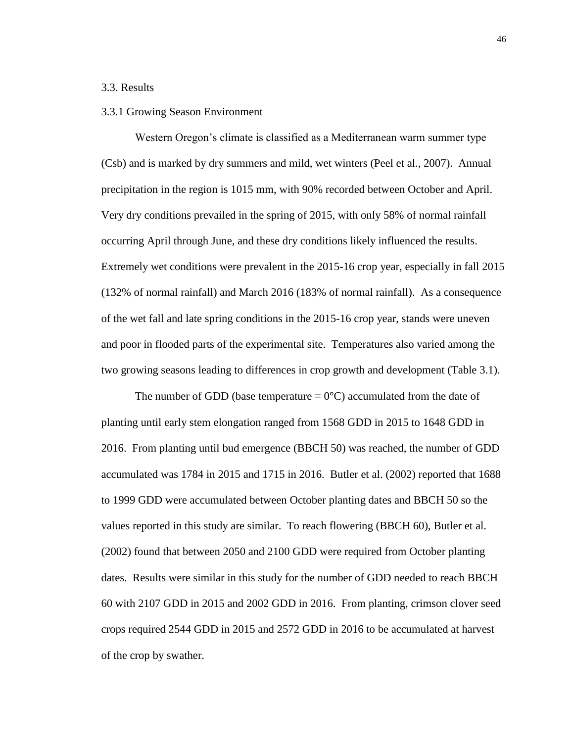## 3.3. Results

#### 3.3.1 Growing Season Environment

Western Oregon's climate is classified as a Mediterranean warm summer type (Csb) and is marked by dry summers and mild, wet winters (Peel et al., 2007). Annual precipitation in the region is 1015 mm, with 90% recorded between October and April. Very dry conditions prevailed in the spring of 2015, with only 58% of normal rainfall occurring April through June, and these dry conditions likely influenced the results. Extremely wet conditions were prevalent in the 2015-16 crop year, especially in fall 2015 (132% of normal rainfall) and March 2016 (183% of normal rainfall). As a consequence of the wet fall and late spring conditions in the 2015-16 crop year, stands were uneven and poor in flooded parts of the experimental site. Temperatures also varied among the two growing seasons leading to differences in crop growth and development (Table 3.1).

The number of GDD (base temperature  $= 0^{\circ}$ C) accumulated from the date of planting until early stem elongation ranged from 1568 GDD in 2015 to 1648 GDD in 2016. From planting until bud emergence (BBCH 50) was reached, the number of GDD accumulated was 1784 in 2015 and 1715 in 2016. Butler et al. (2002) reported that 1688 to 1999 GDD were accumulated between October planting dates and BBCH 50 so the values reported in this study are similar. To reach flowering (BBCH 60), Butler et al. (2002) found that between 2050 and 2100 GDD were required from October planting dates. Results were similar in this study for the number of GDD needed to reach BBCH 60 with 2107 GDD in 2015 and 2002 GDD in 2016. From planting, crimson clover seed crops required 2544 GDD in 2015 and 2572 GDD in 2016 to be accumulated at harvest of the crop by swather.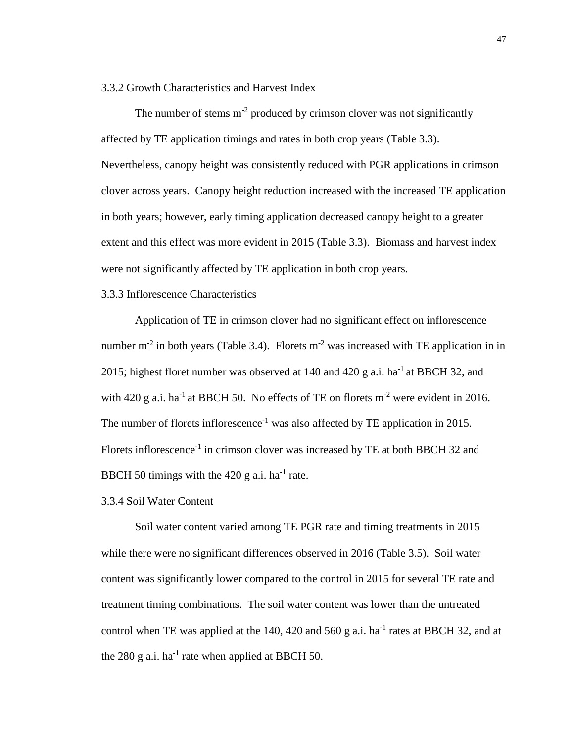# 3.3.2 Growth Characteristics and Harvest Index

The number of stems  $m<sup>-2</sup>$  produced by crimson clover was not significantly affected by TE application timings and rates in both crop years (Table 3.3). Nevertheless, canopy height was consistently reduced with PGR applications in crimson clover across years. Canopy height reduction increased with the increased TE application in both years; however, early timing application decreased canopy height to a greater extent and this effect was more evident in 2015 (Table 3.3). Biomass and harvest index were not significantly affected by TE application in both crop years.

#### 3.3.3 Inflorescence Characteristics

Application of TE in crimson clover had no significant effect on inflorescence number m<sup>-2</sup> in both years (Table 3.4). Florets m<sup>-2</sup> was increased with TE application in in 2015; highest floret number was observed at 140 and 420 g a.i. ha<sup>-1</sup> at BBCH 32, and with 420 g a.i. ha<sup>-1</sup> at BBCH 50. No effects of TE on florets  $m^{-2}$  were evident in 2016. The number of florets inflorescence<sup>-1</sup> was also affected by TE application in 2015. Florets inflorescence<sup>-1</sup> in crimson clover was increased by TE at both BBCH 32 and BBCH 50 timings with the  $420$  g a.i. ha<sup>-1</sup> rate.

3.3.4 Soil Water Content

Soil water content varied among TE PGR rate and timing treatments in 2015 while there were no significant differences observed in 2016 (Table 3.5). Soil water content was significantly lower compared to the control in 2015 for several TE rate and treatment timing combinations. The soil water content was lower than the untreated control when TE was applied at the 140, 420 and 560 g a.i.  $ha^{-1}$  rates at BBCH 32, and at the 280 g a.i. ha<sup>-1</sup> rate when applied at BBCH 50.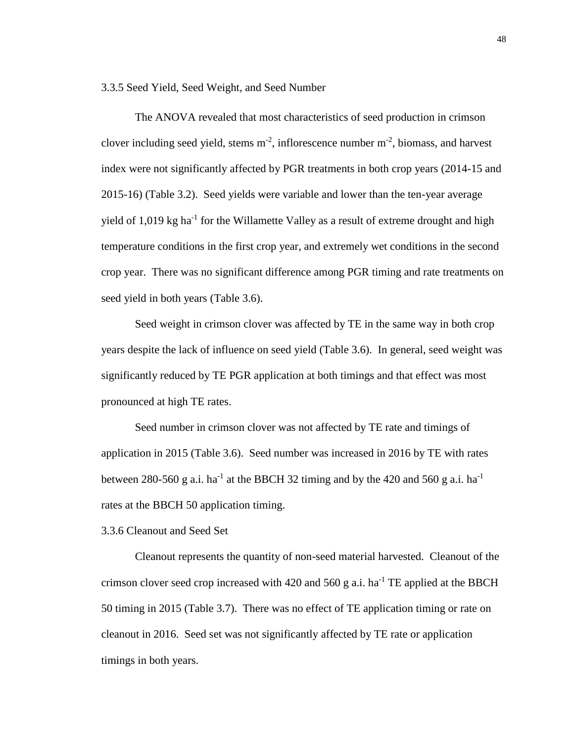3.3.5 Seed Yield, Seed Weight, and Seed Number

The ANOVA revealed that most characteristics of seed production in crimson clover including seed yield, stems  $m<sup>-2</sup>$ , inflorescence number  $m<sup>-2</sup>$ , biomass, and harvest index were not significantly affected by PGR treatments in both crop years (2014-15 and 2015-16) (Table 3.2). Seed yields were variable and lower than the ten-year average yield of 1,019 kg ha<sup>-1</sup> for the Willamette Valley as a result of extreme drought and high temperature conditions in the first crop year, and extremely wet conditions in the second crop year. There was no significant difference among PGR timing and rate treatments on seed yield in both years (Table 3.6).

Seed weight in crimson clover was affected by TE in the same way in both crop years despite the lack of influence on seed yield (Table 3.6). In general, seed weight was significantly reduced by TE PGR application at both timings and that effect was most pronounced at high TE rates.

Seed number in crimson clover was not affected by TE rate and timings of application in 2015 (Table 3.6). Seed number was increased in 2016 by TE with rates between 280-560 g a.i. ha<sup>-1</sup> at the BBCH 32 timing and by the 420 and 560 g a.i. ha<sup>-1</sup> rates at the BBCH 50 application timing.

3.3.6 Cleanout and Seed Set

Cleanout represents the quantity of non-seed material harvested. Cleanout of the crimson clover seed crop increased with 420 and 560 g a.i. ha<sup>-1</sup> TE applied at the BBCH 50 timing in 2015 (Table 3.7). There was no effect of TE application timing or rate on cleanout in 2016. Seed set was not significantly affected by TE rate or application timings in both years.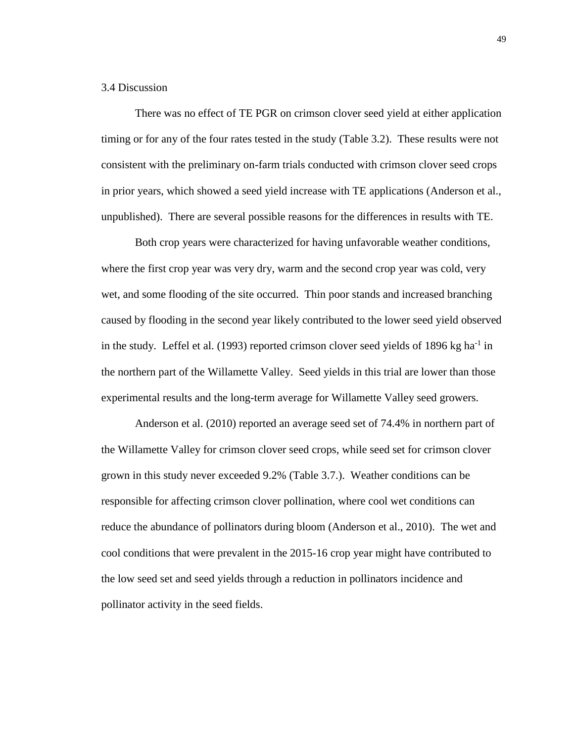# 3.4 Discussion

There was no effect of TE PGR on crimson clover seed yield at either application timing or for any of the four rates tested in the study (Table 3.2). These results were not consistent with the preliminary on-farm trials conducted with crimson clover seed crops in prior years, which showed a seed yield increase with TE applications (Anderson et al., unpublished). There are several possible reasons for the differences in results with TE.

Both crop years were characterized for having unfavorable weather conditions, where the first crop year was very dry, warm and the second crop year was cold, very wet, and some flooding of the site occurred. Thin poor stands and increased branching caused by flooding in the second year likely contributed to the lower seed yield observed in the study. Leffel et al.  $(1993)$  reported crimson clover seed yields of 1896 kg ha<sup>-1</sup> in the northern part of the Willamette Valley. Seed yields in this trial are lower than those experimental results and the long-term average for Willamette Valley seed growers.

Anderson et al. (2010) reported an average seed set of 74.4% in northern part of the Willamette Valley for crimson clover seed crops, while seed set for crimson clover grown in this study never exceeded 9.2% (Table 3.7.). Weather conditions can be responsible for affecting crimson clover pollination, where cool wet conditions can reduce the abundance of pollinators during bloom (Anderson et al., 2010). The wet and cool conditions that were prevalent in the 2015-16 crop year might have contributed to the low seed set and seed yields through a reduction in pollinators incidence and pollinator activity in the seed fields.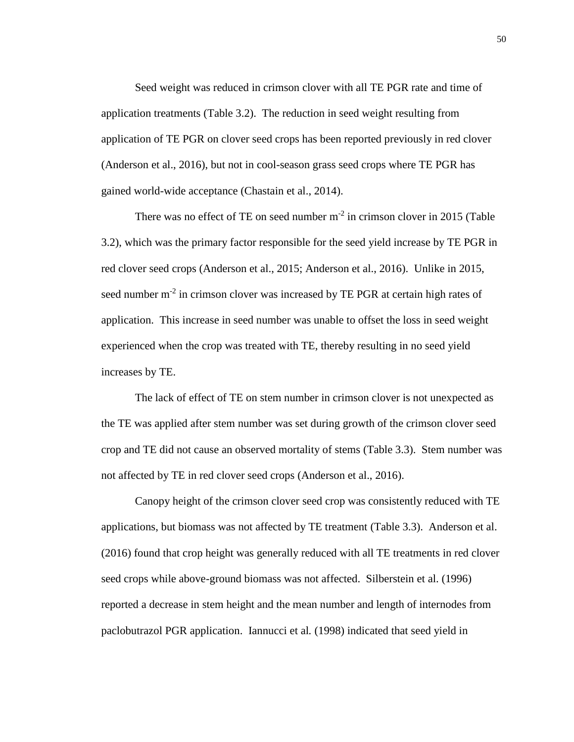Seed weight was reduced in crimson clover with all TE PGR rate and time of application treatments (Table 3.2). The reduction in seed weight resulting from application of TE PGR on clover seed crops has been reported previously in red clover (Anderson et al., 2016), but not in cool-season grass seed crops where TE PGR has gained world-wide acceptance (Chastain et al., 2014).

There was no effect of TE on seed number  $m<sup>-2</sup>$  in crimson clover in 2015 (Table 3.2), which was the primary factor responsible for the seed yield increase by TE PGR in red clover seed crops (Anderson et al., 2015; Anderson et al., 2016). Unlike in 2015, seed number m<sup>-2</sup> in crimson clover was increased by TE PGR at certain high rates of application. This increase in seed number was unable to offset the loss in seed weight experienced when the crop was treated with TE, thereby resulting in no seed yield increases by TE.

The lack of effect of TE on stem number in crimson clover is not unexpected as the TE was applied after stem number was set during growth of the crimson clover seed crop and TE did not cause an observed mortality of stems (Table 3.3). Stem number was not affected by TE in red clover seed crops (Anderson et al., 2016).

Canopy height of the crimson clover seed crop was consistently reduced with TE applications, but biomass was not affected by TE treatment (Table 3.3). Anderson et al. (2016) found that crop height was generally reduced with all TE treatments in red clover seed crops while above-ground biomass was not affected. Silberstein et al. (1996) reported a decrease in stem height and the mean number and length of internodes from paclobutrazol PGR application. Iannucci et al*.* (1998) indicated that seed yield in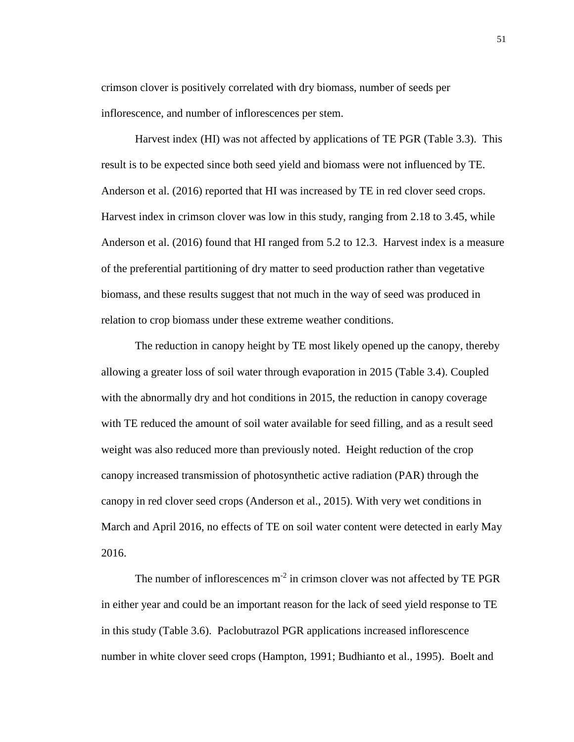crimson clover is positively correlated with dry biomass, number of seeds per inflorescence, and number of inflorescences per stem.

Harvest index (HI) was not affected by applications of TE PGR (Table 3.3). This result is to be expected since both seed yield and biomass were not influenced by TE. Anderson et al. (2016) reported that HI was increased by TE in red clover seed crops. Harvest index in crimson clover was low in this study, ranging from 2.18 to 3.45, while Anderson et al. (2016) found that HI ranged from 5.2 to 12.3. Harvest index is a measure of the preferential partitioning of dry matter to seed production rather than vegetative biomass, and these results suggest that not much in the way of seed was produced in relation to crop biomass under these extreme weather conditions.

The reduction in canopy height by TE most likely opened up the canopy, thereby allowing a greater loss of soil water through evaporation in 2015 (Table 3.4). Coupled with the abnormally dry and hot conditions in 2015, the reduction in canopy coverage with TE reduced the amount of soil water available for seed filling, and as a result seed weight was also reduced more than previously noted. Height reduction of the crop canopy increased transmission of photosynthetic active radiation (PAR) through the canopy in red clover seed crops (Anderson et al., 2015). With very wet conditions in March and April 2016, no effects of TE on soil water content were detected in early May 2016.

The number of inflorescences  $m^{-2}$  in crimson clover was not affected by TE PGR in either year and could be an important reason for the lack of seed yield response to TE in this study (Table 3.6). Paclobutrazol PGR applications increased inflorescence number in white clover seed crops (Hampton, 1991; Budhianto et al., 1995). Boelt and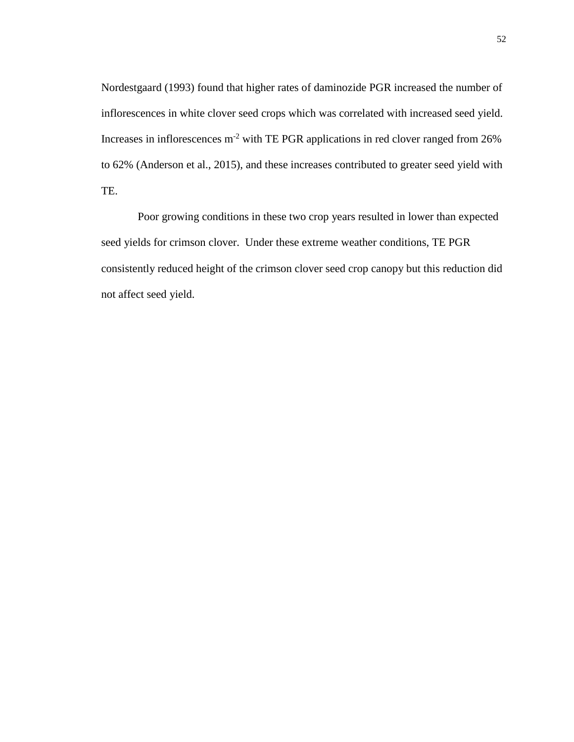Nordestgaard (1993) found that higher rates of daminozide PGR increased the number of inflorescences in white clover seed crops which was correlated with increased seed yield. Increases in inflorescences  $m^{-2}$  with TE PGR applications in red clover ranged from 26% to 62% (Anderson et al., 2015), and these increases contributed to greater seed yield with TE.

Poor growing conditions in these two crop years resulted in lower than expected seed yields for crimson clover. Under these extreme weather conditions, TE PGR consistently reduced height of the crimson clover seed crop canopy but this reduction did not affect seed yield.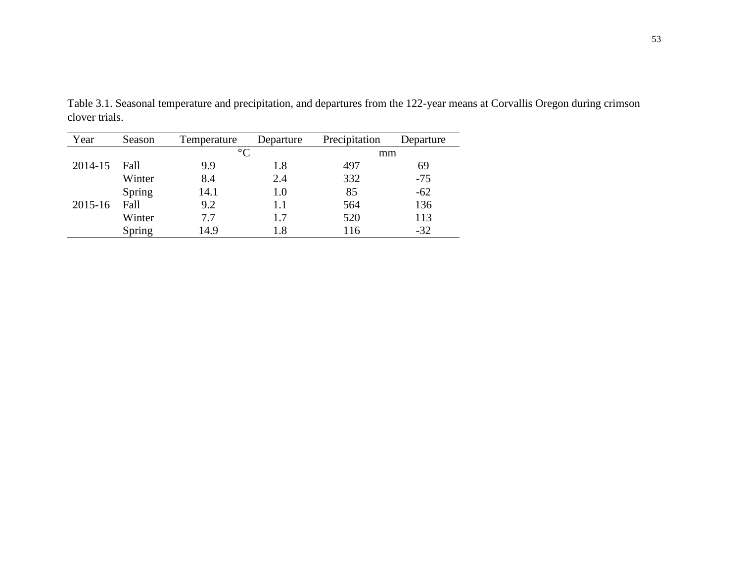| Year    | Season | Temperature     | Departure | Precipitation | Departure |
|---------|--------|-----------------|-----------|---------------|-----------|
|         |        | $\rm ^{\circ}C$ |           | mm            |           |
| 2014-15 | Fall   | 9.9             | 1.8       | 497           | 69        |
|         | Winter | 8.4             | 2.4       | 332           | $-75$     |
|         | Spring | 14.1            | 1.0       | 85            | $-62$     |
| 2015-16 | Fall   | 9.2             | 1.1       | 564           | 136       |
|         | Winter | 7.7             | 1.7       | 520           | 113       |
|         | Spring | 14.9            | 1.8       | 116           | $-32$     |

Table 3.1. Seasonal temperature and precipitation, and departures from the 122-year means at Corvallis Oregon during crimson clover trials.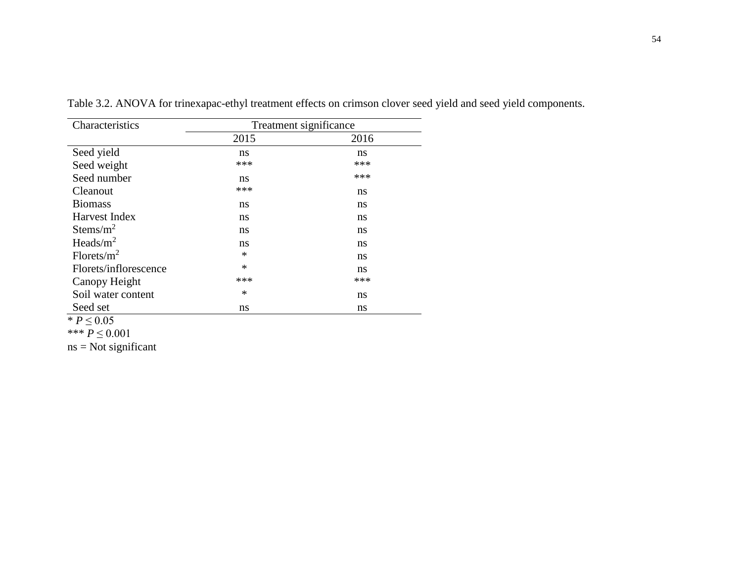| Characteristics        |        | Treatment significance |
|------------------------|--------|------------------------|
|                        | 2015   | 2016                   |
| Seed yield             | ns     | ns                     |
| Seed weight            | ***    | ***                    |
| Seed number            | ns     | ***                    |
| Cleanout               | ***    | ns                     |
| <b>Biomass</b>         | ns     | ns                     |
| Harvest Index          | ns     | ns                     |
| Stems/ $m^2$           | ns     | ns                     |
| Heads/ $m^2$           | ns     | ns                     |
| Florets/m <sup>2</sup> | *      | ns                     |
| Florets/inflorescence  | $\ast$ | ns                     |
| Canopy Height          | ***    | ***                    |
| Soil water content     | *      | ns                     |
| Seed set               | ns     | ns                     |

Table 3.2. ANOVA for trinexapac-ethyl treatment effects on crimson clover seed yield and seed yield components.

 $* P ≤ 0.05$ 

\*\*\* *P* ≤ 0.001

 $ns = Not significant$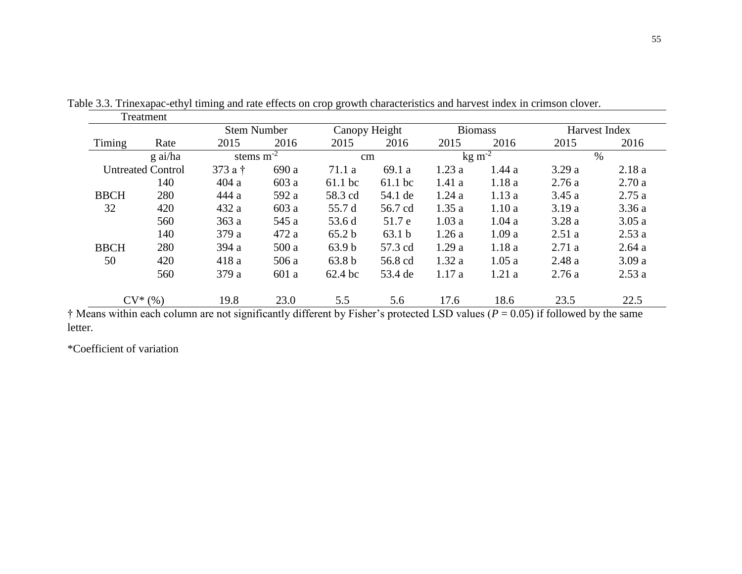|             | Treatment                |                    |       |                   |           |       |                 |       |               |
|-------------|--------------------------|--------------------|-------|-------------------|-----------|-------|-----------------|-------|---------------|
|             |                          | <b>Stem Number</b> |       | Canopy Height     |           |       | <b>Biomass</b>  |       | Harvest Index |
| Timing      | Rate                     | 2015               | 2016  | 2015              | 2016      | 2015  | 2016            | 2015  | 2016          |
|             | g ai/ha                  | stems $m-2$        |       | $\rm cm$          |           |       | $\text{kg m}^2$ |       | $\%$          |
|             | <b>Untreated Control</b> | 373 a t            | 690 a | 71.1a             | 69.1 a    | 1.23a | 1.44a           | 3.29a | 2.18a         |
|             | 140                      | 404a               | 603 a | $61.1$ bc         | $61.1$ bc | 1.41a | 1.18a           | 2.76a | 2.70a         |
| <b>BBCH</b> | 280                      | 444 a              | 592 a | 58.3 cd           | 54.1 de   | 1.24a | 1.13a           | 3.45a | 2.75a         |
| 32          | 420                      | 432 a              | 603 a | 55.7 d            | 56.7 cd   | 1.35a | 1.10a           | 3.19a | 3.36a         |
|             | 560                      | 363a               | 545 a | 53.6 d            | 51.7 e    | 1.03a | 1.04a           | 3.28a | 3.05a         |
|             | 140                      | 379 a              | 472 a | 65.2 b            | 63.1 b    | 1.26a | 1.09a           | 2.51a | 2.53a         |
| <b>BBCH</b> | 280                      | 394 a              | 500a  | 63.9 <sub>b</sub> | 57.3 cd   | 1.29a | 1.18a           | 2.71a | 2.64a         |
| 50          | 420                      | 418a               | 506 a | 63.8 <sub>b</sub> | 56.8 cd   | 1.32a | 1.05a           | 2.48a | 3.09a         |
|             | 560                      | 379 a              | 601a  | 62.4 bc           | 53.4 de   | 1.17a | 1.21a           | 2.76a | 2.53a         |
|             | $CV^*(\%)$               | 19.8               | 23.0  | 5.5               | 5.6       | 17.6  | 18.6            | 23.5  | 22.5          |

Table 3.3. Trinexapac-ethyl timing and rate effects on crop growth characteristics and harvest index in crimson clover.

† Means within each column are not significantly different by Fisher's protected LSD values (*P* = 0.05) if followed by the same letter.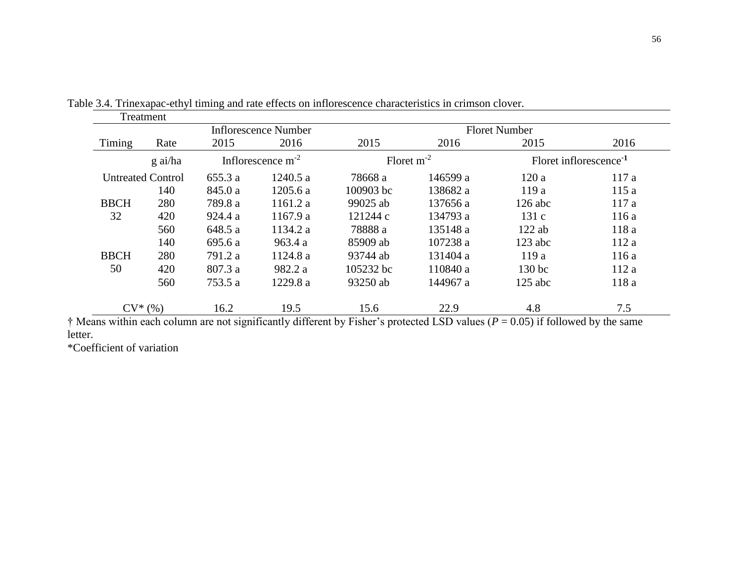|             | Treatment                      |         | Inflorescence Number | <b>Floret Number</b> |                                    |                   |       |  |
|-------------|--------------------------------|---------|----------------------|----------------------|------------------------------------|-------------------|-------|--|
| Timing      | Rate                           | 2015    | 2016                 | 2015                 | 2016                               | 2015              | 2016  |  |
|             | Inflorescence $m-2$<br>g ai/ha |         | Floret $m^{-2}$      |                      | Floret inflorescence <sup>-1</sup> |                   |       |  |
|             | <b>Untreated Control</b>       | 655.3 a | 1240.5 a             | 78668 a              | 146599 a                           | 120a              | 117a  |  |
|             | 140                            | 845.0 a | 1205.6a              | 100903 bc            | 138682 a                           | 119a              | 115a  |  |
| <b>BBCH</b> | 280                            | 789.8 a | 1161.2a              | 99025 ab             | 137656 a                           | $126$ abc         | 117a  |  |
| 32          | 420                            | 924.4 a | 1167.9a              | 121244 c             | 134793 a                           | 131c              | 116a  |  |
|             | 560                            | 648.5 a | 1134.2 a             | 78888 a              | 135148 a                           | $122$ ab          | 118 a |  |
|             | 140                            | 695.6 a | 963.4a               | 85909 ab             | 107238 a                           | $123$ abc         | 112a  |  |
| <b>BBCH</b> | 280                            | 791.2 a | 1124.8 a             | 93744 ab             | 131404 a                           | 119a              | 116a  |  |
| 50          | 420                            | 807.3 a | 982.2 a              | 105232 bc            | 110840 a                           | 130 <sub>bc</sub> | 112a  |  |
|             | 560                            | 753.5 a | 1229.8 a             | 93250 ab             | 144967 a                           | $125$ abc         | 118 a |  |
|             | $CV^*(\%)$                     | 16.2    | 19.5                 | 15.6                 | 22.9                               | 4.8               | 7.5   |  |

Table 3.4. Trinexapac-ethyl timing and rate effects on inflorescence characteristics in crimson clover.

† Means within each column are not significantly different by Fisher's protected LSD values (*P* = 0.05) if followed by the same letter.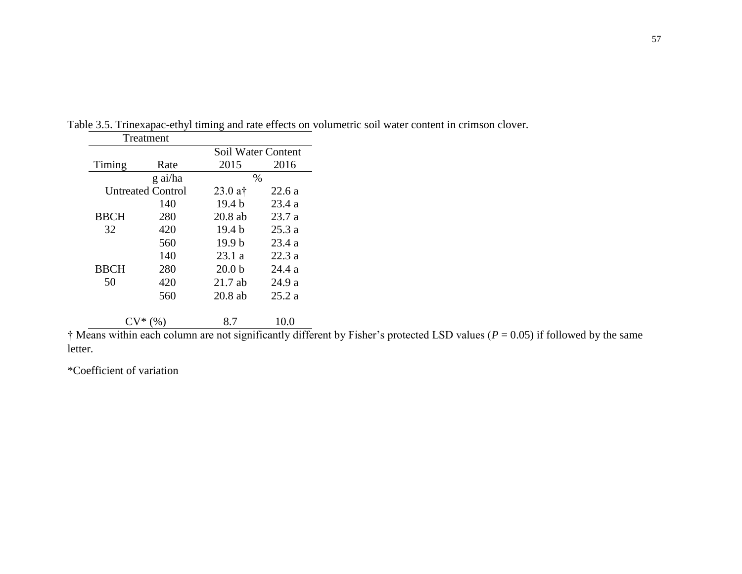|             | Treatment                |                    |        |
|-------------|--------------------------|--------------------|--------|
|             |                          | Soil Water Content |        |
| Timing      | Rate                     | 2015               | 2016   |
|             | g ai/ha                  | $\%$               |        |
|             | <b>Untreated Control</b> | $23.0$ at          | 22.6 a |
|             | 140                      | 19.4 <sub>b</sub>  | 23.4a  |
| <b>BBCH</b> | 280                      | $20.8$ ab          | 23.7a  |
| 32          | 420                      | 19.4 b             | 25.3 a |
|             | 560                      | 19.9 <sub>b</sub>  | 23.4a  |
|             | 140                      | 23.1 a             | 22.3 a |
| <b>BBCH</b> | 280                      | 20.0 <sub>b</sub>  | 24.4 a |
| 50          | 420                      | $21.7$ ab          | 24.9 a |
|             | 560                      | $20.8$ ab          | 25.2a  |
|             |                          |                    |        |
|             |                          | 8.7                | 10.0   |

Table 3.5. Trinexapac-ethyl timing and rate effects on volumetric soil water content in crimson clover.

 $\dagger$  Means within each column are not significantly different by Fisher's protected LSD values ( $P = 0.05$ ) if followed by the same letter.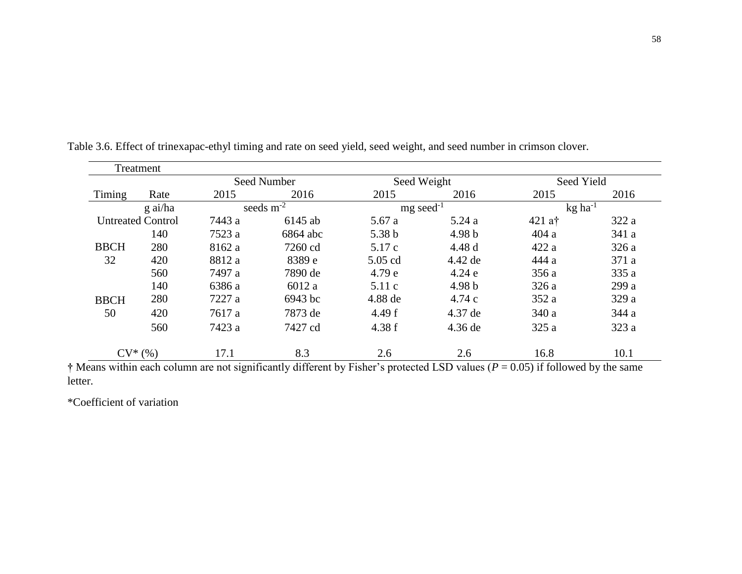|             | Treatment                |        |                            |          |                         |                       |       |
|-------------|--------------------------|--------|----------------------------|----------|-------------------------|-----------------------|-------|
|             |                          |        | Seed Number<br>Seed Weight |          | Seed Yield              |                       |       |
| Timing      | Rate                     | 2015   | 2016                       | 2015     | 2016                    | 2015                  | 2016  |
|             | g ai/ha                  |        | seeds $m^{-2}$             |          | $mg$ seed <sup>-1</sup> | $kg$ ha <sup>-1</sup> |       |
|             | <b>Untreated Control</b> | 7443 a | 6145 ab                    | 5.67a    | 5.24a                   | $421$ at              | 322a  |
|             | 140                      | 7523 a | 6864 abc                   | 5.38 b   | 4.98 b                  | 404a                  | 341 a |
| <b>BBCH</b> | 280                      | 8162 a | 7260 cd                    | 5.17c    | 4.48d                   | 422a                  | 326a  |
| 32          | 420                      | 8812 a | 8389 e                     | 5.05 cd  | 4.42 de                 | 444 a                 | 371 a |
|             | 560                      | 7497 a | 7890 de                    | 4.79 e   | 4.24e                   | 356a                  | 335 a |
|             | 140                      | 6386 a | 6012 a                     | 5.11c    | 4.98 <sub>b</sub>       | 326a                  | 299 a |
| <b>BBCH</b> | 280                      | 7227 a | 6943 bc                    | 4.88 de  | 4.74c                   | 352 a                 | 329 a |
| 50          | 420                      | 7617 a | 7873 de                    | 4.49 $f$ | 4.37 de                 | 340 a                 | 344 a |
|             | 560                      | 7423 a | 7427 cd                    | 4.38 f   | 4.36 de                 | 325a                  | 323a  |
|             | $CV^*(\%)$               | 17.1   | 8.3                        | 2.6      | 2.6                     | 16.8                  | 10.1  |

Table 3.6. Effect of trinexapac-ethyl timing and rate on seed yield, seed weight, and seed number in crimson clover.

**†** Means within each column are not significantly different by Fisher's protected LSD values (*P* = 0.05) if followed by the same letter.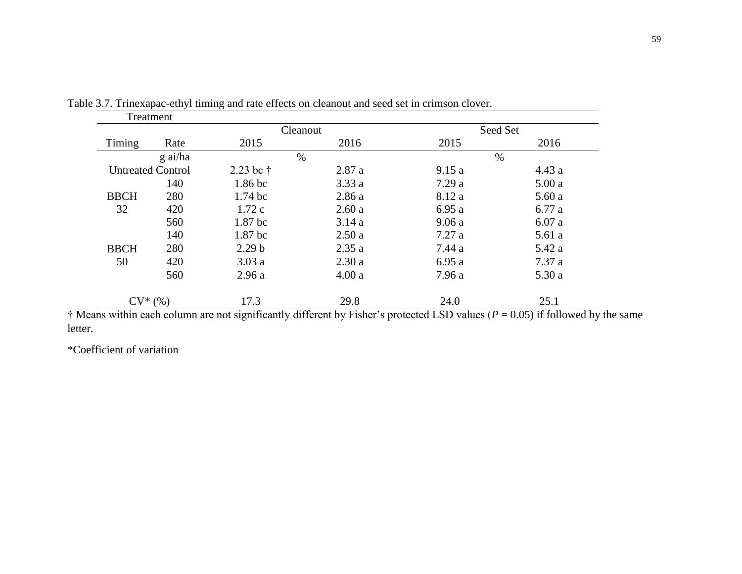| Treatment                |         |                    |       |        |          |
|--------------------------|---------|--------------------|-------|--------|----------|
|                          |         | Cleanout           |       |        | Seed Set |
| Timing                   | Rate    | 2015               | 2016  | 2015   | 2016     |
|                          | g ai/ha | $\%$               |       |        | $\%$     |
| <b>Untreated Control</b> |         | 2.23 bc $\dagger$  | 2.87a | 9.15a  | 4.43a    |
|                          | 140     | 1.86 <sub>bc</sub> | 3.33a | 7.29a  | 5.00a    |
| <b>BBCH</b>              | 280     | $1.74~\mathrm{bc}$ | 2.86a | 8.12 a | 5.60a    |
| 32                       | 420     | 1.72c              | 2.60a | 6.95a  | 6.77a    |
|                          | 560     | 1.87 bc            | 3.14a | 9.06a  | 6.07a    |
|                          | 140     | 1.87 <sub>bc</sub> | 2.50a | 7.27a  | 5.61a    |
| <b>BBCH</b>              | 280     | 2.29 <sub>b</sub>  | 2.35a | 7.44 a | 5.42 a   |
| 50                       | 420     | 3.03a              | 2.30a | 6.95a  | 7.37a    |
|                          | 560     | 2.96a              | 4.00a | 7.96 a | 5.30a    |
| $CV^*(\%)$               |         | 17.3               | 29.8  | 24.0   | 25.1     |

Table 3.7. Trinexapac-ethyl timing and rate effects on cleanout and seed set in crimson clover.

† Means within each column are not significantly different by Fisher's protected LSD values (*P* = 0.05) if followed by the same letter.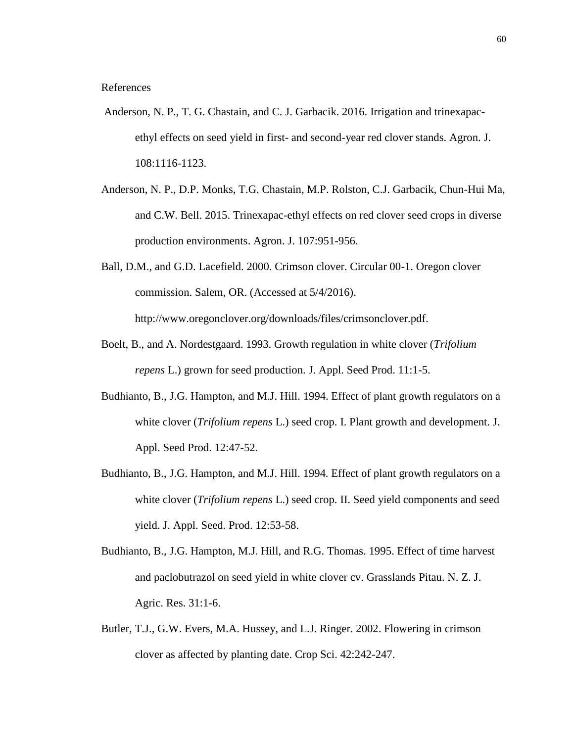References

- Anderson, N. P., T. G. Chastain, and C. J. Garbacik. 2016. Irrigation and trinexapacethyl effects on seed yield in first- and second-year red clover stands. Agron. J. 108:1116-1123.
- Anderson, N. P., D.P. Monks, T.G. Chastain, M.P. Rolston, C.J. Garbacik, Chun-Hui Ma, and C.W. Bell. 2015. Trinexapac-ethyl effects on red clover seed crops in diverse production environments. Agron. J. 107:951-956.
- Ball, D.M., and G.D. Lacefield. 2000. Crimson clover. Circular 00-1. Oregon clover commission. Salem, OR. (Accessed at 5/4/2016). [http://www.oregonclover.org/downloads/files/crimsonclover.pdf.](http://www.oregonclover.org/downloads/files/crimsonclover.pdf)
- Boelt, B., and A. Nordestgaard. 1993. Growth regulation in white clover (*Trifolium repens* L.) grown for seed production. J. Appl. Seed Prod. 11:1-5.
- Budhianto, B., J.G. Hampton, and M.J. Hill. 1994. Effect of plant growth regulators on a white clover (*Trifolium repens* L.) seed crop. I. Plant growth and development. J. Appl. Seed Prod. 12:47-52.
- Budhianto, B., J.G. Hampton, and M.J. Hill. 1994. Effect of plant growth regulators on a white clover (*Trifolium repens* L.) seed crop. II. Seed yield components and seed yield. J. Appl. Seed. Prod. 12:53-58.
- Budhianto, B., J.G. Hampton, M.J. Hill, and R.G. Thomas. 1995. Effect of time harvest and paclobutrazol on seed yield in white clover cv. Grasslands Pitau. N. Z. J. Agric. Res. 31:1-6.
- Butler, T.J., G.W. Evers, M.A. Hussey, and L.J. Ringer. 2002. Flowering in crimson clover as affected by planting date. Crop Sci. 42:242-247.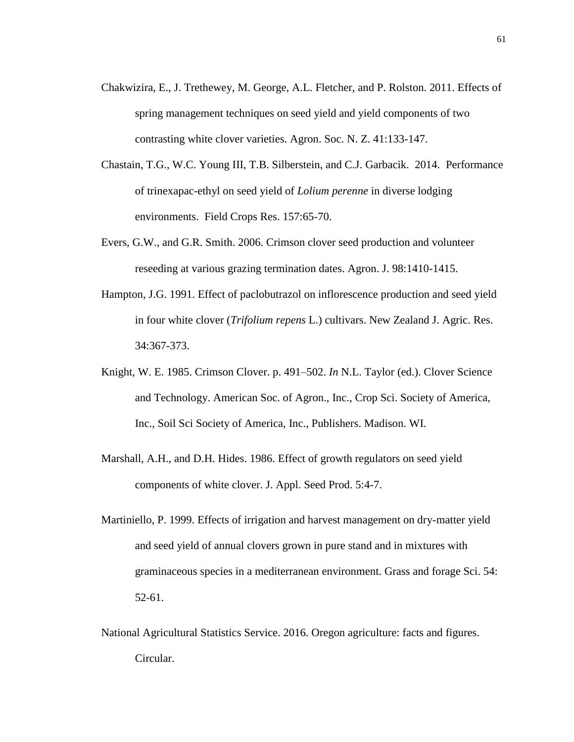- Chakwizira, E., J. Trethewey, M. George, A.L. Fletcher, and P. Rolston. 2011. Effects of spring management techniques on seed yield and yield components of two contrasting white clover varieties. Agron. Soc. N. Z. 41:133-147.
- Chastain, T.G., W.C. Young III, T.B. Silberstein, and C.J. Garbacik. 2014. Performance of trinexapac-ethyl on seed yield of *Lolium perenne* in diverse lodging environments. Field Crops Res. 157:65-70.
- Evers, G.W., and G.R. Smith. 2006. Crimson clover seed production and volunteer reseeding at various grazing termination dates. Agron. J. 98:1410-1415.
- Hampton, J.G. 1991. Effect of paclobutrazol on inflorescence production and seed yield in four white clover (*Trifolium repens* L.) cultivars. New Zealand J. Agric. Res. 34:367-373.
- Knight, W. E. 1985. Crimson Clover. p. 491–502. *In* N.L. Taylor (ed.). Clover Science and Technology. American Soc. of Agron., Inc., Crop Sci. Society of America, Inc., Soil Sci Society of America, Inc., Publishers. Madison. WI.
- Marshall, A.H., and D.H. Hides. 1986. Effect of growth regulators on seed yield components of white clover. J. Appl. Seed Prod. 5:4-7.
- Martiniello, P. 1999. Effects of irrigation and harvest management on dry-matter yield and seed yield of annual clovers grown in pure stand and in mixtures with graminaceous species in a mediterranean environment. Grass and forage Sci. 54: 52-61.
- National Agricultural Statistics Service. 2016. Oregon agriculture: facts and figures. Circular.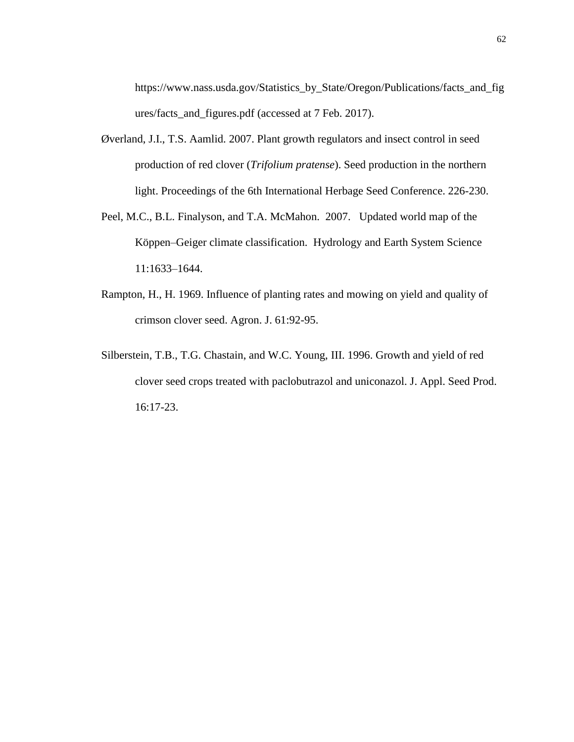[https://www.nass.usda.gov/Statistics\\_by\\_State/Oregon/Publications/facts\\_and\\_fig](https://www.nass.usda.gov/Statistics_by_State/Oregon/Publications/facts_and_figures/facts_and_figures.pdf) [ures/facts\\_and\\_figures.pdf](https://www.nass.usda.gov/Statistics_by_State/Oregon/Publications/facts_and_figures/facts_and_figures.pdf) (accessed at 7 Feb. 2017).

- Øverland, J.I., T.S. Aamlid. 2007. Plant growth regulators and insect control in seed production of red clover (*Trifolium pratense*). Seed production in the northern light. Proceedings of the 6th International Herbage Seed Conference. 226-230.
- Peel, M.C., B.L. Finalyson, and T.A. McMahon. 2007. Updated world map of the Köppen–Geiger climate classification. Hydrology and Earth System Science 11:1633–1644.
- Rampton, H., H. 1969. Influence of planting rates and mowing on yield and quality of crimson clover seed. Agron. J. 61:92-95.
- Silberstein, T.B., T.G. Chastain, and W.C. Young, III. 1996. Growth and yield of red clover seed crops treated with paclobutrazol and uniconazol. J. Appl. Seed Prod. 16:17-23.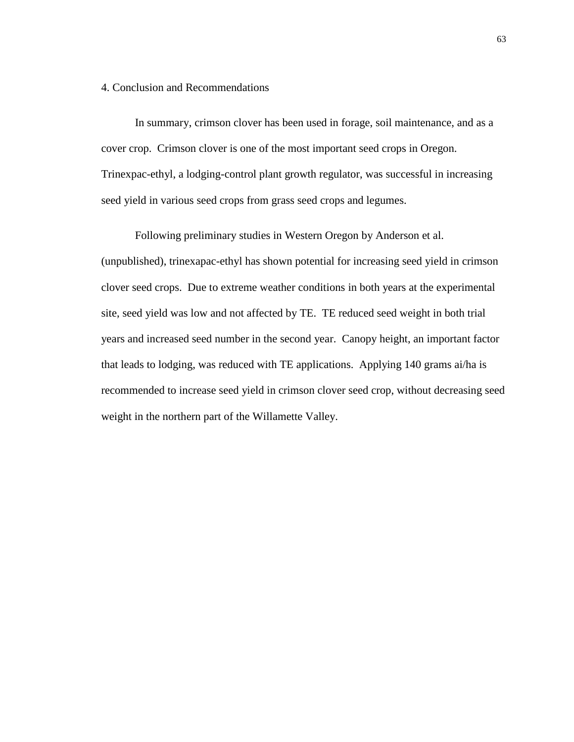## 4. Conclusion and Recommendations

In summary, crimson clover has been used in forage, soil maintenance, and as a cover crop. Crimson clover is one of the most important seed crops in Oregon. Trinexpac-ethyl, a lodging-control plant growth regulator, was successful in increasing seed yield in various seed crops from grass seed crops and legumes.

Following preliminary studies in Western Oregon by Anderson et al. (unpublished), trinexapac-ethyl has shown potential for increasing seed yield in crimson clover seed crops. Due to extreme weather conditions in both years at the experimental site, seed yield was low and not affected by TE. TE reduced seed weight in both trial years and increased seed number in the second year. Canopy height, an important factor that leads to lodging, was reduced with TE applications. Applying 140 grams ai/ha is recommended to increase seed yield in crimson clover seed crop, without decreasing seed weight in the northern part of the Willamette Valley.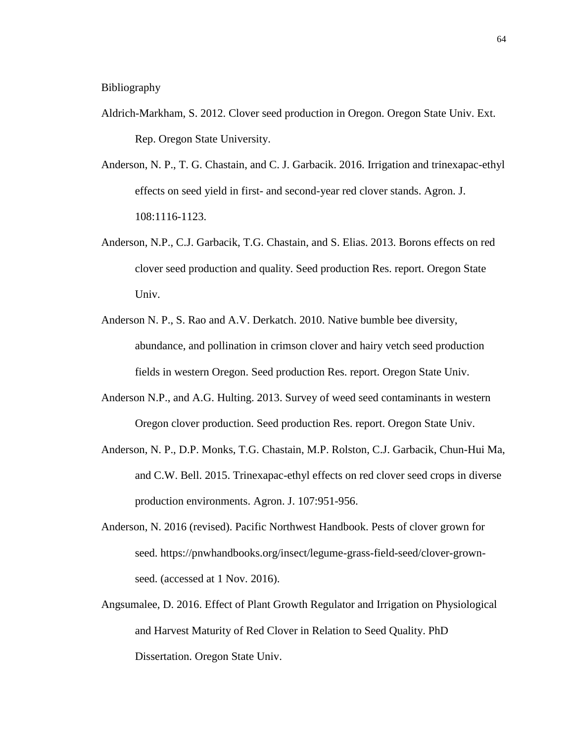- Aldrich-Markham, S. 2012. Clover seed production in Oregon. Oregon State Univ. Ext. Rep. Oregon State University.
- Anderson, N. P., T. G. Chastain, and C. J. Garbacik. 2016. Irrigation and trinexapac-ethyl effects on seed yield in first- and second-year red clover stands. Agron. J. 108:1116-1123.
- Anderson, N.P., C.J. Garbacik, T.G. Chastain, and S. Elias. 2013. Borons effects on red clover seed production and quality. Seed production Res. report. Oregon State Univ.
- Anderson N. P., S. Rao and A.V. Derkatch. 2010. Native bumble bee diversity, abundance, and pollination in crimson clover and hairy vetch seed production fields in western Oregon. Seed production Res. report. Oregon State Univ.
- Anderson N.P., and A.G. Hulting. 2013. Survey of weed seed contaminants in western Oregon clover production. Seed production Res. report. Oregon State Univ.
- Anderson, N. P., D.P. Monks, T.G. Chastain, M.P. Rolston, C.J. Garbacik, Chun-Hui Ma, and C.W. Bell. 2015. Trinexapac-ethyl effects on red clover seed crops in diverse production environments. Agron. J. 107:951-956.
- Anderson, N. 2016 (revised). Pacific Northwest Handbook. Pests of clover grown for seed. [https://pnwhandbooks.org/insect/legume-grass-field-seed/clover-grown](https://pnwhandbooks.org/insect/legume-grass-field-seed/clover-grown-seed)[seed.](https://pnwhandbooks.org/insect/legume-grass-field-seed/clover-grown-seed) (accessed at 1 Nov. 2016).
- Angsumalee, D. 2016. Effect of Plant Growth Regulator and Irrigation on Physiological and Harvest Maturity of Red Clover in Relation to Seed Quality. PhD Dissertation. Oregon State Univ.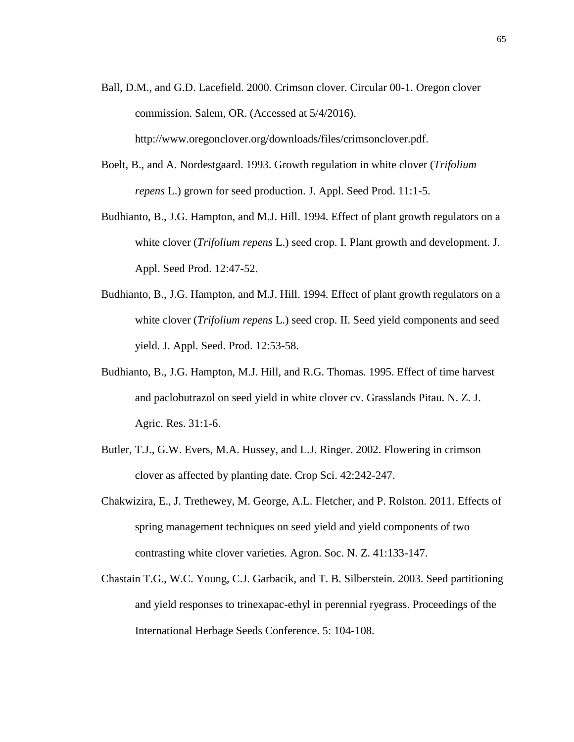- Ball, D.M., and G.D. Lacefield. 2000. Crimson clover. Circular 00-1. Oregon clover commission. Salem, OR. (Accessed at 5/4/2016). [http://www.oregonclover.org/downloads/files/crimsonclover.pdf.](http://www.oregonclover.org/downloads/files/crimsonclover.pdf)
- Boelt, B., and A. Nordestgaard. 1993. Growth regulation in white clover (*Trifolium repens* L.) grown for seed production. J. Appl. Seed Prod. 11:1-5.
- Budhianto, B., J.G. Hampton, and M.J. Hill. 1994. Effect of plant growth regulators on a white clover (*Trifolium repens* L.) seed crop. I. Plant growth and development. J. Appl. Seed Prod. 12:47-52.
- Budhianto, B., J.G. Hampton, and M.J. Hill. 1994. Effect of plant growth regulators on a white clover (*Trifolium repens* L.) seed crop. II. Seed yield components and seed yield. J. Appl. Seed. Prod. 12:53-58.
- Budhianto, B., J.G. Hampton, M.J. Hill, and R.G. Thomas. 1995. Effect of time harvest and paclobutrazol on seed yield in white clover cv. Grasslands Pitau. N. Z. J. Agric. Res. 31:1-6.
- Butler, T.J., G.W. Evers, M.A. Hussey, and L.J. Ringer. 2002. Flowering in crimson clover as affected by planting date. Crop Sci. 42:242-247.
- Chakwizira, E., J. Trethewey, M. George, A.L. Fletcher, and P. Rolston. 2011. Effects of spring management techniques on seed yield and yield components of two contrasting white clover varieties. Agron. Soc. N. Z. 41:133-147.
- Chastain T.G., W.C. Young, C.J. Garbacik, and T. B. Silberstein. 2003. Seed partitioning and yield responses to trinexapac-ethyl in perennial ryegrass. Proceedings of the International Herbage Seeds Conference. 5: 104-108.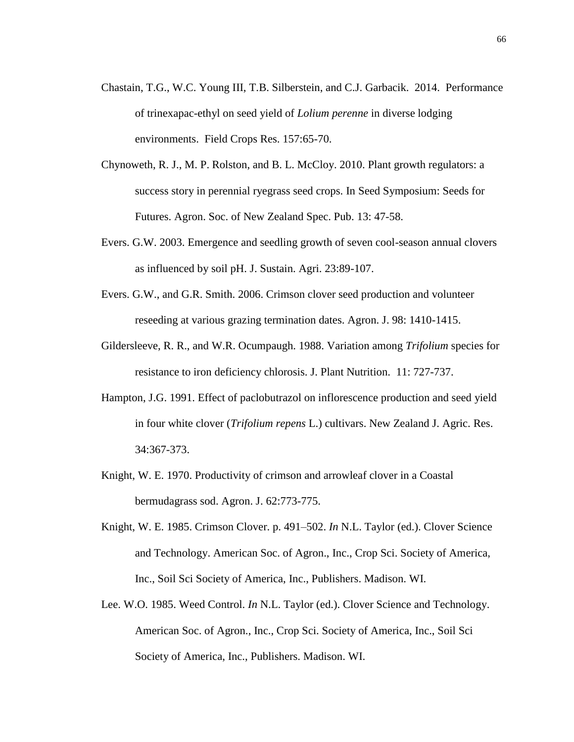- Chastain, T.G., W.C. Young III, T.B. Silberstein, and C.J. Garbacik. 2014. Performance of trinexapac-ethyl on seed yield of *Lolium perenne* in diverse lodging environments. Field Crops Res. 157:65-70.
- Chynoweth, R. J., M. P. Rolston, and B. L. McCloy. 2010. Plant growth regulators: a success story in perennial ryegrass seed crops. In Seed Symposium: Seeds for Futures. Agron. Soc. of New Zealand Spec. Pub. 13: 47-58.
- Evers. G.W. 2003. Emergence and seedling growth of seven cool-season annual clovers as influenced by soil pH. J. Sustain. Agri. 23:89-107.
- Evers. G.W., and G.R. Smith. 2006. Crimson clover seed production and volunteer reseeding at various grazing termination dates. Agron. J. 98: 1410-1415.
- Gildersleeve, R. R., and W.R. Ocumpaugh. 1988. Variation among *Trifolium* species for resistance to iron deficiency chlorosis. J. Plant Nutrition. 11: 727-737.
- Hampton, J.G. 1991. Effect of paclobutrazol on inflorescence production and seed yield in four white clover (*Trifolium repens* L.) cultivars. New Zealand J. Agric. Res. 34:367-373.
- Knight, W. E. 1970. Productivity of crimson and arrowleaf clover in a Coastal bermudagrass sod. Agron. J. 62:773-775.
- Knight, W. E. 1985. Crimson Clover. p. 491–502. *In* N.L. Taylor (ed.). Clover Science and Technology. American Soc. of Agron., Inc., Crop Sci. Society of America, Inc., Soil Sci Society of America, Inc., Publishers. Madison. WI.
- Lee. W.O. 1985. Weed Control. *In* N.L. Taylor (ed.). Clover Science and Technology. American Soc. of Agron., Inc., Crop Sci. Society of America, Inc., Soil Sci Society of America, Inc., Publishers. Madison. WI.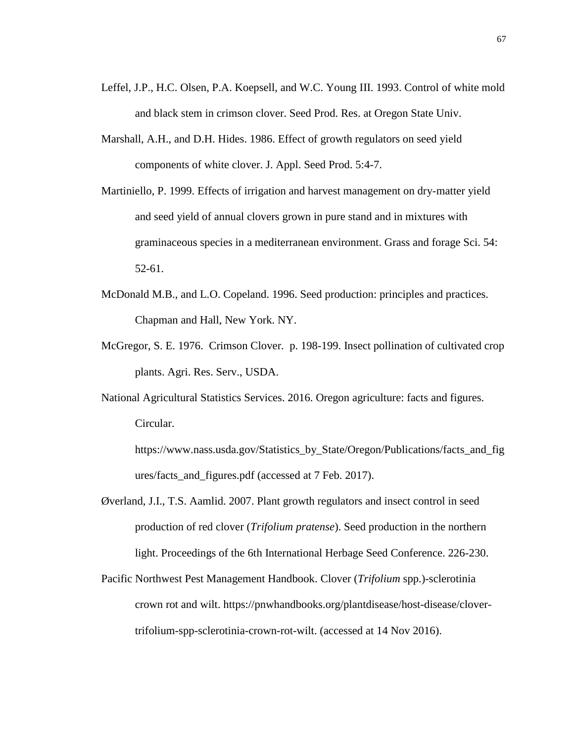- Leffel, J.P., H.C. Olsen, P.A. Koepsell, and W.C. Young III. 1993. Control of white mold and black stem in crimson clover. Seed Prod. Res. at Oregon State Univ.
- Marshall, A.H., and D.H. Hides. 1986. Effect of growth regulators on seed yield components of white clover. J. Appl. Seed Prod. 5:4-7.
- Martiniello, P. 1999. Effects of irrigation and harvest management on dry-matter yield and seed yield of annual clovers grown in pure stand and in mixtures with graminaceous species in a mediterranean environment. Grass and forage Sci. 54: 52-61.
- McDonald M.B., and L.O. Copeland. 1996. Seed production: principles and practices. Chapman and Hall, New York. NY.
- McGregor, S. E. 1976. Crimson Clover. p. 198-199. Insect pollination of cultivated crop plants. Agri. Res. Serv., USDA.
- National Agricultural Statistics Services. 2016. Oregon agriculture: facts and figures. Circular.

[https://www.nass.usda.gov/Statistics\\_by\\_State/Oregon/Publications/facts\\_and\\_fig](https://www.nass.usda.gov/Statistics_by_State/Oregon/Publications/facts_and_figures/facts_and_figures.pdf) [ures/facts\\_and\\_figures.pdf](https://www.nass.usda.gov/Statistics_by_State/Oregon/Publications/facts_and_figures/facts_and_figures.pdf) (accessed at 7 Feb. 2017).

- Øverland, J.I., T.S. Aamlid. 2007. Plant growth regulators and insect control in seed production of red clover (*Trifolium pratense*). Seed production in the northern light. Proceedings of the 6th International Herbage Seed Conference. 226-230.
- Pacific Northwest Pest Management Handbook. Clover (*Trifolium* spp.)-sclerotinia crown rot and wilt. [https://pnwhandbooks.org/plantdisease/host-disease/clover](https://pnwhandbooks.org/plantdisease/host-disease/clover-trifolium-spp-sclerotinia-crown-rot-wilt)[trifolium-spp-sclerotinia-crown-rot-wilt.](https://pnwhandbooks.org/plantdisease/host-disease/clover-trifolium-spp-sclerotinia-crown-rot-wilt) (accessed at 14 Nov 2016).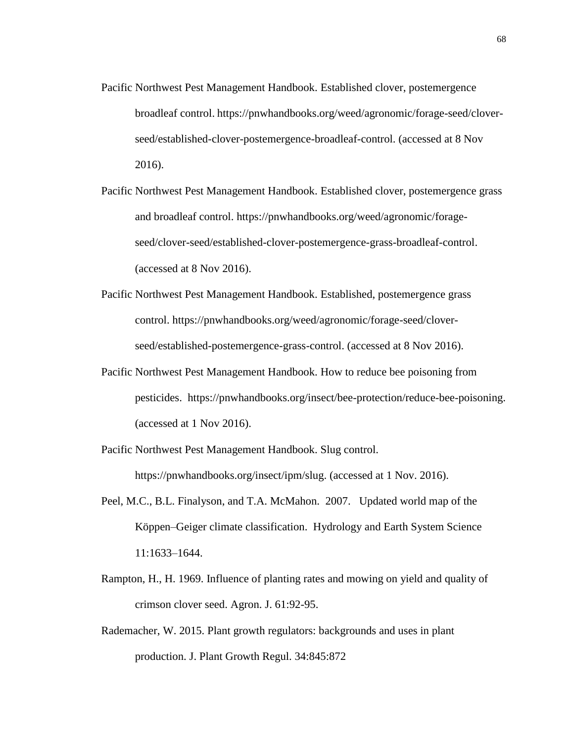- Pacific Northwest Pest Management Handbook. Established clover, postemergence broadleaf control. [https://pnwhandbooks.org/weed/agronomic/forage-seed/clover](https://pnwhandbooks.org/weed/agronomic/forage-seed/clover-seed/established-clover-postemergence-broadleaf-control)[seed/established-clover-postemergence-broadleaf-control.](https://pnwhandbooks.org/weed/agronomic/forage-seed/clover-seed/established-clover-postemergence-broadleaf-control) (accessed at 8 Nov 2016).
- Pacific Northwest Pest Management Handbook. Established clover, postemergence grass and broadleaf control. [https://pnwhandbooks.org/weed/agronomic/forage](https://pnwhandbooks.org/weed/agronomic/forage-seed/clover-seed/established-clover-postemergence-grass-broadleaf-control)[seed/clover-seed/established-clover-postemergence-grass-broadleaf-control.](https://pnwhandbooks.org/weed/agronomic/forage-seed/clover-seed/established-clover-postemergence-grass-broadleaf-control) (accessed at 8 Nov 2016).
- Pacific Northwest Pest Management Handbook. Established, postemergence grass control. [https://pnwhandbooks.org/weed/agronomic/forage-seed/clover](https://pnwhandbooks.org/weed/agronomic/forage-seed/clover-seed/established-postemergence-grass-control)[seed/established-postemergence-grass-control.](https://pnwhandbooks.org/weed/agronomic/forage-seed/clover-seed/established-postemergence-grass-control) (accessed at 8 Nov 2016).
- Pacific Northwest Pest Management Handbook. How to reduce bee poisoning from pesticides. [https://pnwhandbooks.org/insect/bee-protection/reduce-bee-poisoning.](https://pnwhandbooks.org/insect/bee-protection/reduce-bee-poisoning) (accessed at 1 Nov 2016).

Pacific Northwest Pest Management Handbook. Slug control. [https://pnwhandbooks.org/insect/ipm/slug.](https://pnwhandbooks.org/insect/ipm/slug) (accessed at 1 Nov. 2016).

- Peel, M.C., B.L. Finalyson, and T.A. McMahon. 2007. Updated world map of the Köppen–Geiger climate classification. Hydrology and Earth System Science 11:1633–1644.
- Rampton, H., H. 1969. Influence of planting rates and mowing on yield and quality of crimson clover seed. Agron. J. 61:92-95.
- Rademacher, W. 2015. Plant growth regulators: backgrounds and uses in plant production. J. Plant Growth Regul. 34:845:872